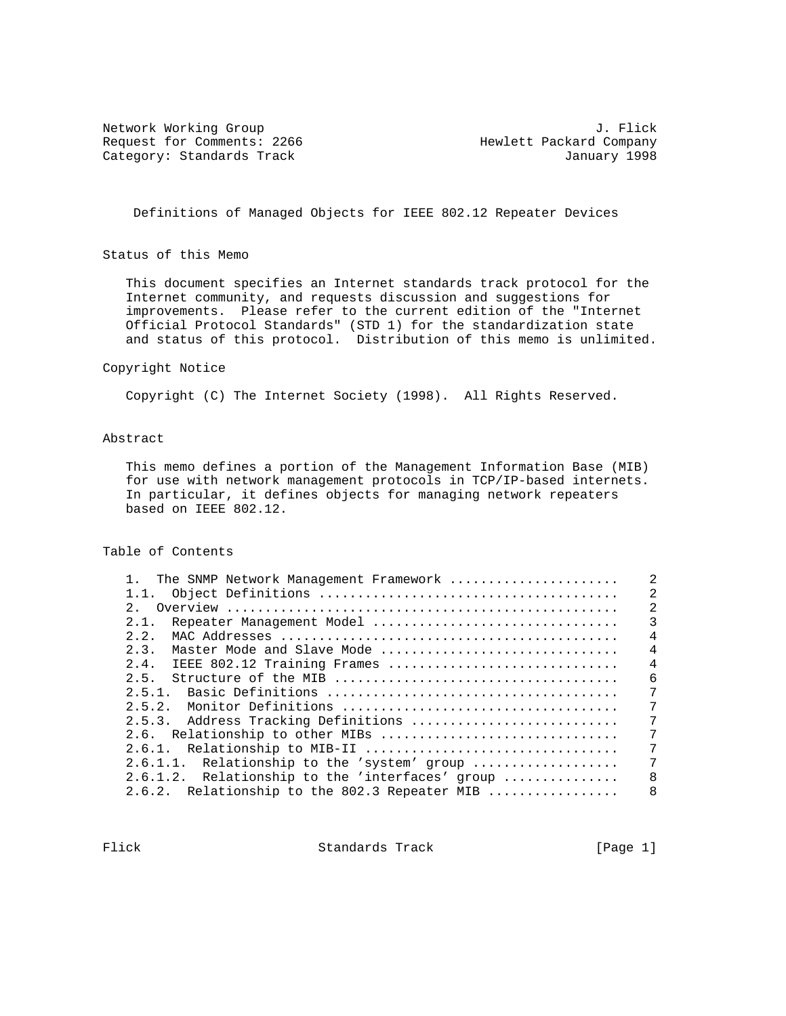Request for Comments: 2266 Hewlett Packard Company Category: Standards Track January 1998

Network Working Group 3. The Second Second Second Second Second Second Second Second Second Second Second Second Second Second Second Second Second Second Second Second Second Second Second Second Second Second Second Seco

Definitions of Managed Objects for IEEE 802.12 Repeater Devices

Status of this Memo

 This document specifies an Internet standards track protocol for the Internet community, and requests discussion and suggestions for improvements. Please refer to the current edition of the "Internet Official Protocol Standards" (STD 1) for the standardization state and status of this protocol. Distribution of this memo is unlimited.

#### Copyright Notice

Copyright (C) The Internet Society (1998). All Rights Reserved.

## Abstract

 This memo defines a portion of the Management Information Base (MIB) for use with network management protocols in TCP/IP-based internets. In particular, it defines objects for managing network repeaters based on IEEE 802.12.

## Table of Contents

| 1. The SNMP Network Management Framework        | $\overline{2}$ |
|-------------------------------------------------|----------------|
| 1.1.                                            | $\overline{2}$ |
| 2 <sub>1</sub>                                  | $\overline{2}$ |
| Repeater Management Model<br>2.1.               | $\overline{3}$ |
| 2.2.                                            | $\overline{4}$ |
| 2.3.<br>Master Mode and Slave Mode              | $\overline{4}$ |
| 2.4.<br>IEEE 802.12 Training Frames             | $\overline{4}$ |
| 2.5.                                            | 6              |
|                                                 | 7              |
|                                                 | 7              |
| 2.5.3. Address Tracking Definitions             | 7              |
| 2.6. Relationship to other MIBs                 | 7              |
|                                                 | 7              |
| 2.6.1.1. Relationship to the 'system' group     | 7              |
| 2.6.1.2. Relationship to the 'interfaces' group | 8              |
| 2.6.2. Relationship to the 802.3 Repeater MIB   | 8              |
|                                                 |                |

Flick Standards Track [Page 1]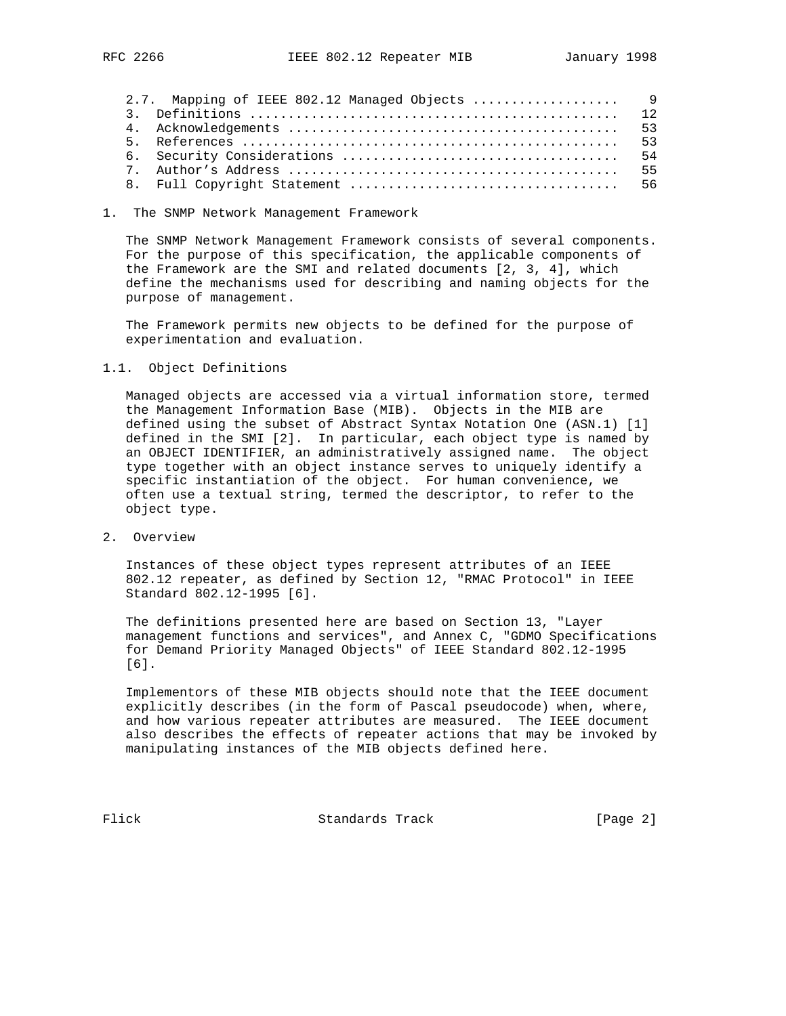| 2.7. Mapping of IEEE 802.12 Managed Objects  9 |  |
|------------------------------------------------|--|
|                                                |  |
|                                                |  |
|                                                |  |
|                                                |  |
|                                                |  |
|                                                |  |

#### 1. The SNMP Network Management Framework

 The SNMP Network Management Framework consists of several components. For the purpose of this specification, the applicable components of the Framework are the SMI and related documents [2, 3, 4], which define the mechanisms used for describing and naming objects for the purpose of management.

 The Framework permits new objects to be defined for the purpose of experimentation and evaluation.

### 1.1. Object Definitions

 Managed objects are accessed via a virtual information store, termed the Management Information Base (MIB). Objects in the MIB are defined using the subset of Abstract Syntax Notation One (ASN.1) [1] defined in the SMI [2]. In particular, each object type is named by an OBJECT IDENTIFIER, an administratively assigned name. The object type together with an object instance serves to uniquely identify a specific instantiation of the object. For human convenience, we often use a textual string, termed the descriptor, to refer to the object type.

2. Overview

 Instances of these object types represent attributes of an IEEE 802.12 repeater, as defined by Section 12, "RMAC Protocol" in IEEE Standard 802.12-1995 [6].

 The definitions presented here are based on Section 13, "Layer management functions and services", and Annex C, "GDMO Specifications for Demand Priority Managed Objects" of IEEE Standard 802.12-1995 [6].

 Implementors of these MIB objects should note that the IEEE document explicitly describes (in the form of Pascal pseudocode) when, where, and how various repeater attributes are measured. The IEEE document also describes the effects of repeater actions that may be invoked by manipulating instances of the MIB objects defined here.

Flick Standards Track [Page 2]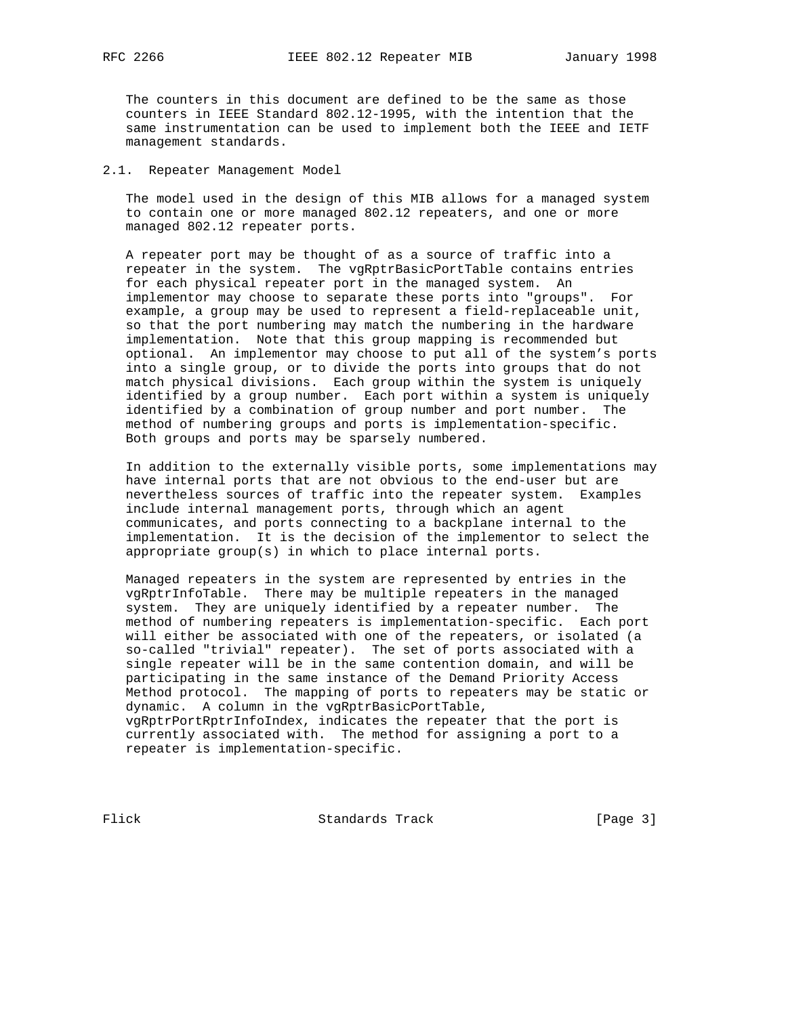The counters in this document are defined to be the same as those counters in IEEE Standard 802.12-1995, with the intention that the same instrumentation can be used to implement both the IEEE and IETF management standards.

#### 2.1. Repeater Management Model

 The model used in the design of this MIB allows for a managed system to contain one or more managed 802.12 repeaters, and one or more managed 802.12 repeater ports.

 A repeater port may be thought of as a source of traffic into a repeater in the system. The vgRptrBasicPortTable contains entries for each physical repeater port in the managed system. An implementor may choose to separate these ports into "groups". For example, a group may be used to represent a field-replaceable unit, so that the port numbering may match the numbering in the hardware implementation. Note that this group mapping is recommended but optional. An implementor may choose to put all of the system's ports into a single group, or to divide the ports into groups that do not match physical divisions. Each group within the system is uniquely identified by a group number. Each port within a system is uniquely identified by a combination of group number and port number. The method of numbering groups and ports is implementation-specific. Both groups and ports may be sparsely numbered.

 In addition to the externally visible ports, some implementations may have internal ports that are not obvious to the end-user but are nevertheless sources of traffic into the repeater system. Examples include internal management ports, through which an agent communicates, and ports connecting to a backplane internal to the implementation. It is the decision of the implementor to select the appropriate group(s) in which to place internal ports.

 Managed repeaters in the system are represented by entries in the vgRptrInfoTable. There may be multiple repeaters in the managed system. They are uniquely identified by a repeater number. The method of numbering repeaters is implementation-specific. Each port will either be associated with one of the repeaters, or isolated (a so-called "trivial" repeater). The set of ports associated with a single repeater will be in the same contention domain, and will be participating in the same instance of the Demand Priority Access Method protocol. The mapping of ports to repeaters may be static or dynamic. A column in the vgRptrBasicPortTable, vgRptrPortRptrInfoIndex, indicates the repeater that the port is currently associated with. The method for assigning a port to a repeater is implementation-specific.

Flick Standards Track [Page 3]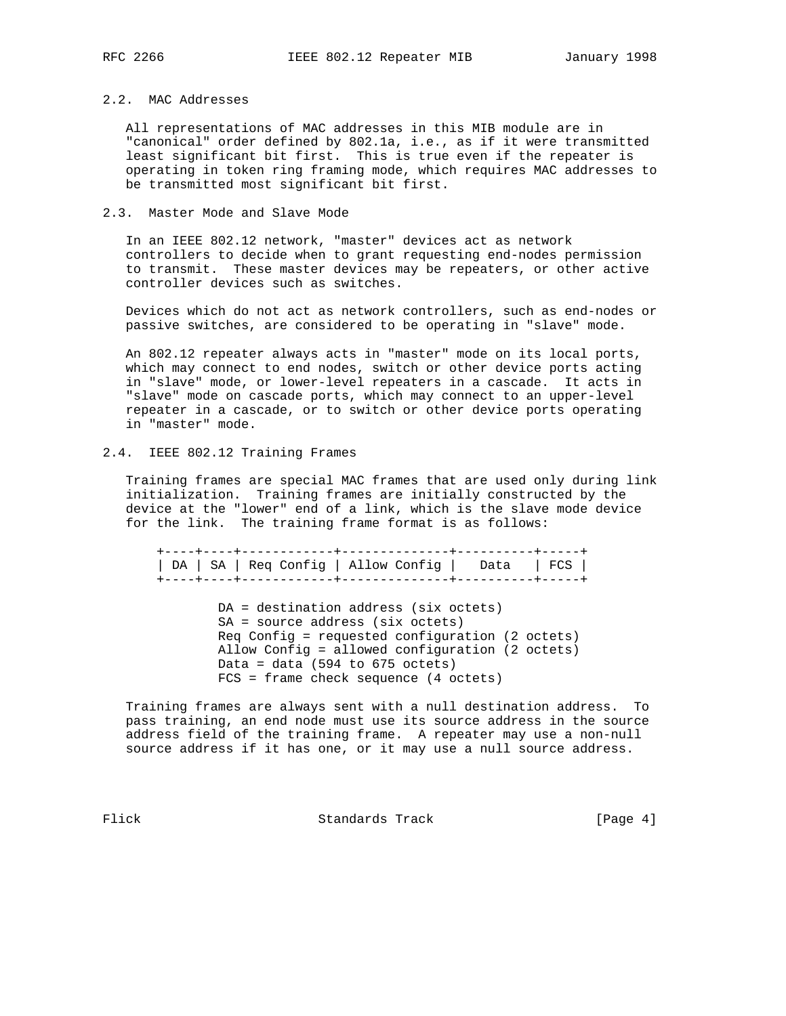### 2.2. MAC Addresses

 All representations of MAC addresses in this MIB module are in "canonical" order defined by 802.1a, i.e., as if it were transmitted least significant bit first. This is true even if the repeater is operating in token ring framing mode, which requires MAC addresses to be transmitted most significant bit first.

#### 2.3. Master Mode and Slave Mode

 In an IEEE 802.12 network, "master" devices act as network controllers to decide when to grant requesting end-nodes permission to transmit. These master devices may be repeaters, or other active controller devices such as switches.

 Devices which do not act as network controllers, such as end-nodes or passive switches, are considered to be operating in "slave" mode.

 An 802.12 repeater always acts in "master" mode on its local ports, which may connect to end nodes, switch or other device ports acting in "slave" mode, or lower-level repeaters in a cascade. It acts in "slave" mode on cascade ports, which may connect to an upper-level repeater in a cascade, or to switch or other device ports operating in "master" mode.

## 2.4. IEEE 802.12 Training Frames

 Training frames are special MAC frames that are used only during link initialization. Training frames are initially constructed by the device at the "lower" end of a link, which is the slave mode device for the link. The training frame format is as follows:

 +----+----+------------+--------------+----------+-----+ | DA | SA | Req Config | Allow Config | Data | FCS | +----+----+------------+--------------+----------+-----+

> DA = destination address (six octets) SA = source address (six octets) Req Config = requested configuration (2 octets) Allow Config = allowed configuration (2 octets) Data = data  $(594$  to  $675$  octets) FCS = frame check sequence (4 octets)

 Training frames are always sent with a null destination address. To pass training, an end node must use its source address in the source address field of the training frame. A repeater may use a non-null source address if it has one, or it may use a null source address.

Flick Standards Track [Page 4]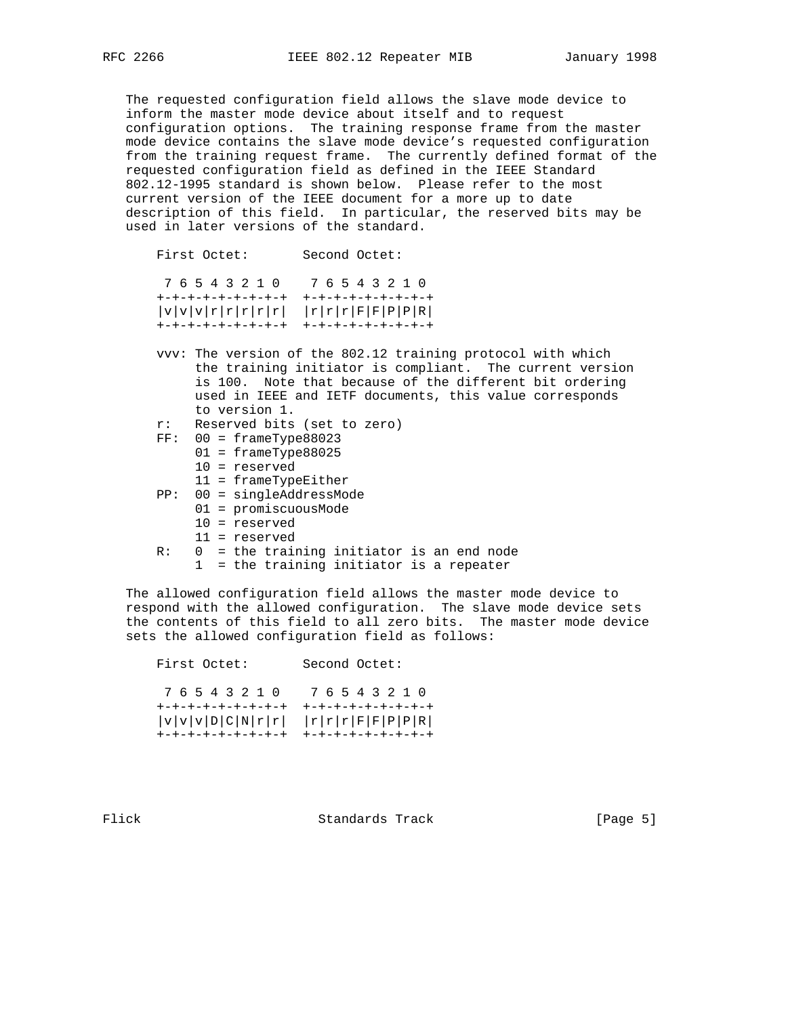The requested configuration field allows the slave mode device to inform the master mode device about itself and to request configuration options. The training response frame from the master mode device contains the slave mode device's requested configuration from the training request frame. The currently defined format of the requested configuration field as defined in the IEEE Standard 802.12-1995 standard is shown below. Please refer to the most current version of the IEEE document for a more up to date description of this field. In particular, the reserved bits may be used in later versions of the standard.

 First Octet: Second Octet: 7 6 5 4 3 2 1 0 7 6 5 4 3 2 1 0 +-+-+-+-+-+-+-+-+ +-+-+-+-+-+-+-+-+  $|v|v|v|r|r|r|r|$   $|r|F|r|r|F|F|F|P|P|R|$  +-+-+-+-+-+-+-+-+ +-+-+-+-+-+-+-+-+ vvv: The version of the 802.12 training protocol with which the training initiator is compliant. The current version is 100. Note that because of the different bit ordering used in IEEE and IETF documents, this value corresponds to version 1. r: Reserved bits (set to zero) FF: 00 = frameType88023 01 = frameType88025 10 = reserved 11 = frameTypeEither PP: 00 = singleAddressMode 01 = promiscuousMode 10 = reserved 11 = reserved R: 0 = the training initiator is an end node

 The allowed configuration field allows the master mode device to respond with the allowed configuration. The slave mode device sets the contents of this field to all zero bits. The master mode device sets the allowed configuration field as follows:

1 = the training initiator is a repeater

 First Octet: Second Octet: 7 6 5 4 3 2 1 0 7 6 5 4 3 2 1 0 +-+-+-+-+-+-+-+-+ +-+-+-+-+-+-+-+-+  $|v|v|v|D|C|N|r|r|$   $|r|r|r|F|F|P|P|R|$ +-+-+-+-+-+-+-+-+ +-+-+-+-+-+-+-+-+

Flick **Standards Track** [Page 5]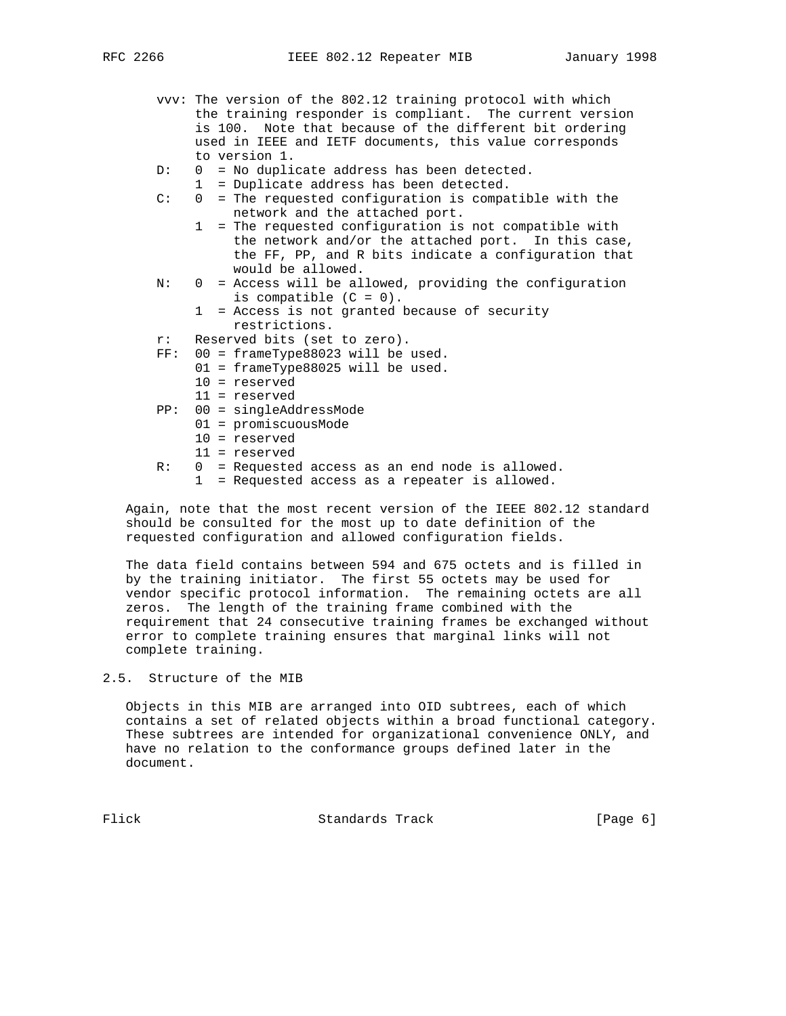- vvv: The version of the 802.12 training protocol with which the training responder is compliant. The current version is 100. Note that because of the different bit ordering used in IEEE and IETF documents, this value corresponds to version 1.
- D: 0 = No duplicate address has been detected.

1 = Duplicate address has been detected.

- C: 0 = The requested configuration is compatible with the network and the attached port.
	- 1 = The requested configuration is not compatible with the network and/or the attached port. In this case, the FF, PP, and R bits indicate a configuration that would be allowed.
- N: 0 = Access will be allowed, providing the configuration is compatible  $(C = 0)$ .
	- 1 = Access is not granted because of security restrictions.
- r: Reserved bits (set to zero).
- FF: 00 = frameType88023 will be used.
	- 01 = frameType88025 will be used.
		- 10 = reserved
		- 11 = reserved
- PP: 00 = singleAddressMode
	- 01 = promiscuousMode
	- 10 = reserved
	- 11 = reserved
- R: 0 = Requested access as an end node is allowed.
	- 1 = Requested access as a repeater is allowed.

 Again, note that the most recent version of the IEEE 802.12 standard should be consulted for the most up to date definition of the requested configuration and allowed configuration fields.

 The data field contains between 594 and 675 octets and is filled in by the training initiator. The first 55 octets may be used for vendor specific protocol information. The remaining octets are all zeros. The length of the training frame combined with the requirement that 24 consecutive training frames be exchanged without error to complete training ensures that marginal links will not complete training.

2.5. Structure of the MIB

 Objects in this MIB are arranged into OID subtrees, each of which contains a set of related objects within a broad functional category. These subtrees are intended for organizational convenience ONLY, and have no relation to the conformance groups defined later in the document.

Flick **Standards Track** [Page 6]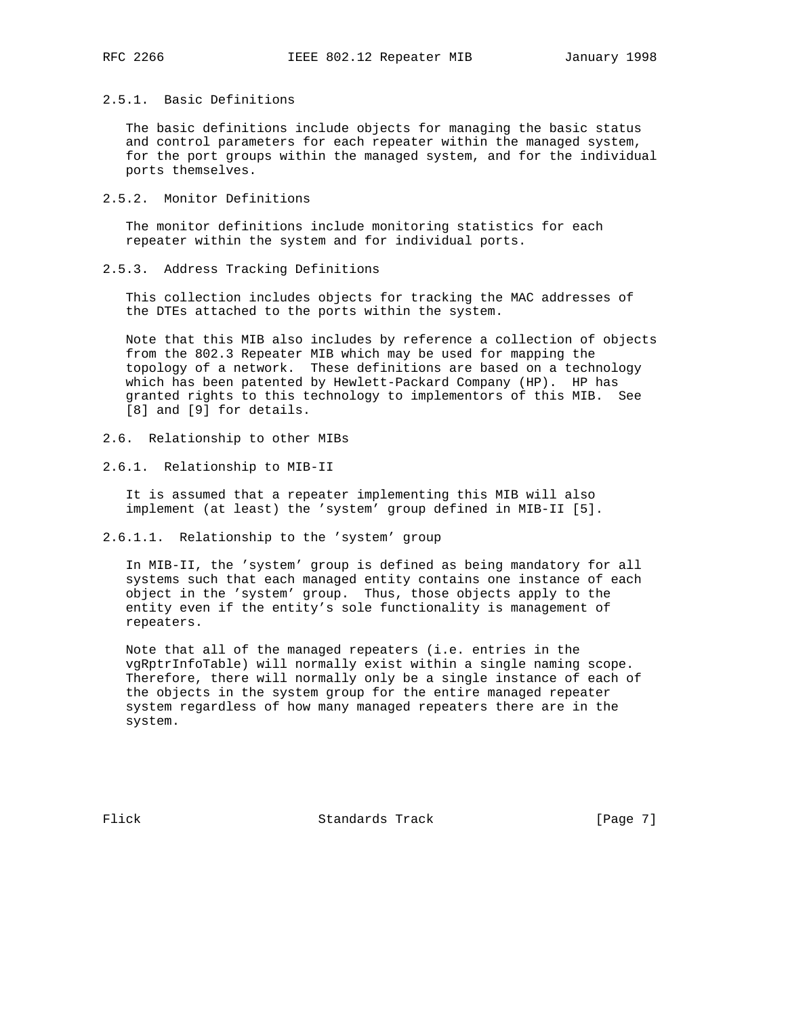## 2.5.1. Basic Definitions

 The basic definitions include objects for managing the basic status and control parameters for each repeater within the managed system, for the port groups within the managed system, and for the individual ports themselves.

2.5.2. Monitor Definitions

 The monitor definitions include monitoring statistics for each repeater within the system and for individual ports.

2.5.3. Address Tracking Definitions

 This collection includes objects for tracking the MAC addresses of the DTEs attached to the ports within the system.

 Note that this MIB also includes by reference a collection of objects from the 802.3 Repeater MIB which may be used for mapping the topology of a network. These definitions are based on a technology which has been patented by Hewlett-Packard Company (HP). HP has granted rights to this technology to implementors of this MIB. See [8] and [9] for details.

- 2.6. Relationship to other MIBs
- 2.6.1. Relationship to MIB-II

 It is assumed that a repeater implementing this MIB will also implement (at least) the 'system' group defined in MIB-II [5].

2.6.1.1. Relationship to the 'system' group

 In MIB-II, the 'system' group is defined as being mandatory for all systems such that each managed entity contains one instance of each object in the 'system' group. Thus, those objects apply to the entity even if the entity's sole functionality is management of repeaters.

 Note that all of the managed repeaters (i.e. entries in the vgRptrInfoTable) will normally exist within a single naming scope. Therefore, there will normally only be a single instance of each of the objects in the system group for the entire managed repeater system regardless of how many managed repeaters there are in the system.

Flick Standards Track [Page 7]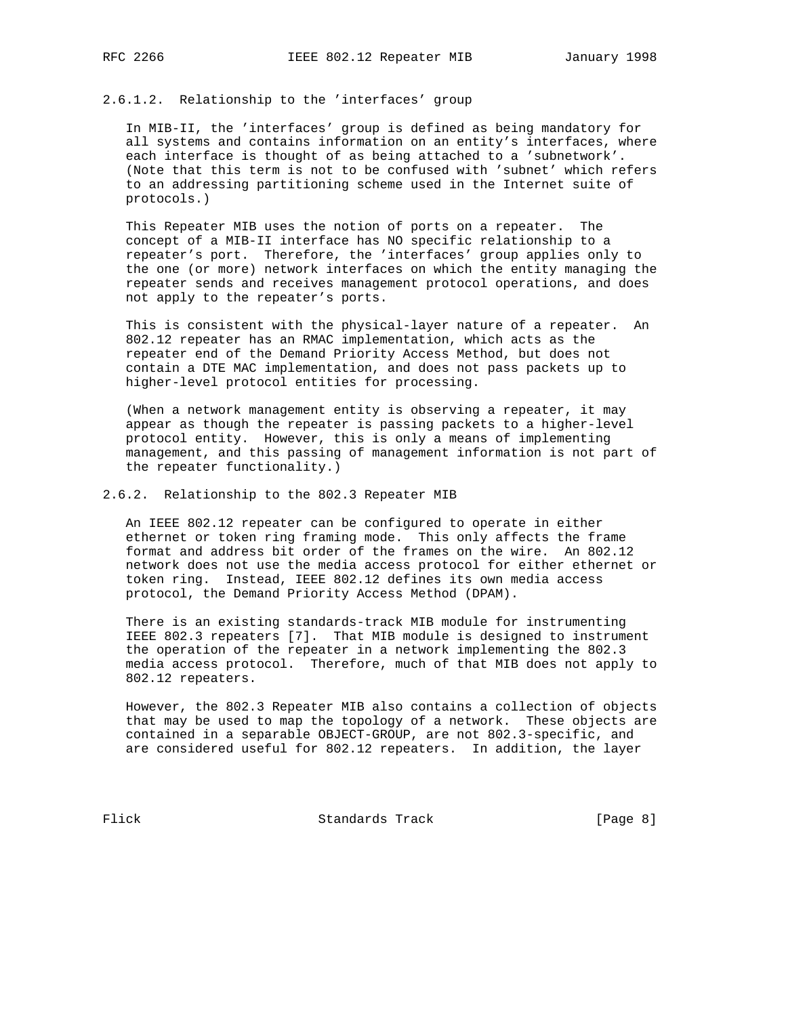2.6.1.2. Relationship to the 'interfaces' group

 In MIB-II, the 'interfaces' group is defined as being mandatory for all systems and contains information on an entity's interfaces, where each interface is thought of as being attached to a 'subnetwork'. (Note that this term is not to be confused with 'subnet' which refers to an addressing partitioning scheme used in the Internet suite of protocols.)

 This Repeater MIB uses the notion of ports on a repeater. The concept of a MIB-II interface has NO specific relationship to a repeater's port. Therefore, the 'interfaces' group applies only to the one (or more) network interfaces on which the entity managing the repeater sends and receives management protocol operations, and does not apply to the repeater's ports.

 This is consistent with the physical-layer nature of a repeater. An 802.12 repeater has an RMAC implementation, which acts as the repeater end of the Demand Priority Access Method, but does not contain a DTE MAC implementation, and does not pass packets up to higher-level protocol entities for processing.

 (When a network management entity is observing a repeater, it may appear as though the repeater is passing packets to a higher-level protocol entity. However, this is only a means of implementing management, and this passing of management information is not part of the repeater functionality.)

2.6.2. Relationship to the 802.3 Repeater MIB

 An IEEE 802.12 repeater can be configured to operate in either ethernet or token ring framing mode. This only affects the frame format and address bit order of the frames on the wire. An 802.12 network does not use the media access protocol for either ethernet or token ring. Instead, IEEE 802.12 defines its own media access protocol, the Demand Priority Access Method (DPAM).

 There is an existing standards-track MIB module for instrumenting IEEE 802.3 repeaters [7]. That MIB module is designed to instrument the operation of the repeater in a network implementing the 802.3 media access protocol. Therefore, much of that MIB does not apply to 802.12 repeaters.

 However, the 802.3 Repeater MIB also contains a collection of objects that may be used to map the topology of a network. These objects are contained in a separable OBJECT-GROUP, are not 802.3-specific, and are considered useful for 802.12 repeaters. In addition, the layer

Flick Standards Track [Page 8]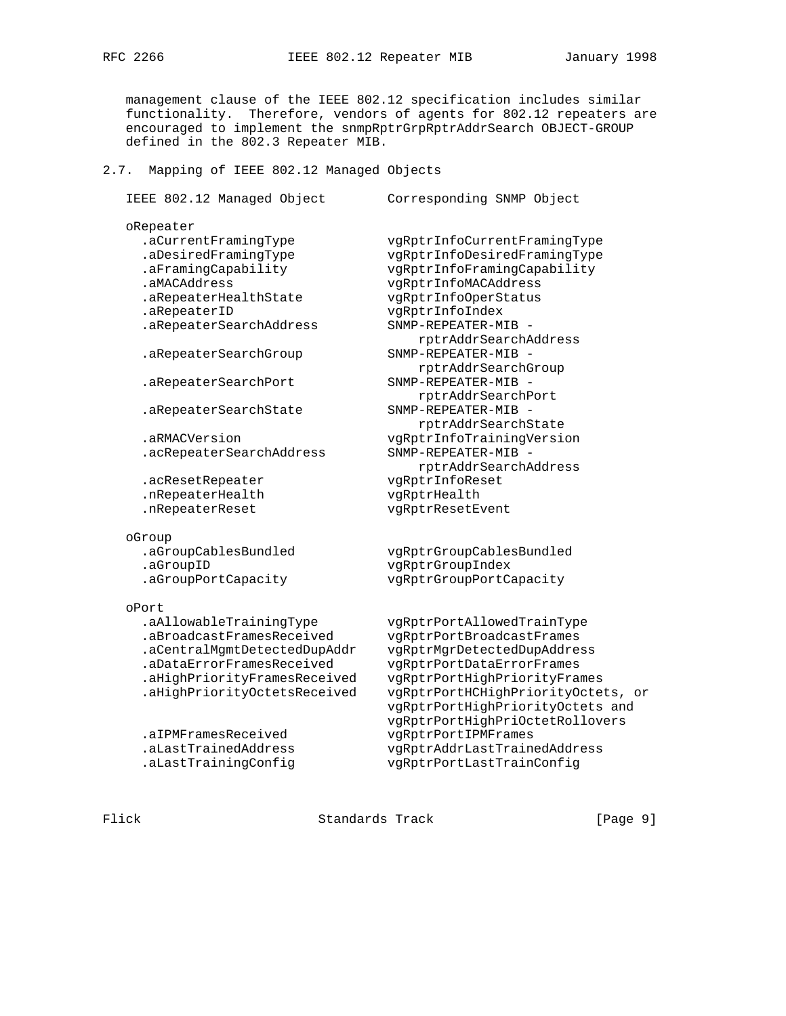management clause of the IEEE 802.12 specification includes similar functionality. Therefore, vendors of agents for 802.12 repeaters are encouraged to implement the snmpRptrGrpRptrAddrSearch OBJECT-GROUP defined in the 802.3 Repeater MIB.

#### 2.7. Mapping of IEEE 802.12 Managed Objects

```
 IEEE 802.12 Managed Object Corresponding SNMP Object
```

```
 oRepeater
```
 .aMACAddress vgRptrInfoMACAddress .aRepeaterHealthState vgRptrInfoOperStatus .aRepeaterID vgRptrInfoIndex .aRepeaterSearchAddress .aRepeaterSearchGroup SNMP-REPEATER-MIB -

.aRepeaterSearchPort SNMP-REPEATER-MIB -

```
 .acRepeaterSearchAddress SNMP-REPEATER-MIB -
```

```
 .nRepeaterHealth vgRptrHealth
 .nRepeaterReset vgRptrResetEvent
```
oGroup

```
 .aGroupID vgRptrGroupIndex
```
#### oPort

 .aBroadcastFramesReceived vgRptrPortBroadcastFrames .aCentralMgmtDetectedDupAddr vgRptrMgrDetectedDupAddress .aDataErrorFramesReceived vgRptrPortDataErrorFrames

 .aCurrentFramingType vgRptrInfoCurrentFramingType .aDesiredFramingType vgRptrInfoDesiredFramingType .aFramingCapability vgRptrInfoFramingCapability rptrAddrSearchAddress rptrAddrSearchGroup rptrAddrSearchPort .aRepeaterSearchState SNMP-REPEATER-MIB rptrAddrSearchState .aRMACVersion vgRptrInfoTrainingVersion rptrAddrSearchAddress .acResetRepeater vgRptrInfoReset

 .aGroupCablesBundled vgRptrGroupCablesBundled .aGroupPortCapacity vgRptrGroupPortCapacity

 .aAllowableTrainingType vgRptrPortAllowedTrainType .aHighPriorityFramesReceived vgRptrPortHighPriorityFrames .aHighPriorityOctetsReceived vgRptrPortHCHighPriorityOctets, or vgRptrPortHighPriorityOctets and vgRptrPortHighPriOctetRollovers .aIPMFramesReceived vgRptrPortIPMFrames .aLastTrainedAddress vgRptrAddrLastTrainedAddress .aLastTrainingConfig vgRptrPortLastTrainConfig

Flick **Standards Track** [Page 9]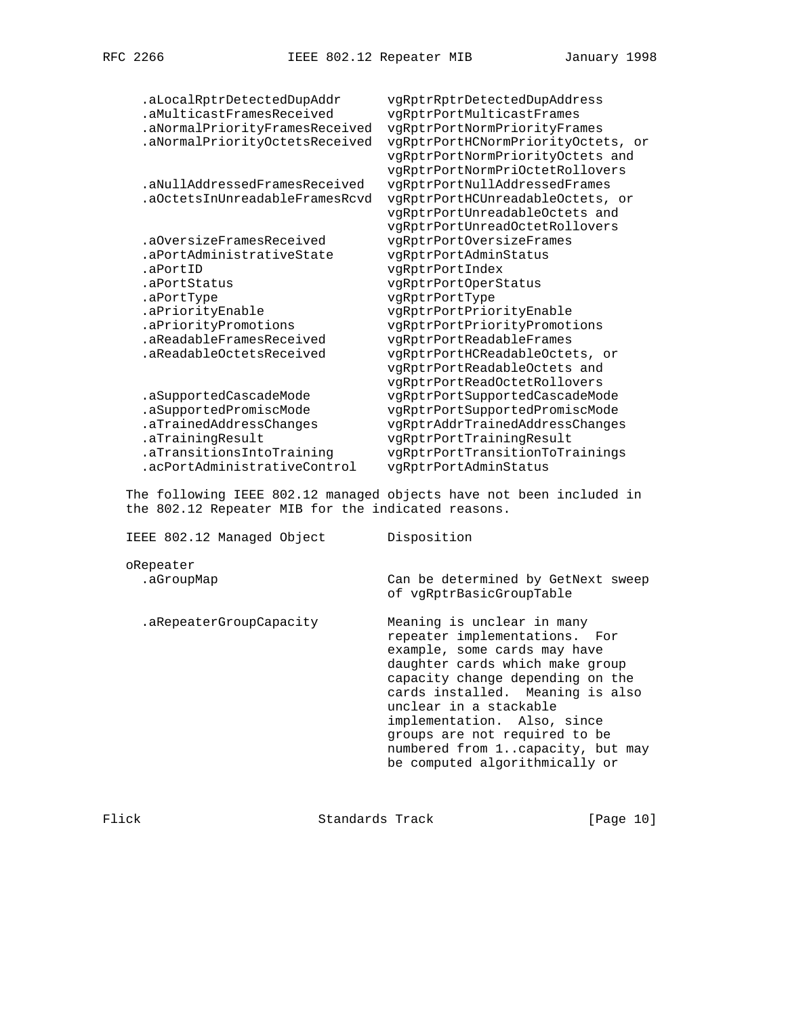| .aLocalRptrDetectedDupAddr     | vgRptrRptrDetectedDupAddress       |
|--------------------------------|------------------------------------|
| .aMulticastFramesReceived      | vgRptrPortMulticastFrames          |
| .aNormalPriorityFramesReceived | vgRptrPortNormPriorityFrames       |
| .aNormalPriorityOctetsReceived | vgRptrPortHCNormPriorityOctets, or |
|                                | vgRptrPortNormPriorityOctets and   |
|                                | vqRptrPortNormPriOctetRollovers    |
| .aNullAddressedFramesReceived  | vgRptrPortNullAddressedFrames      |
| .aOctetsInUnreadableFramesRcvd | vgRptrPortHCUnreadableOctets, or   |
|                                | vgRptrPortUnreadableOctets and     |
|                                | vgRptrPortUnreadOctetRollovers     |
| .aOversizeFramesReceived       | vgRptrPortOversizeFrames           |
| .aPortAdministrativeState      | vgRptrPortAdminStatus              |
| .aPortID                       | vgRptrPortIndex                    |
| .aPortStatus                   | vqRptrPortOperStatus               |
| .aPortType                     | vgRptrPortType                     |
| .aPriorityEnable               | vgRptrPortPriorityEnable           |
| .aPriorityPromotions           | vgRptrPortPriorityPromotions       |
| .aReadableFramesReceived       | vgRptrPortReadableFrames           |
| .aReadableOctetsReceived       | vqRptrPortHCReadableOctets, or     |
|                                | vgRptrPortReadableOctets and       |
|                                | vqRptrPortReadOctetRollovers       |
| .aSupportedCascadeMode         | vqRptrPortSupportedCascadeMode     |
| .aSupportedPromiscMode         | vqRptrPortSupportedPromiscMode     |
| .aTrainedAddressChanges        | vgRptrAddrTrainedAddressChanges    |
| .aTrainingResult               | vgRptrPortTrainingResult           |
| .aTransitionsIntoTraining      | vgRptrPortTransitionToTrainings    |
| .acPortAdministrativeControl   | vqRptrPortAdminStatus              |

 The following IEEE 802.12 managed objects have not been included in the 802.12 Repeater MIB for the indicated reasons.

 IEEE 802.12 Managed Object Disposition oRepeater .aGroupMap Can be determined by GetNext sweep of vgRptrBasicGroupTable .aRepeaterGroupCapacity Meaning is unclear in many repeater implementations. For example, some cards may have daughter cards which make group capacity change depending on the cards installed. Meaning is also unclear in a stackable implementation. Also, since groups are not required to be numbered from 1..capacity, but may be computed algorithmically or

Flick Standards Track [Page 10]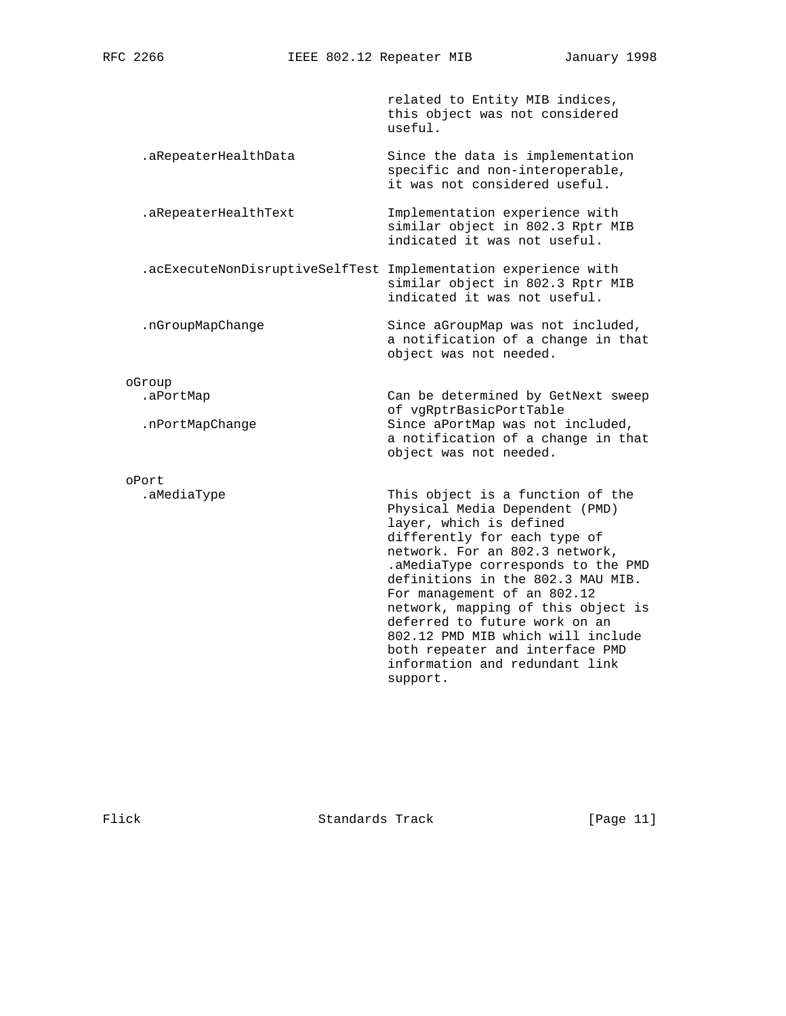related to Entity MIB indices, this object was not considered useful.

.aRepeaterHealthData Since the data is implementation specific and non-interoperable, it was not considered useful.

 .aRepeaterHealthText Implementation experience with similar object in 802.3 Rptr MIB indicated it was not useful.

 .acExecuteNonDisruptiveSelfTest Implementation experience with similar object in 802.3 Rptr MIB indicated it was not useful.

.nGroupMapChange Since aGroupMap was not included,

oGroup

oPort<br>.aMediaType

.aPortMap Can be determined by GetNext sweep of vgRptrBasicPortTable<br>: nPortMapChange Since aPortMap was not Since aPortMap was not included, a notification of a change in that object was not needed.

a notification of a change in that

object was not needed.

This object is a function of the Physical Media Dependent (PMD) layer, which is defined differently for each type of network. For an 802.3 network, .aMediaType corresponds to the PMD definitions in the 802.3 MAU MIB. For management of an 802.12 network, mapping of this object is deferred to future work on an 802.12 PMD MIB which will include both repeater and interface PMD information and redundant link support.

Flick Standards Track [Page 11]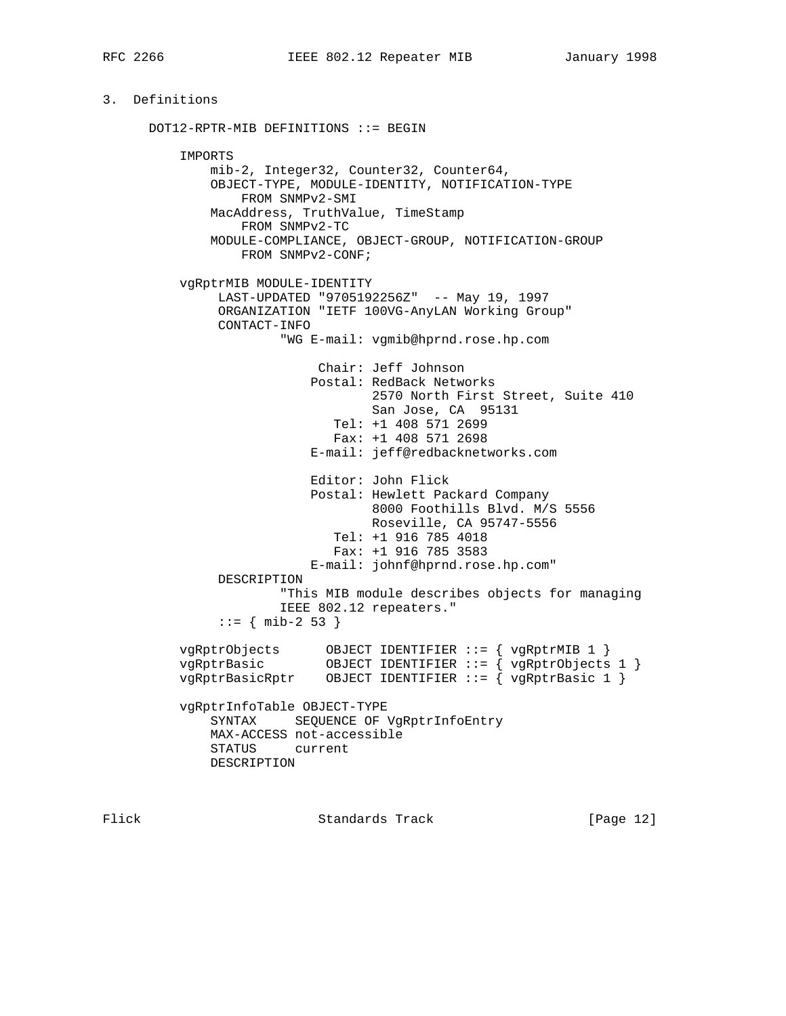## 3. Definitions

 DOT12-RPTR-MIB DEFINITIONS ::= BEGIN IMPORTS mib-2, Integer32, Counter32, Counter64, OBJECT-TYPE, MODULE-IDENTITY, NOTIFICATION-TYPE FROM SNMPv2-SMI MacAddress, TruthValue, TimeStamp FROM SNMPv2-TC MODULE-COMPLIANCE, OBJECT-GROUP, NOTIFICATION-GROUP FROM SNMPv2-CONF; vgRptrMIB MODULE-IDENTITY LAST-UPDATED "9705192256Z" -- May 19, 1997 ORGANIZATION "IETF 100VG-AnyLAN Working Group" CONTACT-INFO "WG E-mail: vgmib@hprnd.rose.hp.com Chair: Jeff Johnson Postal: RedBack Networks 2570 North First Street, Suite 410 San Jose, CA 95131 Tel: +1 408 571 2699 Fax: +1 408 571 2698 E-mail: jeff@redbacknetworks.com Editor: John Flick Postal: Hewlett Packard Company 8000 Foothills Blvd. M/S 5556 Roseville, CA 95747-5556 Tel: +1 916 785 4018 Fax: +1 916 785 3583 E-mail: johnf@hprnd.rose.hp.com" DESCRIPTION "This MIB module describes objects for managing IEEE 802.12 repeaters."  $::=$  { mib-2 53 } vgRptrObjects OBJECT IDENTIFIER ::= { vgRptrMIB 1 } vgRptrBasic OBJECT IDENTIFIER ::= { vgRptrObjects 1 } vgRptrBasicRptr OBJECT IDENTIFIER ::= { vgRptrBasic 1 } vgRptrInfoTable OBJECT-TYPE SYNTAX SEQUENCE OF VgRptrInfoEntry MAX-ACCESS not-accessible STATUS current DESCRIPTION

Flick **Standards Track** [Page 12]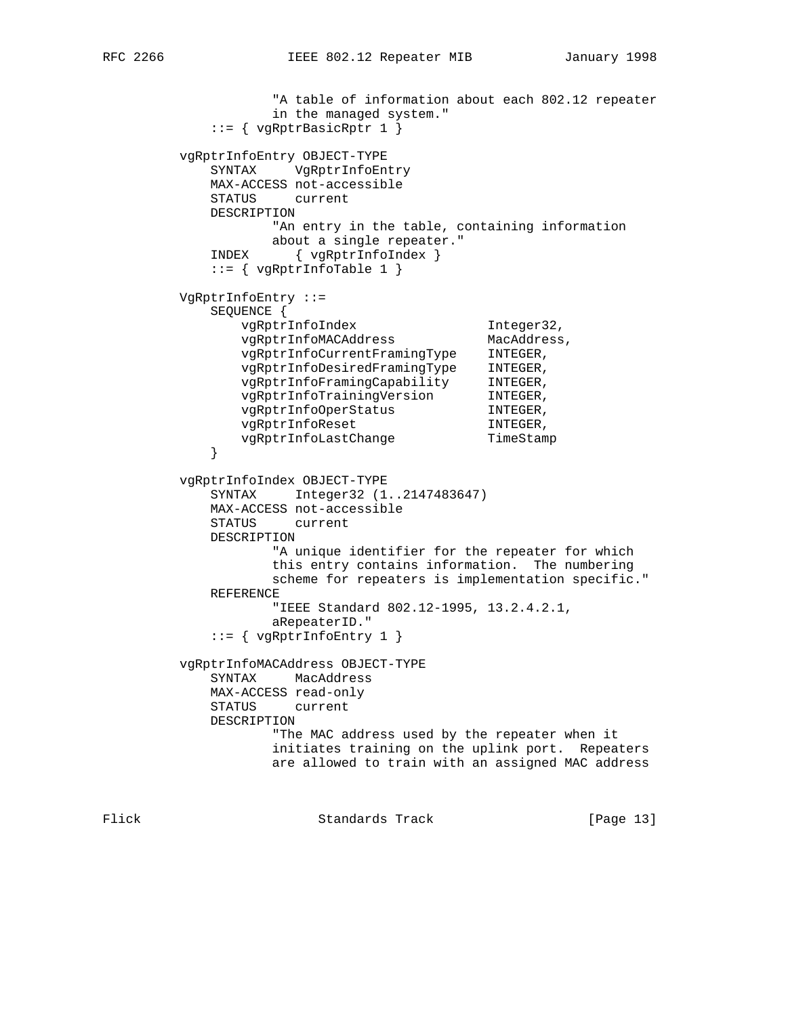```
 "A table of information about each 802.12 repeater
                   in the managed system."
             ::= { vgRptrBasicRptr 1 }
         vgRptrInfoEntry OBJECT-TYPE
            SYNTAX VgRptrInfoEntry
            MAX-ACCESS not-accessible
            STATUS current
            DESCRIPTION
                   "An entry in the table, containing information
                  about a single repeater."
            INDEX { vgRptrInfoIndex }
            ::= { vgRptrInfoTable 1 }
         VgRptrInfoEntry ::=
            SEQUENCE {
vgRptrInfoIndex 1nteger32,
 vgRptrInfoMACAddress MacAddress,
 vgRptrInfoCurrentFramingType INTEGER,
 vgRptrInfoDesiredFramingType INTEGER,
 vgRptrInfoFramingCapability INTEGER,
 vgRptrInfoTrainingVersion INTEGER,
 vgRptrInfoOperStatus INTEGER,
vgRptrInfoReset Manuel INTEGER,
           vgRptrInfoLastChange TimeStamp
 }
         vgRptrInfoIndex OBJECT-TYPE
            SYNTAX Integer32 (1..2147483647)
            MAX-ACCESS not-accessible
            STATUS current
            DESCRIPTION
                   "A unique identifier for the repeater for which
                   this entry contains information. The numbering
                   scheme for repeaters is implementation specific."
            REFERENCE
                   "IEEE Standard 802.12-1995, 13.2.4.2.1,
                   aRepeaterID."
            ::= { vgRptrInfoEntry 1 }
         vgRptrInfoMACAddress OBJECT-TYPE
            SYNTAX MacAddress
            MAX-ACCESS read-only
            STATUS current
            DESCRIPTION
                   "The MAC address used by the repeater when it
                   initiates training on the uplink port. Repeaters
                   are allowed to train with an assigned MAC address
```
Flick Standards Track [Page 13]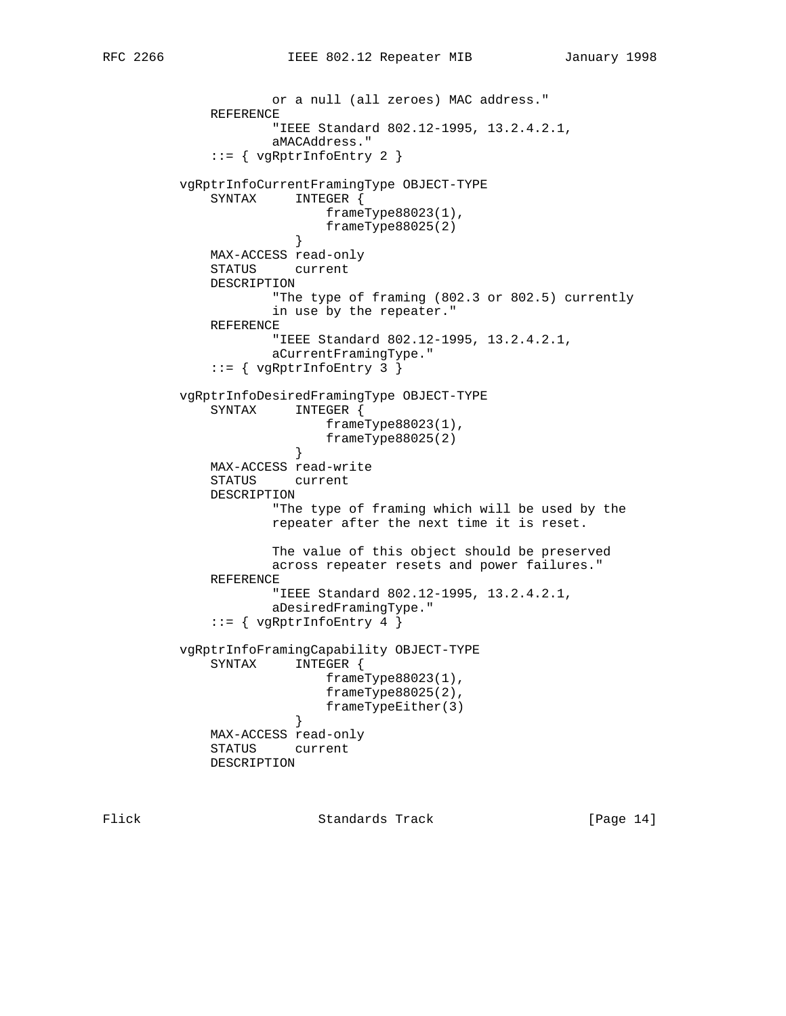or a null (all zeroes) MAC address." REFERENCE "IEEE Standard 802.12-1995, 13.2.4.2.1, aMACAddress." ::= { vgRptrInfoEntry 2 } vgRptrInfoCurrentFramingType OBJECT-TYPE SYNTAX INTEGER { frameType88023(1),  $frameType88025(2)$  } MAX-ACCESS read-only STATUS current DESCRIPTION "The type of framing (802.3 or 802.5) currently in use by the repeater." REFERENCE "IEEE Standard 802.12-1995, 13.2.4.2.1, aCurrentFramingType."  $::=$  { vgRptrInfoEntry 3 } vgRptrInfoDesiredFramingType OBJECT-TYPE SYNTAX INTEGER { frameType88023(1),  $frameType88025(2)$  } MAX-ACCESS read-write STATUS current DESCRIPTION "The type of framing which will be used by the repeater after the next time it is reset. The value of this object should be preserved across repeater resets and power failures." REFERENCE "IEEE Standard 802.12-1995, 13.2.4.2.1, aDesiredFramingType."  $::=$  { vgRptrInfoEntry 4 } vgRptrInfoFramingCapability OBJECT-TYPE SYNTAX INTEGER { frameType88023(1), frameType88025(2), frameTypeEither(3)<br>} } MAX-ACCESS read-only STATUS current DESCRIPTION

Flick Standards Track [Page 14]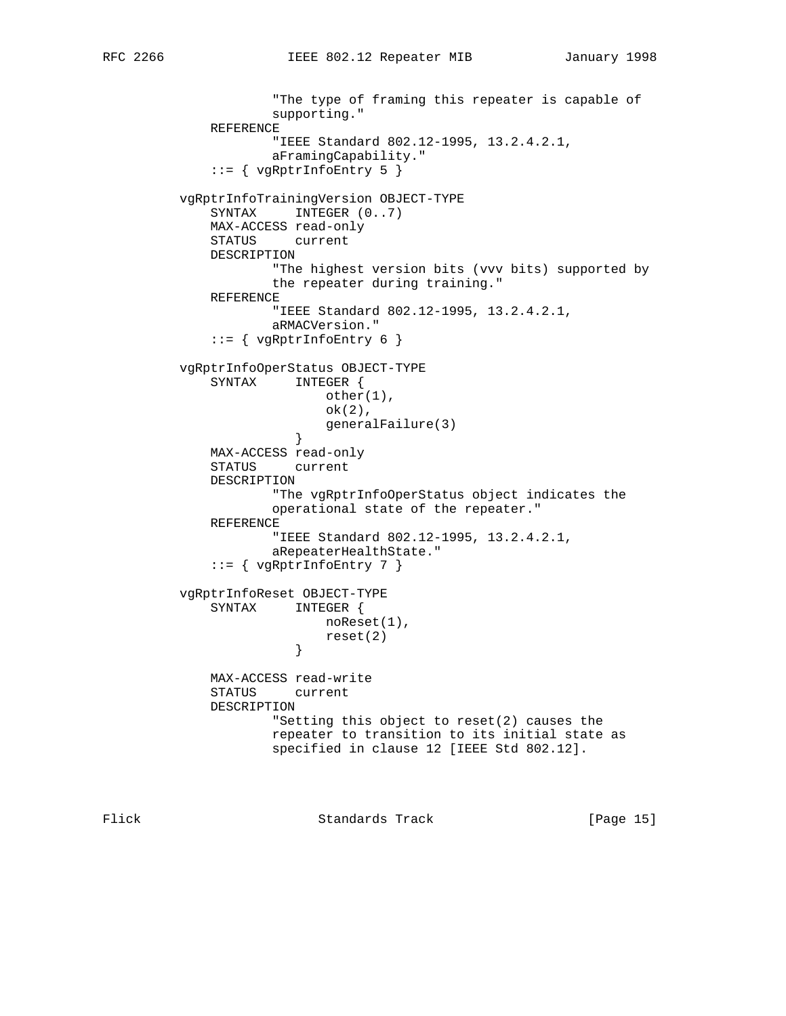```
 "The type of framing this repeater is capable of
                      supporting."
              REFERENCE
                      "IEEE Standard 802.12-1995, 13.2.4.2.1,
                      aFramingCapability."
             ::= { vgRptrInfoEntry 5 }
          vgRptrInfoTrainingVersion OBJECT-TYPE
             SYNTAX INTEGER (0..7) MAX-ACCESS read-only
              STATUS current
              DESCRIPTION
                      "The highest version bits (vvv bits) supported by
                      the repeater during training."
              REFERENCE
                      "IEEE Standard 802.12-1995, 13.2.4.2.1,
                      aRMACVersion."
              ::= { vgRptrInfoEntry 6 }
          vgRptrInfoOperStatus OBJECT-TYPE
              SYNTAX INTEGER {
                            other(1),
                            ok(2),
                       generalFailure(3)<br>}
 }
              MAX-ACCESS read-only
              STATUS current
              DESCRIPTION
                      "The vgRptrInfoOperStatus object indicates the
                      operational state of the repeater."
              REFERENCE
                      "IEEE Standard 802.12-1995, 13.2.4.2.1,
                      aRepeaterHealthState."
              ::= { vgRptrInfoEntry 7 }
          vgRptrInfoReset OBJECT-TYPE
              SYNTAX INTEGER {
                            noReset(1),
                        reset(2) }
              MAX-ACCESS read-write
              STATUS current
              DESCRIPTION
                      "Setting this object to reset(2) causes the
                      repeater to transition to its initial state as
                      specified in clause 12 [IEEE Std 802.12].
```
Flick **Standards Track** [Page 15]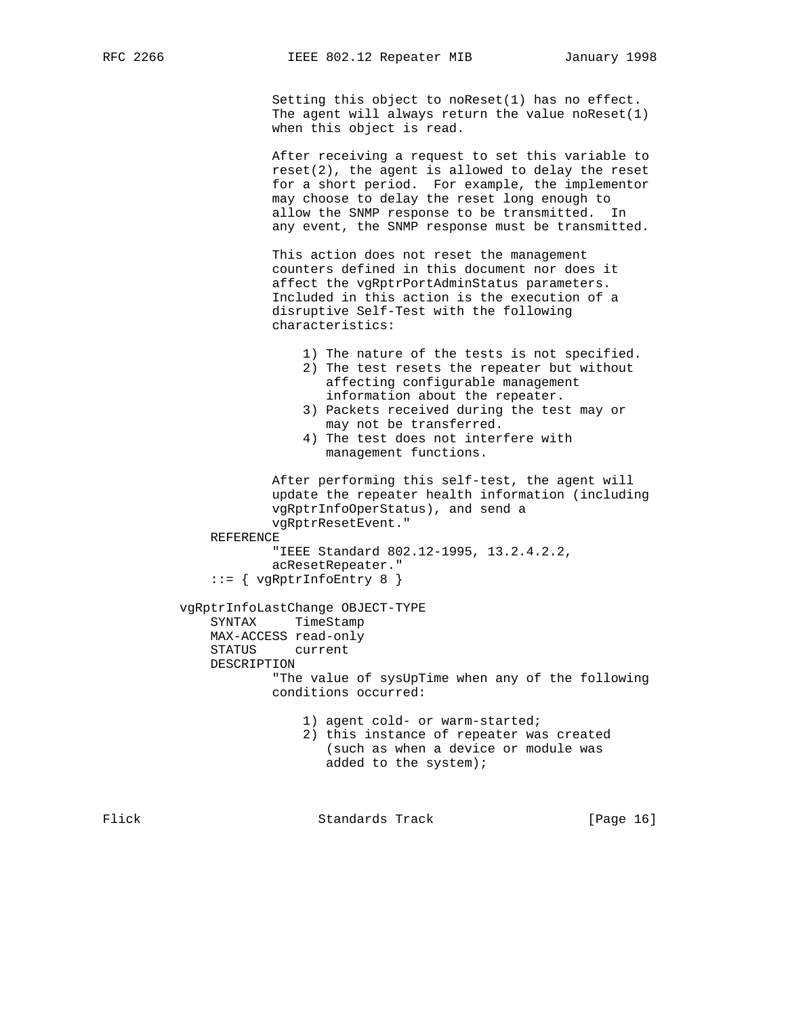Setting this object to noReset(1) has no effect. The agent will always return the value noReset(1) when this object is read.

 After receiving a request to set this variable to reset(2), the agent is allowed to delay the reset for a short period. For example, the implementor may choose to delay the reset long enough to allow the SNMP response to be transmitted. In any event, the SNMP response must be transmitted.

 This action does not reset the management counters defined in this document nor does it affect the vgRptrPortAdminStatus parameters. Included in this action is the execution of a disruptive Self-Test with the following characteristics:

```
 1) The nature of the tests is not specified.
                 2) The test resets the repeater but without
                    affecting configurable management
                    information about the repeater.
                 3) Packets received during the test may or
                    may not be transferred.
                 4) The test does not interfere with
                    management functions.
             After performing this self-test, the agent will
             update the repeater health information (including
             vgRptrInfoOperStatus), and send a
             vgRptrResetEvent."
     REFERENCE
             "IEEE Standard 802.12-1995, 13.2.4.2.2,
             acResetRepeater."
    ::= { vgRptrInfoEntry 8 }
 vgRptrInfoLastChange OBJECT-TYPE
     SYNTAX TimeStamp
     MAX-ACCESS read-only
     STATUS current
     DESCRIPTION
             "The value of sysUpTime when any of the following
             conditions occurred:
                 1) agent cold- or warm-started;
                 2) this instance of repeater was created
                    (such as when a device or module was
                    added to the system);
```
Flick **Standards Track** [Page 16]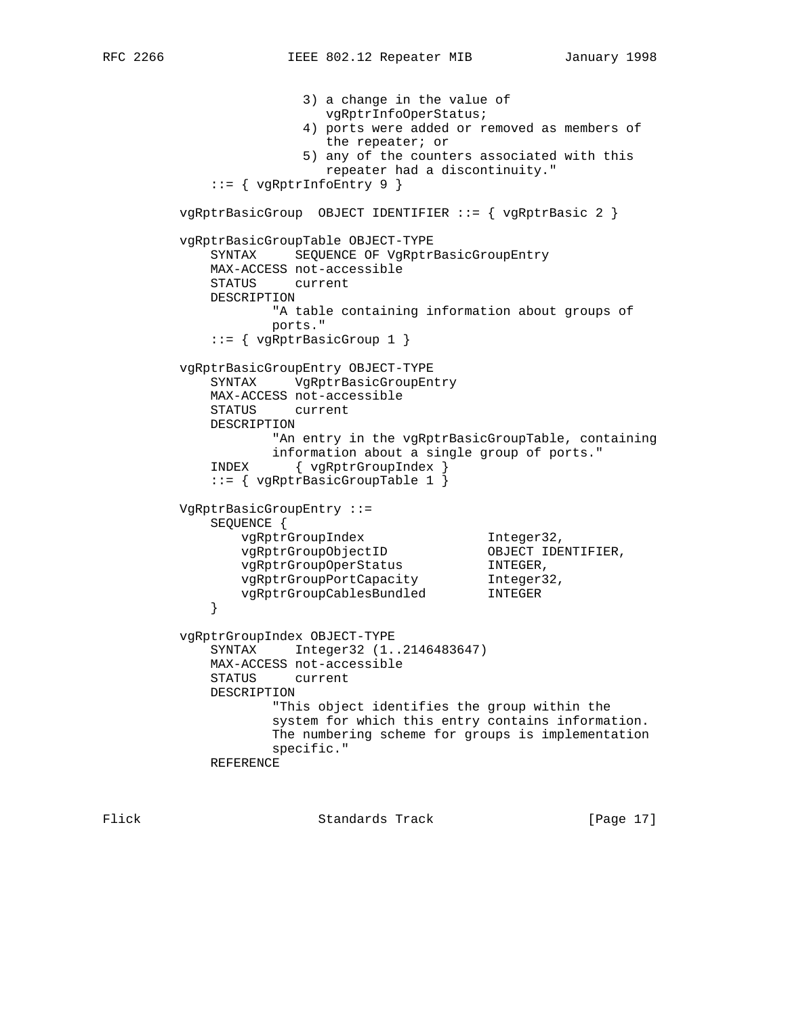3) a change in the value of vgRptrInfoOperStatus; 4) ports were added or removed as members of the repeater; or 5) any of the counters associated with this repeater had a discontinuity." ::= { vgRptrInfoEntry 9 } vgRptrBasicGroup OBJECT IDENTIFIER ::= { vgRptrBasic 2 } vgRptrBasicGroupTable OBJECT-TYPE SYNTAX SEQUENCE OF VgRptrBasicGroupEntry MAX-ACCESS not-accessible STATUS current DESCRIPTION "A table containing information about groups of ports." ::= { vgRptrBasicGroup 1 } vgRptrBasicGroupEntry OBJECT-TYPE SYNTAX VgRptrBasicGroupEntry MAX-ACCESS not-accessible STATUS current DESCRIPTION "An entry in the vgRptrBasicGroupTable, containing information about a single group of ports." INDEX { vgRptrGroupIndex } ::= { vgRptrBasicGroupTable 1 } VgRptrBasicGroupEntry ::= SEQUENCE {<br>
vgRptrGroupIndex<br>
vgRptrGroupObjectID<br>
vgRptrGroupOperStatus<br>
vgRptrGroupPortCapacity vgRptrGroupIndex **Integer32**, vgRptrGroupObjectID OBJECT IDENTIFIER, vgRptrGroupOperStatus INTEGER, vgRptrGroupPortCapacity Integer32, vgRptrGroupCablesBundled INTEGER } vgRptrGroupIndex OBJECT-TYPE SYNTAX Integer32 (1..2146483647) MAX-ACCESS not-accessible STATUS current DESCRIPTION "This object identifies the group within the system for which this entry contains information. The numbering scheme for groups is implementation specific." REFERENCE

Flick **Standards Track** [Page 17]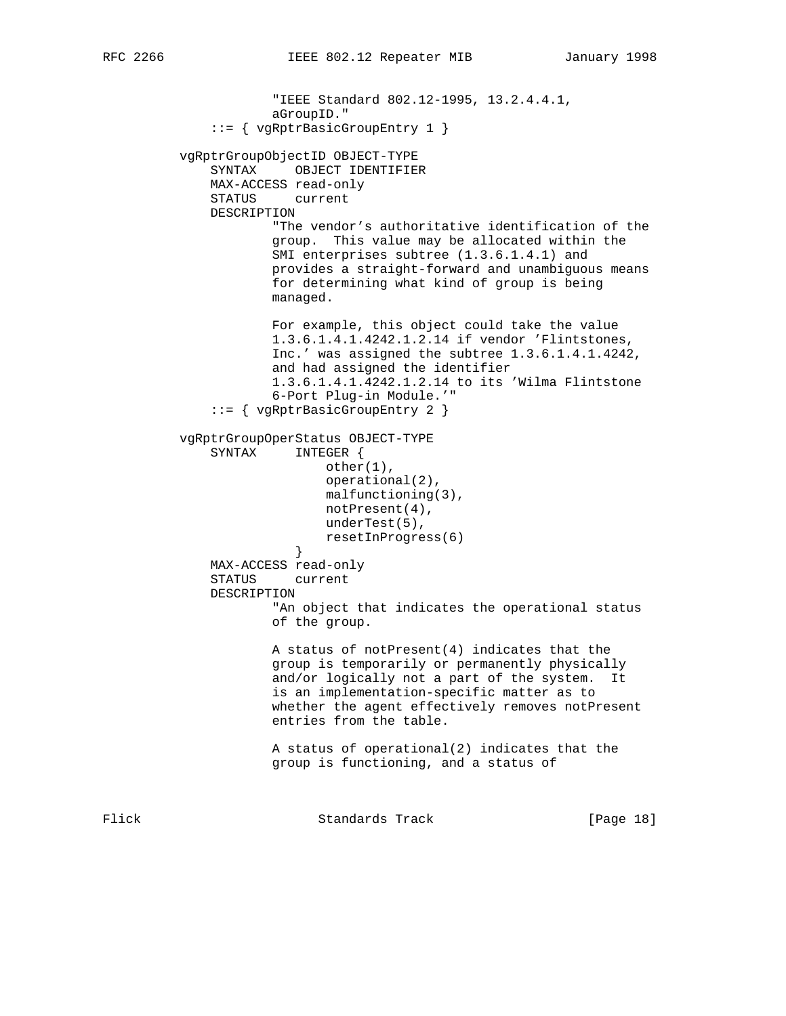```
 "IEEE Standard 802.12-1995, 13.2.4.4.1,
                      aGroupID."
               ::= { vgRptrBasicGroupEntry 1 }
          vgRptrGroupObjectID OBJECT-TYPE
              SYNTAX OBJECT IDENTIFIER
              MAX-ACCESS read-only
              STATUS current
              DESCRIPTION
                      "The vendor's authoritative identification of the
                      group. This value may be allocated within the
                     SMI enterprises subtree (1.3.6.1.4.1) and
                      provides a straight-forward and unambiguous means
                      for determining what kind of group is being
                      managed.
                      For example, this object could take the value
                      1.3.6.1.4.1.4242.1.2.14 if vendor 'Flintstones,
                      Inc.' was assigned the subtree 1.3.6.1.4.1.4242,
                      and had assigned the identifier
                      1.3.6.1.4.1.4242.1.2.14 to its 'Wilma Flintstone
                      6-Port Plug-in Module.'"
               ::= { vgRptrBasicGroupEntry 2 }
          vgRptrGroupOperStatus OBJECT-TYPE
              SYNTAX INTEGER {
                             other(1),
                             operational(2),
                             malfunctioning(3),
                             notPresent(4),
                            underTest(5),
                            resetInProgress(6)
 }
              MAX-ACCESS read-only
              STATUS current
              DESCRIPTION
                      "An object that indicates the operational status
                      of the group.
                      A status of notPresent(4) indicates that the
                      group is temporarily or permanently physically
                      and/or logically not a part of the system. It
                      is an implementation-specific matter as to
                      whether the agent effectively removes notPresent
                      entries from the table.
                      A status of operational(2) indicates that the
                      group is functioning, and a status of
Flick 6 Standards Track [Page 18]
```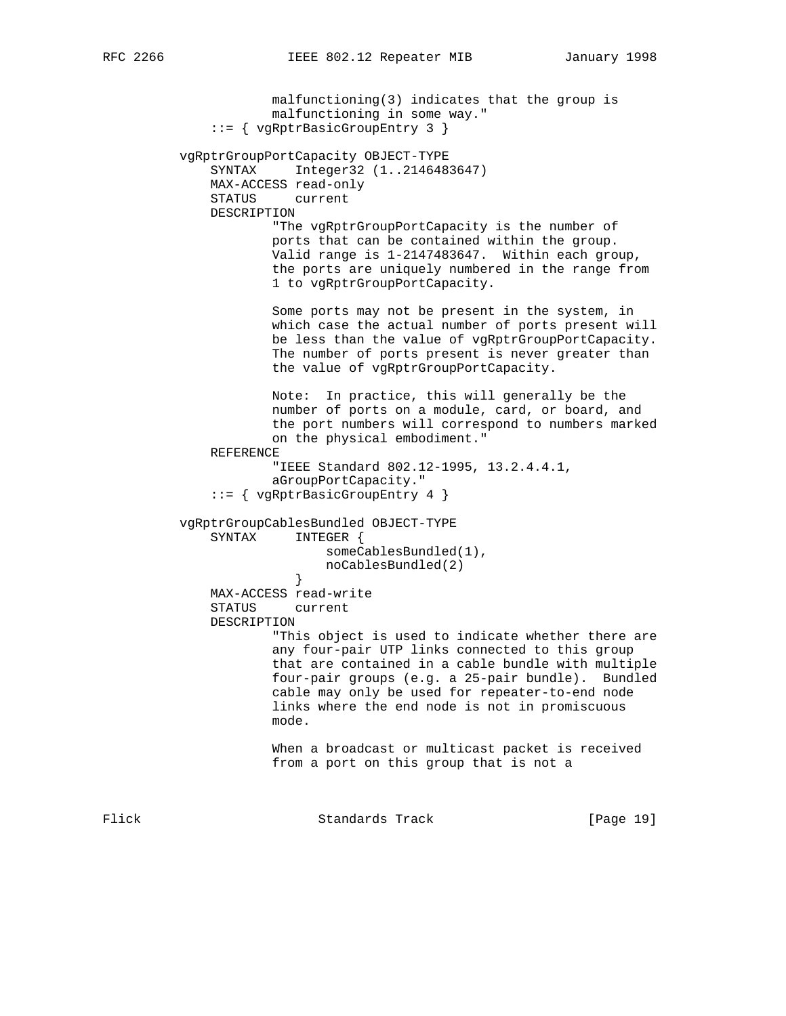```
 malfunctioning(3) indicates that the group is
                      malfunctioning in some way."
               ::= { vgRptrBasicGroupEntry 3 }
          vgRptrGroupPortCapacity OBJECT-TYPE
              SYNTAX Integer32 (1..2146483647)
              MAX-ACCESS read-only
              STATUS current
              DESCRIPTION
                       "The vgRptrGroupPortCapacity is the number of
                      ports that can be contained within the group.
                      Valid range is 1-2147483647. Within each group,
                       the ports are uniquely numbered in the range from
                       1 to vgRptrGroupPortCapacity.
                      Some ports may not be present in the system, in
                      which case the actual number of ports present will
                      be less than the value of vgRptrGroupPortCapacity.
                      The number of ports present is never greater than
                      the value of vgRptrGroupPortCapacity.
                      Note: In practice, this will generally be the
                      number of ports on a module, card, or board, and
                      the port numbers will correspond to numbers marked
                      on the physical embodiment."
              REFERENCE
                       "IEEE Standard 802.12-1995, 13.2.4.4.1,
                      aGroupPortCapacity."
               ::= { vgRptrBasicGroupEntry 4 }
          vgRptrGroupCablesBundled OBJECT-TYPE
              SYNTAX INTEGER {
                            someCablesBundled(1),
                        noCablesBundled(2)<br>}
 }
              MAX-ACCESS read-write
              STATUS current
              DESCRIPTION
                       "This object is used to indicate whether there are
                      any four-pair UTP links connected to this group
                       that are contained in a cable bundle with multiple
                      four-pair groups (e.g. a 25-pair bundle). Bundled
                      cable may only be used for repeater-to-end node
                      links where the end node is not in promiscuous
                      mode.
                      When a broadcast or multicast packet is received
                      from a port on this group that is not a
```
Flick **Standards Track** [Page 19]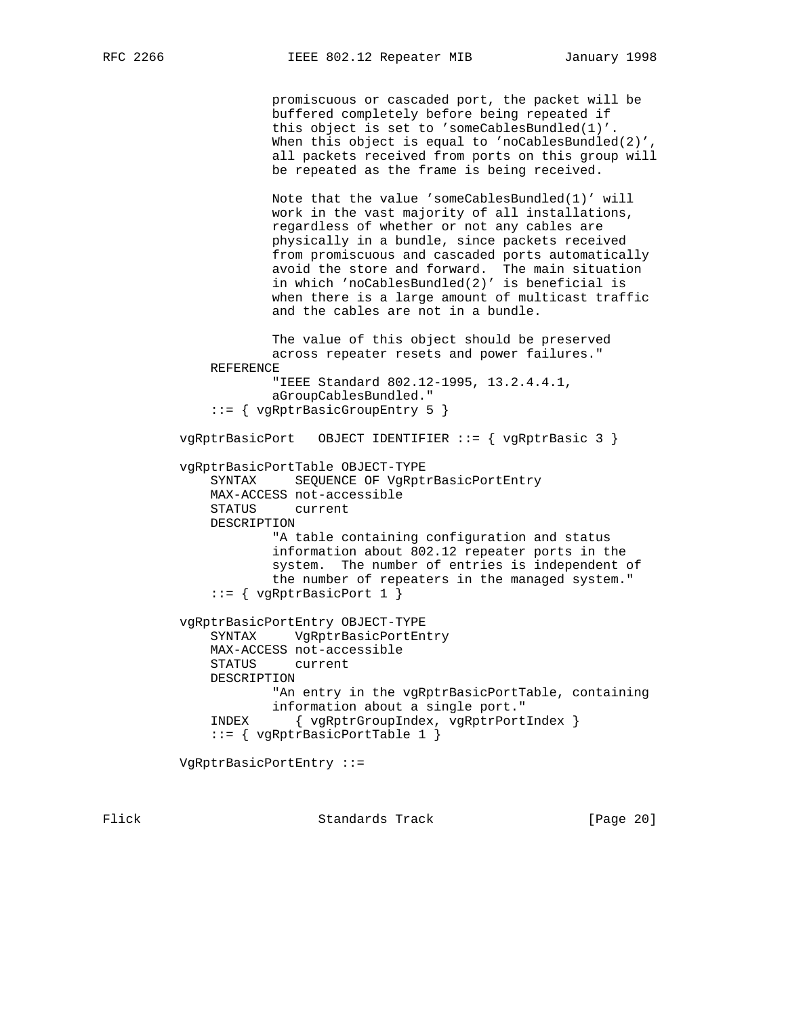promiscuous or cascaded port, the packet will be buffered completely before being repeated if this object is set to 'someCablesBundled(1)'. When this object is equal to 'noCablesBundled(2)', all packets received from ports on this group will be repeated as the frame is being received. Note that the value 'someCablesBundled(1)' will work in the vast majority of all installations, regardless of whether or not any cables are physically in a bundle, since packets received from promiscuous and cascaded ports automatically avoid the store and forward. The main situation in which 'noCablesBundled(2)' is beneficial is when there is a large amount of multicast traffic and the cables are not in a bundle. The value of this object should be preserved across repeater resets and power failures." REFERENCE "IEEE Standard 802.12-1995, 13.2.4.4.1, aGroupCablesBundled." ::= { vgRptrBasicGroupEntry 5 } vgRptrBasicPort OBJECT IDENTIFIER ::= { vgRptrBasic 3 } vgRptrBasicPortTable OBJECT-TYPE SYNTAX SEQUENCE OF VgRptrBasicPortEntry MAX-ACCESS not-accessible STATUS current DESCRIPTION "A table containing configuration and status information about 802.12 repeater ports in the system. The number of entries is independent of the number of repeaters in the managed system." ::= { vgRptrBasicPort 1 } vgRptrBasicPortEntry OBJECT-TYPE SYNTAX VgRptrBasicPortEntry MAX-ACCESS not-accessible STATUS current DESCRIPTION "An entry in the vgRptrBasicPortTable, containing information about a single port." INDEX { vgRptrGroupIndex, vgRptrPortIndex } ::= { vgRptrBasicPortTable 1 } VgRptrBasicPortEntry ::=

Flick **Standards Track** [Page 20]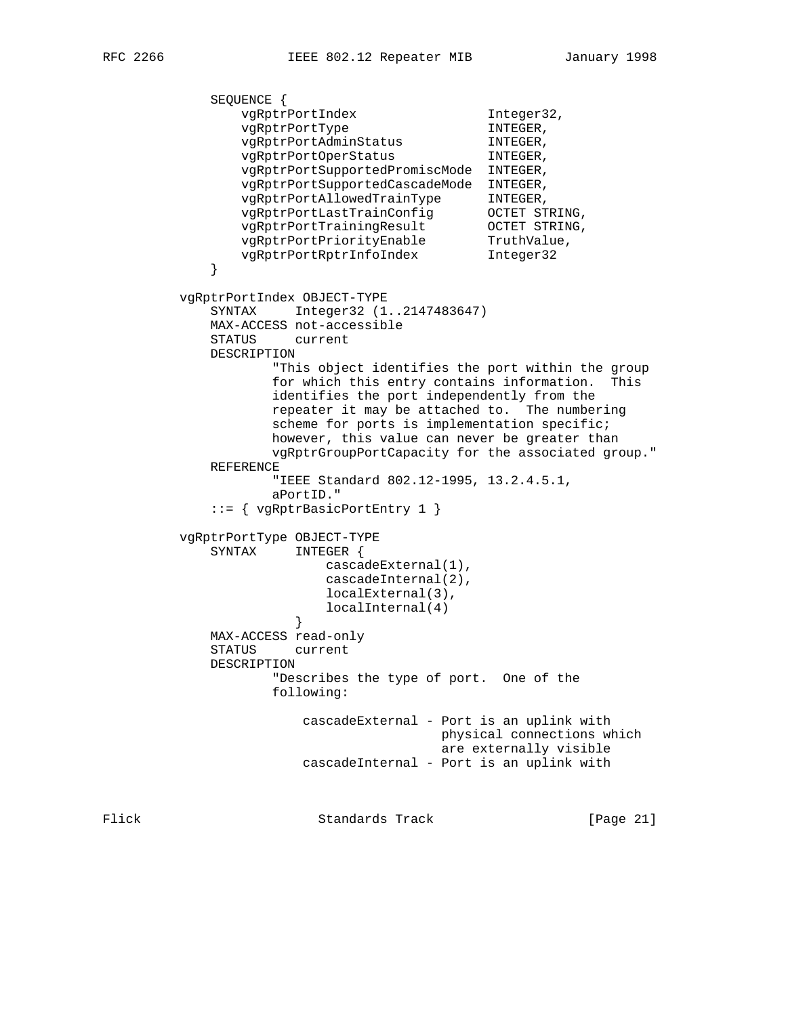SEQUENCE { vgRptrPortIndex 1nteger32, vgRptrPortType INTEGER, vgRptrPortAdminStatus INTEGER, vgRptrPortOperStatus INTEGER, vgRptrPortSupportedPromiscMode INTEGER, vgRptrPortSupportedCascadeMode INTEGER, vgRptrPortAllowedTrainType INTEGER, vgRptrPortLastTrainConfig OCTET STRING, vgRptrPortTrainingResult OCTET STRING, vgRptrPortPriorityEnable TruthValue, vgRptrPortRptrInfoIndex Integer32 } vgRptrPortIndex OBJECT-TYPE SYNTAX Integer32 (1..2147483647) MAX-ACCESS not-accessible STATUS current DESCRIPTION "This object identifies the port within the group for which this entry contains information. This identifies the port independently from the repeater it may be attached to. The numbering scheme for ports is implementation specific; however, this value can never be greater than vgRptrGroupPortCapacity for the associated group." REFERENCE "IEEE Standard 802.12-1995, 13.2.4.5.1, aPortID." ::= { vgRptrBasicPortEntry 1 } vgRptrPortType OBJECT-TYPE SYNTAX INTEGER { cascadeExternal(1), cascadeInternal(2), localExternal(3), localInternal(4)<br>} } MAX-ACCESS read-only STATUS current DESCRIPTION "Describes the type of port. One of the following: cascadeExternal - Port is an uplink with physical connections which are externally visible cascadeInternal - Port is an uplink with Flick Standards Track [Page 21]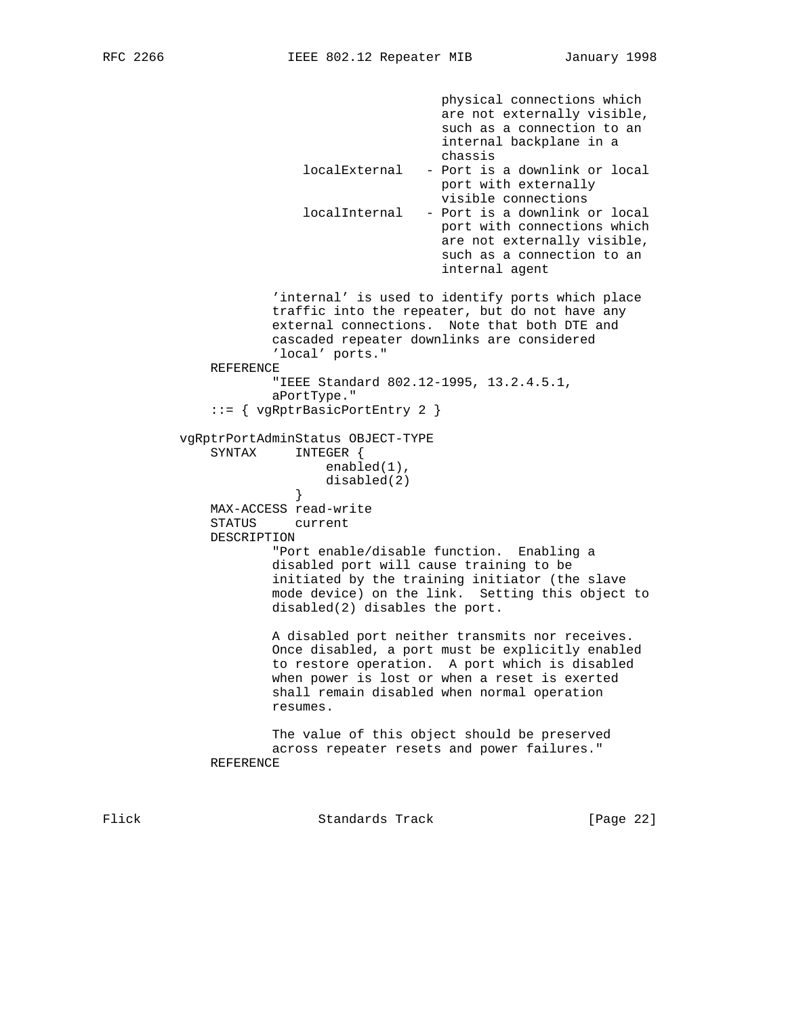```
 physical connections which
                                             are not externally visible,
                                             such as a connection to an
                                             internal backplane in a
                                            chassis
                          localExternal - Port is a downlink or local
                                           port with externally
                                            visible connections
                          localInternal - Port is a downlink or local
                                            port with connections which
                                            are not externally visible,
                                             such as a connection to an
                                             internal agent
                       'internal' is used to identify ports which place
                      traffic into the repeater, but do not have any
                      external connections. Note that both DTE and
                      cascaded repeater downlinks are considered
                       'local' ports."
              REFERENCE
                       "IEEE Standard 802.12-1995, 13.2.4.5.1,
                      aPortType."
              ::= { vgRptrBasicPortEntry 2 }
          vgRptrPortAdminStatus OBJECT-TYPE
              SYNTAX INTEGER {
                             enabled(1),
                        disabled(2)<br>}
 }
              MAX-ACCESS read-write
              STATUS current
              DESCRIPTION
                       "Port enable/disable function. Enabling a
                      disabled port will cause training to be
                      initiated by the training initiator (the slave
                      mode device) on the link. Setting this object to
                      disabled(2) disables the port.
                      A disabled port neither transmits nor receives.
                      Once disabled, a port must be explicitly enabled
                      to restore operation. A port which is disabled
                      when power is lost or when a reset is exerted
                      shall remain disabled when normal operation
                      resumes.
                      The value of this object should be preserved
                      across repeater resets and power failures."
              REFERENCE
```
Flick Standards Track [Page 22]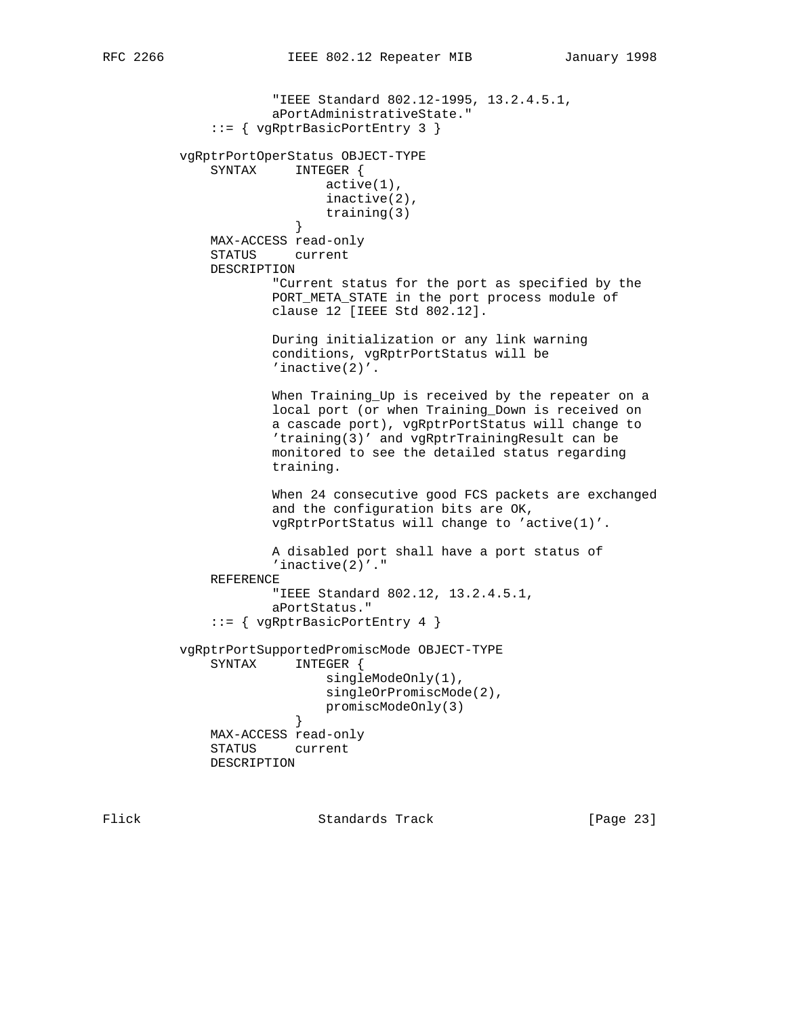```
 "IEEE Standard 802.12-1995, 13.2.4.5.1,
                      aPortAdministrativeState."
              ::= { vgRptrBasicPortEntry 3 }
          vgRptrPortOperStatus OBJECT-TYPE
              SYNTAX INTEGER {
                             active(1),
                             inactive(2),
                        training(3)<br>}
 }
              MAX-ACCESS read-only
              STATUS current
              DESCRIPTION
                      "Current status for the port as specified by the
                      PORT_META_STATE in the port process module of
                      clause 12 [IEEE Std 802.12].
                      During initialization or any link warning
                      conditions, vgRptrPortStatus will be
                      'inactive(2)'.
                      When Training_Up is received by the repeater on a
                      local port (or when Training_Down is received on
                      a cascade port), vgRptrPortStatus will change to
                      'training(3)' and vgRptrTrainingResult can be
                      monitored to see the detailed status regarding
                      training.
                      When 24 consecutive good FCS packets are exchanged
                      and the configuration bits are OK,
                      vgRptrPortStatus will change to 'active(1)'.
                      A disabled port shall have a port status of
                      'inactive(2)'."
              REFERENCE
                      "IEEE Standard 802.12, 13.2.4.5.1,
                      aPortStatus."
              ::= { vgRptrBasicPortEntry 4 }
          vgRptrPortSupportedPromiscMode OBJECT-TYPE
              SYNTAX INTEGER {
                             singleModeOnly(1),
                             singleOrPromiscMode(2),
                        promiscModeOnly(3)<br>}
 }
              MAX-ACCESS read-only
              STATUS current
              DESCRIPTION
```
Flick Standards Track [Page 23]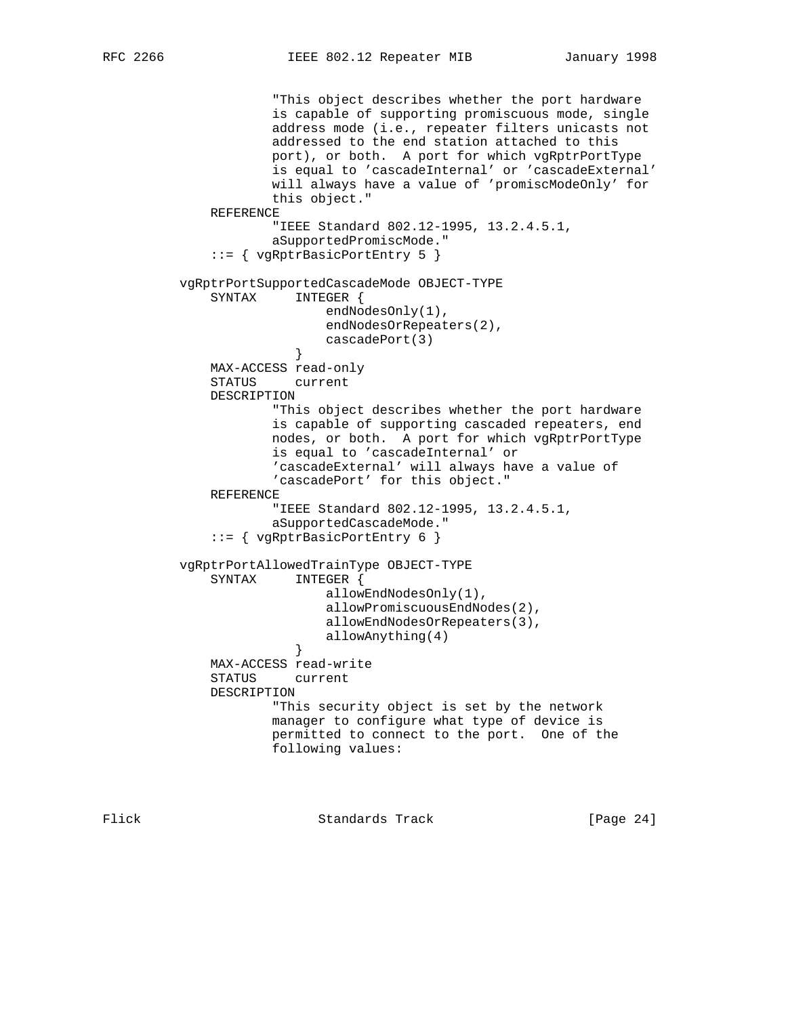"This object describes whether the port hardware is capable of supporting promiscuous mode, single address mode (i.e., repeater filters unicasts not addressed to the end station attached to this port), or both. A port for which vgRptrPortType is equal to 'cascadeInternal' or 'cascadeExternal' will always have a value of 'promiscModeOnly' for this object." REFERENCE "IEEE Standard 802.12-1995, 13.2.4.5.1, aSupportedPromiscMode." ::= { vgRptrBasicPortEntry 5 } vgRptrPortSupportedCascadeMode OBJECT-TYPE SYNTAX INTEGER { endNodesOnly(1), endNodesOrRepeaters(2), cascadePort(3) } MAX-ACCESS read-only STATUS current DESCRIPTION "This object describes whether the port hardware is capable of supporting cascaded repeaters, end nodes, or both. A port for which vgRptrPortType is equal to 'cascadeInternal' or 'cascadeExternal' will always have a value of 'cascadePort' for this object." REFERENCE "IEEE Standard 802.12-1995, 13.2.4.5.1, aSupportedCascadeMode." ::= { vgRptrBasicPortEntry 6 } vgRptrPortAllowedTrainType OBJECT-TYPE SYNTAX INTEGER { allowEndNodesOnly(1), allowPromiscuousEndNodes(2), allowEndNodesOrRepeaters(3), allowAnything(4)<br>} } MAX-ACCESS read-write STATUS current DESCRIPTION "This security object is set by the network manager to configure what type of device is permitted to connect to the port. One of the following values:

Flick **Standards Track** [Page 24]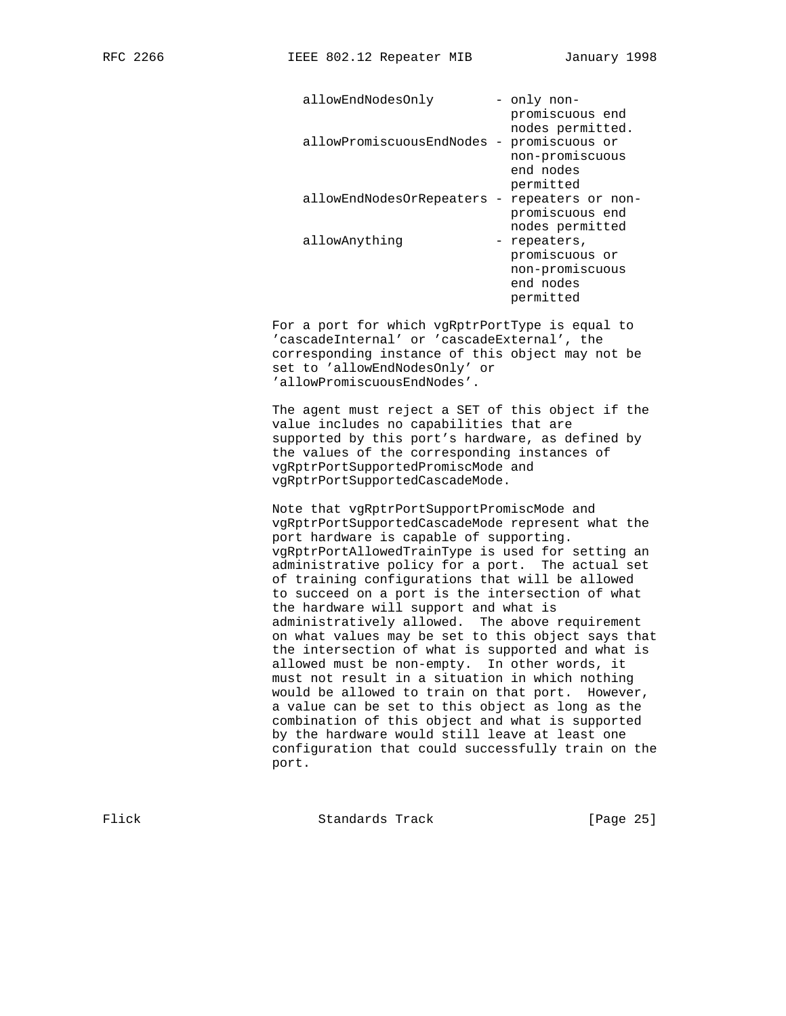| allowEndNodesOnly          | - only non-<br>promiscuous end                                                  |
|----------------------------|---------------------------------------------------------------------------------|
| allowPromiscuousEndNodes - | nodes permitted.<br>promiscuous or<br>non-promiscuous<br>end nodes<br>permitted |
| allowEndNodesOrRepeaters - | repeaters or non-<br>promiscuous end<br>nodes permitted                         |
| allowAnything              | - repeaters,<br>promiscuous or<br>non-promiscuous<br>end nodes<br>permitted     |

 For a port for which vgRptrPortType is equal to 'cascadeInternal' or 'cascadeExternal', the corresponding instance of this object may not be set to 'allowEndNodesOnly' or 'allowPromiscuousEndNodes'.

 The agent must reject a SET of this object if the value includes no capabilities that are supported by this port's hardware, as defined by the values of the corresponding instances of vgRptrPortSupportedPromiscMode and vgRptrPortSupportedCascadeMode.

 Note that vgRptrPortSupportPromiscMode and vgRptrPortSupportedCascadeMode represent what the port hardware is capable of supporting. vgRptrPortAllowedTrainType is used for setting an administrative policy for a port. The actual set of training configurations that will be allowed to succeed on a port is the intersection of what the hardware will support and what is administratively allowed. The above requirement on what values may be set to this object says that the intersection of what is supported and what is allowed must be non-empty. In other words, it must not result in a situation in which nothing would be allowed to train on that port. However, a value can be set to this object as long as the combination of this object and what is supported by the hardware would still leave at least one configuration that could successfully train on the port.

Flick Standards Track [Page 25]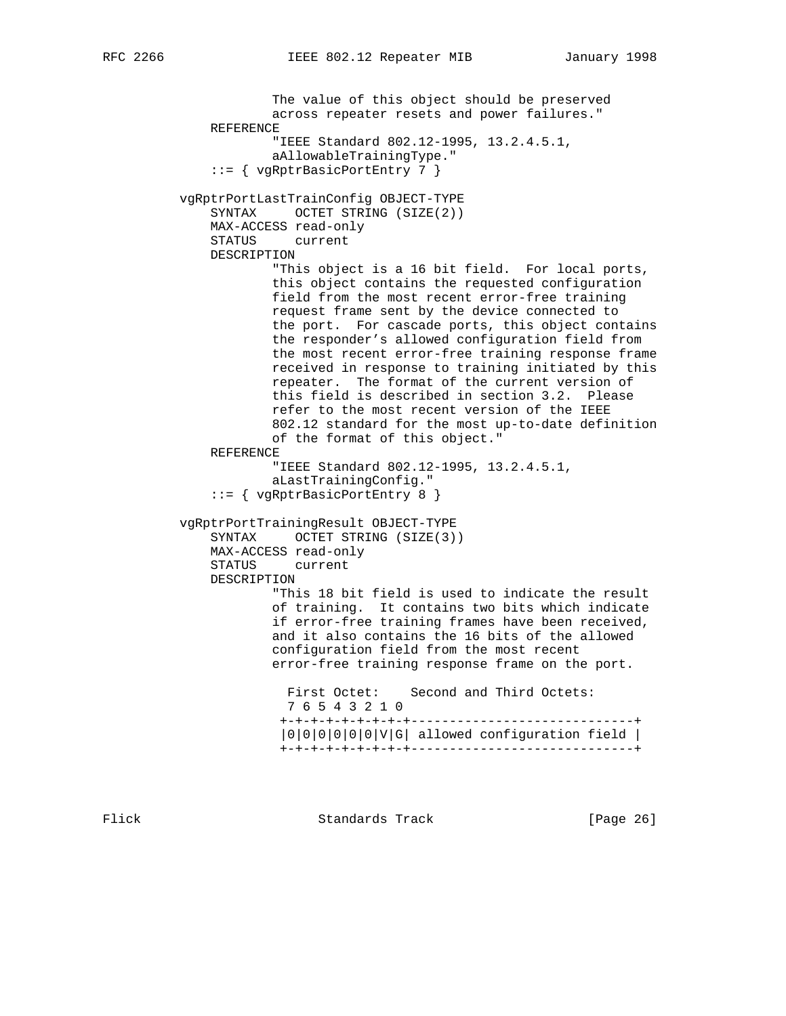The value of this object should be preserved across repeater resets and power failures." REFERENCE "IEEE Standard 802.12-1995, 13.2.4.5.1, aAllowableTrainingType." ::= { vgRptrBasicPortEntry 7 } vgRptrPortLastTrainConfig OBJECT-TYPE SYNTAX OCTET STRING (SIZE(2)) MAX-ACCESS read-only STATUS current DESCRIPTION "This object is a 16 bit field. For local ports, this object contains the requested configuration field from the most recent error-free training request frame sent by the device connected to the port. For cascade ports, this object contains the responder's allowed configuration field from the most recent error-free training response frame received in response to training initiated by this repeater. The format of the current version of this field is described in section 3.2. Please refer to the most recent version of the IEEE 802.12 standard for the most up-to-date definition of the format of this object." REFERENCE "IEEE Standard 802.12-1995, 13.2.4.5.1, aLastTrainingConfig." ::= { vgRptrBasicPortEntry 8 } vgRptrPortTrainingResult OBJECT-TYPE SYNTAX OCTET STRING (SIZE(3)) MAX-ACCESS read-only STATUS current DESCRIPTION "This 18 bit field is used to indicate the result of training. It contains two bits which indicate if error-free training frames have been received, and it also contains the 16 bits of the allowed configuration field from the most recent error-free training response frame on the port. First Octet: Second and Third Octets: 7 6 5 4 3 2 1 0 +-+-+-+-+-+-+-+-+-----------------------------+ |0|0|0|0|0|0|V|G| allowed configuration field | +-+-+-+-+-+-+-+-+-----------------------------+

Flick Standards Track [Page 26]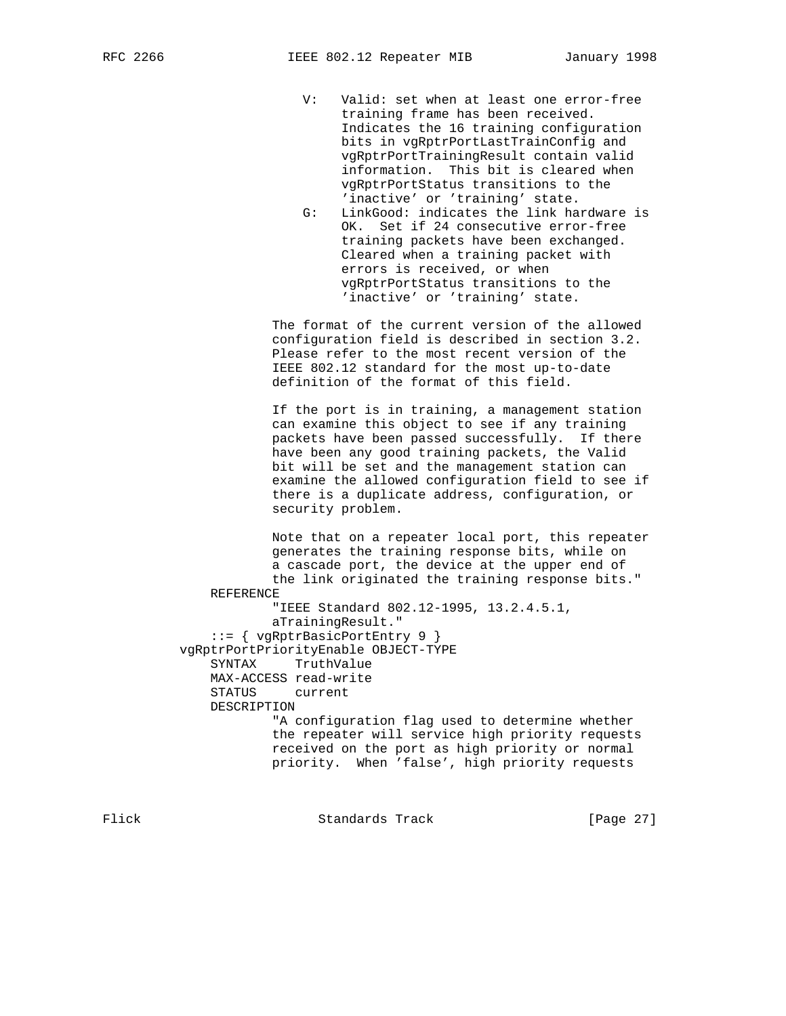- V: Valid: set when at least one error-free training frame has been received. Indicates the 16 training configuration bits in vgRptrPortLastTrainConfig and vgRptrPortTrainingResult contain valid information. This bit is cleared when vgRptrPortStatus transitions to the 'inactive' or 'training' state.
- G: LinkGood: indicates the link hardware is OK. Set if 24 consecutive error-free training packets have been exchanged. Cleared when a training packet with errors is received, or when vgRptrPortStatus transitions to the 'inactive' or 'training' state.

 The format of the current version of the allowed configuration field is described in section 3.2. Please refer to the most recent version of the IEEE 802.12 standard for the most up-to-date definition of the format of this field.

 If the port is in training, a management station can examine this object to see if any training packets have been passed successfully. If there have been any good training packets, the Valid bit will be set and the management station can examine the allowed configuration field to see if there is a duplicate address, configuration, or security problem.

 Note that on a repeater local port, this repeater generates the training response bits, while on a cascade port, the device at the upper end of the link originated the training response bits." REFERENCE "IEEE Standard 802.12-1995, 13.2.4.5.1, aTrainingResult." ::= { vgRptrBasicPortEntry 9 } vgRptrPortPriorityEnable OBJECT-TYPE SYNTAX TruthValue MAX-ACCESS read-write STATUS current DESCRIPTION "A configuration flag used to determine whether the repeater will service high priority requests received on the port as high priority or normal priority. When 'false', high priority requests

Flick **Standards Track** [Page 27]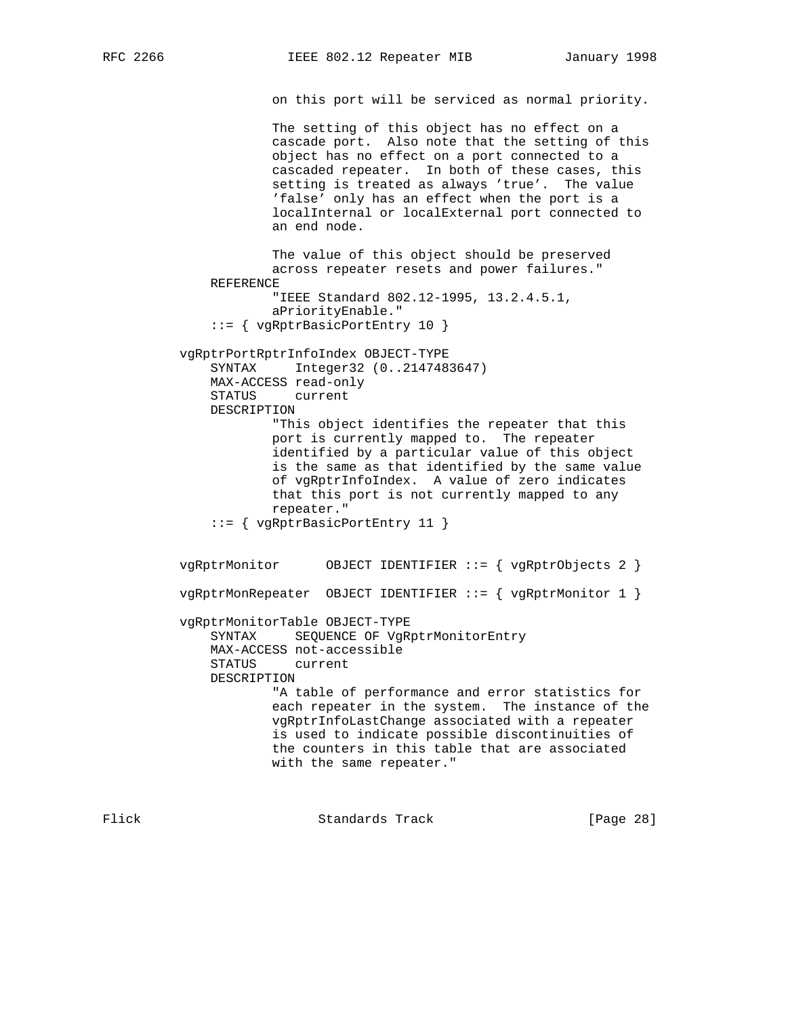on this port will be serviced as normal priority.

 The setting of this object has no effect on a cascade port. Also note that the setting of this object has no effect on a port connected to a cascaded repeater. In both of these cases, this setting is treated as always 'true'. The value 'false' only has an effect when the port is a localInternal or localExternal port connected to an end node.

 The value of this object should be preserved across repeater resets and power failures." REFERENCE "IEEE Standard 802.12-1995, 13.2.4.5.1, aPriorityEnable." ::= { vgRptrBasicPortEntry 10 } vgRptrPortRptrInfoIndex OBJECT-TYPE SYNTAX Integer32 (0..2147483647) MAX-ACCESS read-only STATUS current

 DESCRIPTION "This object identifies the repeater that this port is currently mapped to. The repeater identified by a particular value of this object is the same as that identified by the same value of vgRptrInfoIndex. A value of zero indicates that this port is not currently mapped to any repeater." ::= { vgRptrBasicPortEntry 11 }

 vgRptrMonitor OBJECT IDENTIFIER ::= { vgRptrObjects 2 } vgRptrMonRepeater OBJECT IDENTIFIER ::= { vgRptrMonitor 1 } vgRptrMonitorTable OBJECT-TYPE SYNTAX SEQUENCE OF VgRptrMonitorEntry MAX-ACCESS not-accessible STATUS current DESCRIPTION "A table of performance and error statistics for each repeater in the system. The instance of the vgRptrInfoLastChange associated with a repeater is used to indicate possible discontinuities of the counters in this table that are associated with the same repeater."

Flick **Standards Track** [Page 28]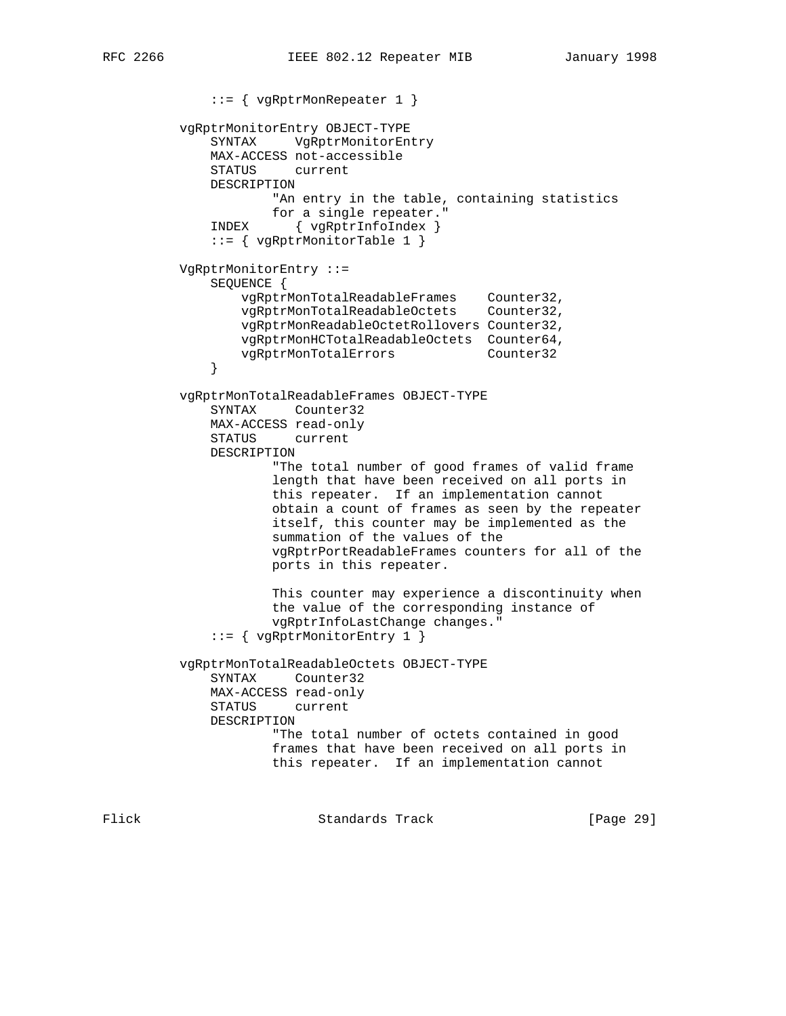::= { vgRptrMonRepeater 1 } vgRptrMonitorEntry OBJECT-TYPE SYNTAX VgRptrMonitorEntry MAX-ACCESS not-accessible STATUS current DESCRIPTION "An entry in the table, containing statistics for a single repeater." INDEX { vgRptrInfoIndex } ::= { vgRptrMonitorTable 1 } VgRptrMonitorEntry ::= SEQUENCE { vgRptrMonTotalReadableFrames Counter32, vgRptrMonTotalReadableOctets Counter32, vgRptrMonReadableOctetRollovers Counter32, vgRptrMonHCTotalReadableOctets Counter64, vgRptrMonTotalErrors Counter32 } vgRptrMonTotalReadableFrames OBJECT-TYPE SYNTAX Counter32 MAX-ACCESS read-only STATUS current DESCRIPTION "The total number of good frames of valid frame length that have been received on all ports in this repeater. If an implementation cannot obtain a count of frames as seen by the repeater itself, this counter may be implemented as the summation of the values of the vgRptrPortReadableFrames counters for all of the ports in this repeater. This counter may experience a discontinuity when the value of the corresponding instance of vgRptrInfoLastChange changes." ::= { vgRptrMonitorEntry 1 } vgRptrMonTotalReadableOctets OBJECT-TYPE SYNTAX Counter32 MAX-ACCESS read-only STATUS current DESCRIPTION "The total number of octets contained in good frames that have been received on all ports in this repeater. If an implementation cannot

Flick **Standards Track** [Page 29]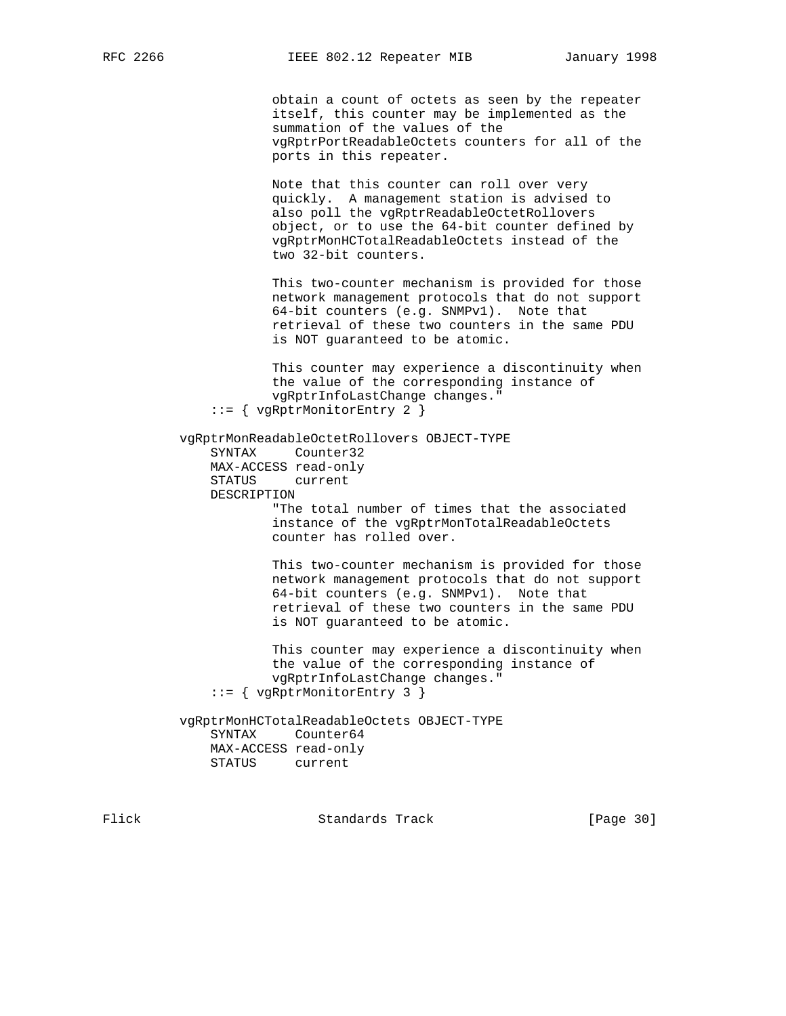obtain a count of octets as seen by the repeater itself, this counter may be implemented as the summation of the values of the vgRptrPortReadableOctets counters for all of the ports in this repeater.

 Note that this counter can roll over very quickly. A management station is advised to also poll the vgRptrReadableOctetRollovers object, or to use the 64-bit counter defined by vgRptrMonHCTotalReadableOctets instead of the two 32-bit counters.

 This two-counter mechanism is provided for those network management protocols that do not support 64-bit counters (e.g. SNMPv1). Note that retrieval of these two counters in the same PDU is NOT guaranteed to be atomic.

 This counter may experience a discontinuity when the value of the corresponding instance of vgRptrInfoLastChange changes." ::= { vgRptrMonitorEntry 2 }

 vgRptrMonReadableOctetRollovers OBJECT-TYPE SYNTAX Counter32 MAX-ACCESS read-only

 STATUS current DESCRIPTION

 "The total number of times that the associated instance of the vgRptrMonTotalReadableOctets counter has rolled over.

 This two-counter mechanism is provided for those network management protocols that do not support 64-bit counters (e.g. SNMPv1). Note that retrieval of these two counters in the same PDU is NOT guaranteed to be atomic.

 This counter may experience a discontinuity when the value of the corresponding instance of vgRptrInfoLastChange changes." ::= { vgRptrMonitorEntry 3 }

 vgRptrMonHCTotalReadableOctets OBJECT-TYPE SYNTAX Counter64 MAX-ACCESS read-only STATUS current

Flick **Standards Track** [Page 30]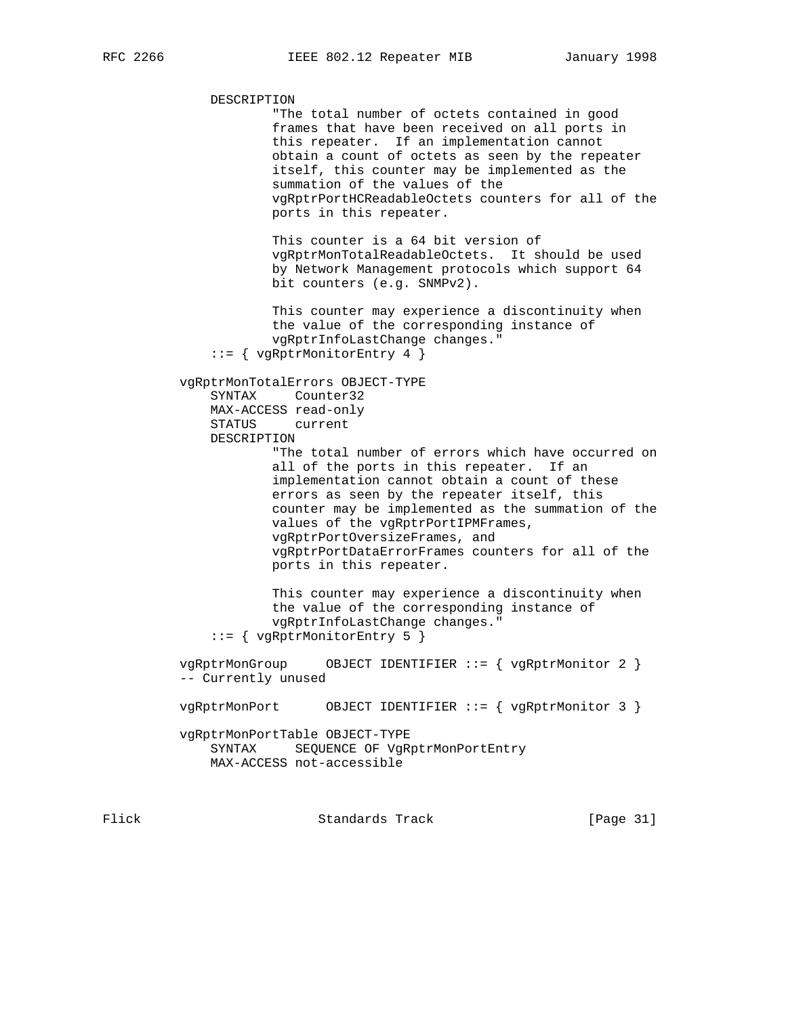DESCRIPTION "The total number of octets contained in good frames that have been received on all ports in this repeater. If an implementation cannot obtain a count of octets as seen by the repeater itself, this counter may be implemented as the summation of the values of the vgRptrPortHCReadableOctets counters for all of the ports in this repeater. This counter is a 64 bit version of vgRptrMonTotalReadableOctets. It should be used by Network Management protocols which support 64 bit counters (e.g. SNMPv2). This counter may experience a discontinuity when the value of the corresponding instance of vgRptrInfoLastChange changes." ::= { vgRptrMonitorEntry 4 } vgRptrMonTotalErrors OBJECT-TYPE SYNTAX Counter32 MAX-ACCESS read-only STATUS current DESCRIPTION "The total number of errors which have occurred on all of the ports in this repeater. If an implementation cannot obtain a count of these errors as seen by the repeater itself, this counter may be implemented as the summation of the values of the vgRptrPortIPMFrames, vgRptrPortOversizeFrames, and vgRptrPortDataErrorFrames counters for all of the ports in this repeater. This counter may experience a discontinuity when the value of the corresponding instance of vgRptrInfoLastChange changes." ::= { vgRptrMonitorEntry 5 } vgRptrMonGroup OBJECT IDENTIFIER ::= { vgRptrMonitor 2 } -- Currently unused vgRptrMonPort OBJECT IDENTIFIER ::= { vgRptrMonitor 3 } vgRptrMonPortTable OBJECT-TYPE SYNTAX SEQUENCE OF VgRptrMonPortEntry MAX-ACCESS not-accessible Flick **Standards Track** [Page 31]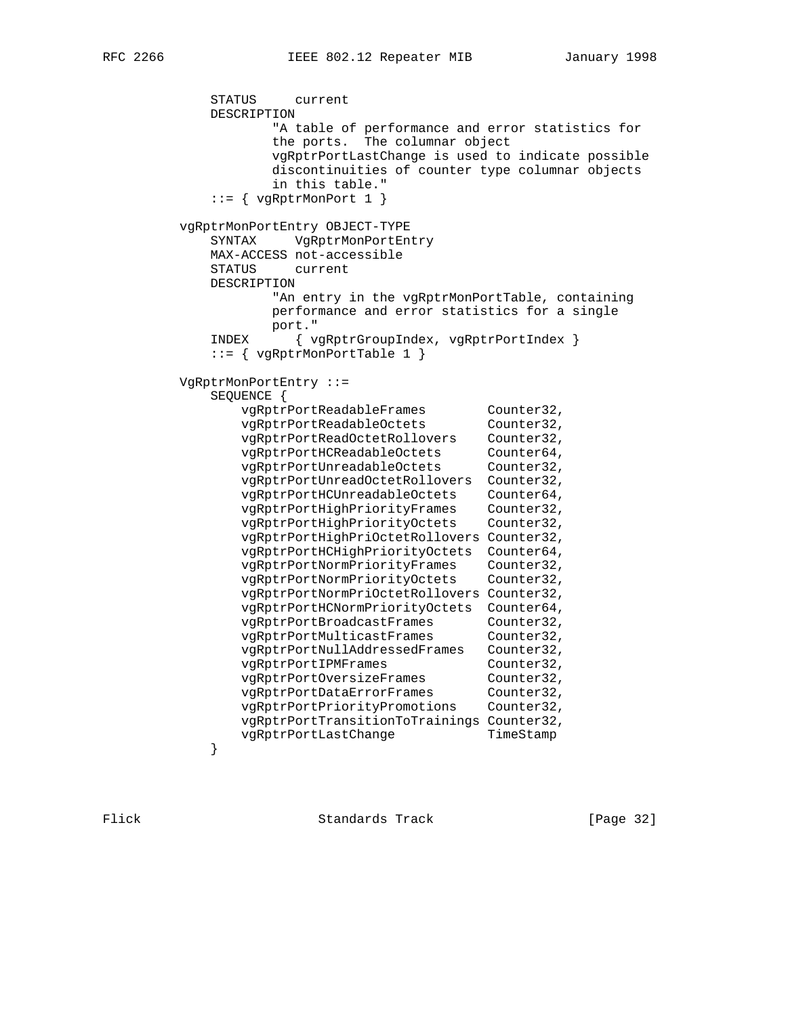STATUS current DESCRIPTION "A table of performance and error statistics for the ports. The columnar object vgRptrPortLastChange is used to indicate possible discontinuities of counter type columnar objects in this table."  $::=$  { vgRptrMonPort 1 } vgRptrMonPortEntry OBJECT-TYPE SYNTAX VgRptrMonPortEntry MAX-ACCESS not-accessible STATUS current DESCRIPTION "An entry in the vgRptrMonPortTable, containing performance and error statistics for a single port." INDEX { vgRptrGroupIndex, vgRptrPortIndex } ::= { vgRptrMonPortTable 1 } VgRptrMonPortEntry ::= SEQUENCE { vgRptrPortReadableFrames Counter32, vgRptrPortReadableOctets Counter32, vgRptrPortReadOctetRollovers Counter32, vgRptrPortHCReadableOctets Counter64, vgRptrPortUnreadableOctets Counter32, vgRptrPortUnreadOctetRollovers Counter32, vgRptrPortHCUnreadableOctets Counter64, vgRptrPortHighPriorityFrames Counter32, vgRptrPortHighPriorityOctets Counter32, vgRptrPortHighPriOctetRollovers Counter32, vgRptrPortHCHighPriorityOctets Counter64, vgRptrPortNormPriorityFrames Counter32, vgRptrPortNormPriorityOctets Counter32, vgRptrPortNormPriOctetRollovers Counter32, vgRptrPortHCNormPriorityOctets Counter64, vgRptrPortBroadcastFrames Counter32, vgRptrPortMulticastFrames Counter32, vgRptrPortNullAddressedFrames Counter32, vgRptrPortIPMFrames Counter32, vgRptrPortOversizeFrames Counter32, vgRptrPortDataErrorFrames Counter32, vgRptrPortPriorityPromotions Counter32, vgRptrPortTransitionToTrainings Counter32, vgRptrPortLastChange TimeStamp<br>} }

Flick **Standards Track** [Page 32]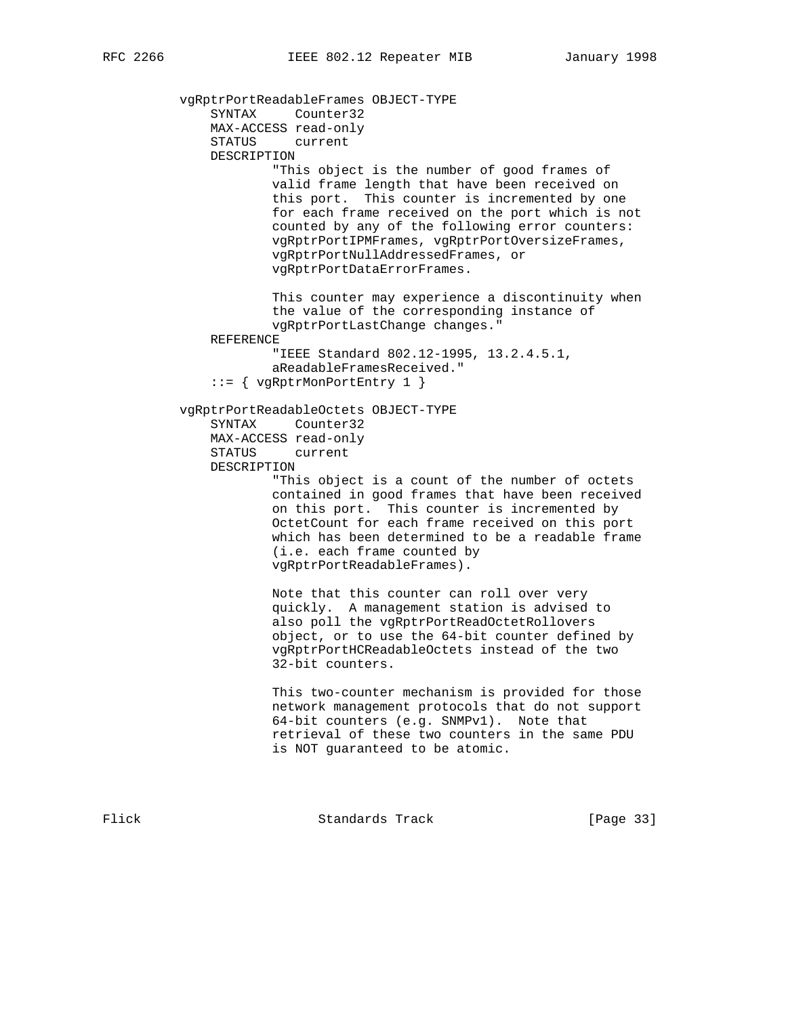vgRptrPortReadableFrames OBJECT-TYPE SYNTAX Counter32 MAX-ACCESS read-only STATUS current DESCRIPTION "This object is the number of good frames of valid frame length that have been received on this port. This counter is incremented by one for each frame received on the port which is not counted by any of the following error counters: vgRptrPortIPMFrames, vgRptrPortOversizeFrames, vgRptrPortNullAddressedFrames, or vgRptrPortDataErrorFrames. This counter may experience a discontinuity when the value of the corresponding instance of vgRptrPortLastChange changes." REFERENCE "IEEE Standard 802.12-1995, 13.2.4.5.1, aReadableFramesReceived." ::= { vgRptrMonPortEntry 1 } vgRptrPortReadableOctets OBJECT-TYPE SYNTAX Counter32 MAX-ACCESS read-only STATUS current DESCRIPTION "This object is a count of the number of octets contained in good frames that have been received on this port. This counter is incremented by OctetCount for each frame received on this port which has been determined to be a readable frame (i.e. each frame counted by vgRptrPortReadableFrames). Note that this counter can roll over very quickly. A management station is advised to also poll the vgRptrPortReadOctetRollovers object, or to use the 64-bit counter defined by vgRptrPortHCReadableOctets instead of the two 32-bit counters. This two-counter mechanism is provided for those network management protocols that do not support 64-bit counters (e.g. SNMPv1). Note that retrieval of these two counters in the same PDU is NOT guaranteed to be atomic.

Flick Standards Track [Page 33]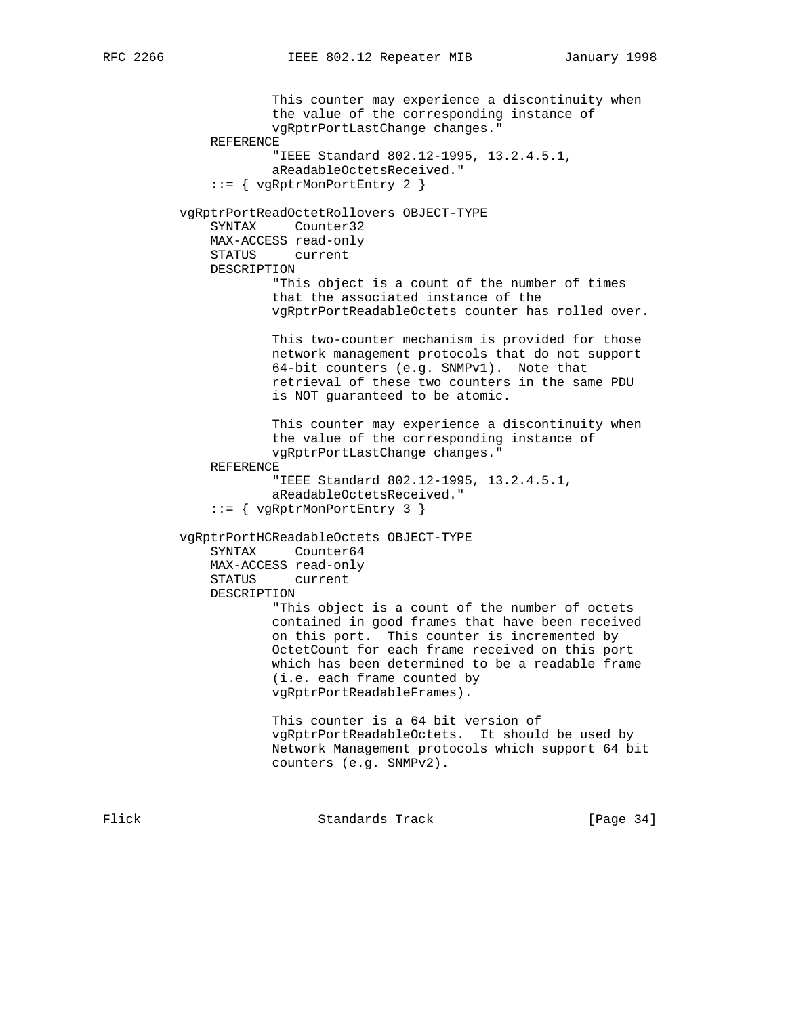This counter may experience a discontinuity when the value of the corresponding instance of vgRptrPortLastChange changes." REFERENCE "IEEE Standard 802.12-1995, 13.2.4.5.1, aReadableOctetsReceived." ::= { vgRptrMonPortEntry 2 } vgRptrPortReadOctetRollovers OBJECT-TYPE SYNTAX Counter32 MAX-ACCESS read-only STATUS current DESCRIPTION "This object is a count of the number of times that the associated instance of the vgRptrPortReadableOctets counter has rolled over. This two-counter mechanism is provided for those network management protocols that do not support 64-bit counters (e.g. SNMPv1). Note that retrieval of these two counters in the same PDU is NOT guaranteed to be atomic. This counter may experience a discontinuity when the value of the corresponding instance of vgRptrPortLastChange changes." REFERENCE "IEEE Standard 802.12-1995, 13.2.4.5.1, aReadableOctetsReceived." ::= { vgRptrMonPortEntry 3 } vgRptrPortHCReadableOctets OBJECT-TYPE SYNTAX Counter64 MAX-ACCESS read-only STATUS current DESCRIPTION "This object is a count of the number of octets contained in good frames that have been received on this port. This counter is incremented by OctetCount for each frame received on this port which has been determined to be a readable frame (i.e. each frame counted by vgRptrPortReadableFrames). This counter is a 64 bit version of vgRptrPortReadableOctets. It should be used by Network Management protocols which support 64 bit counters (e.g. SNMPv2).

Flick Standards Track [Page 34]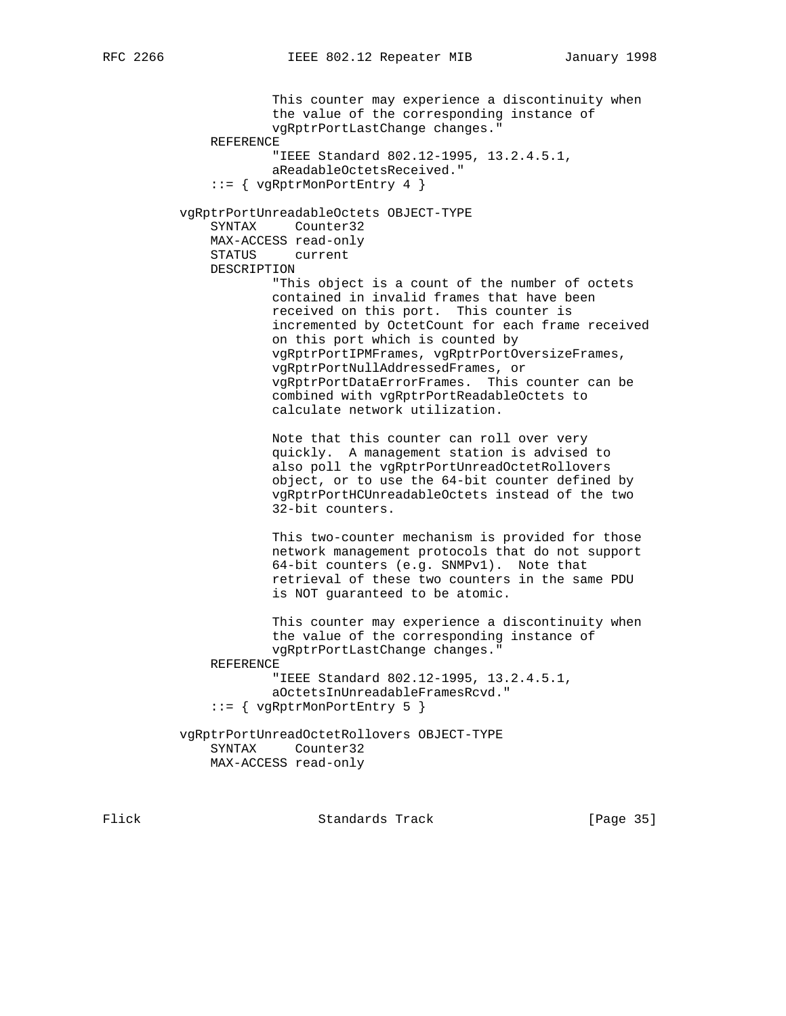This counter may experience a discontinuity when the value of the corresponding instance of vgRptrPortLastChange changes." REFERENCE "IEEE Standard 802.12-1995, 13.2.4.5.1, aReadableOctetsReceived." ::= { vgRptrMonPortEntry 4 } vgRptrPortUnreadableOctets OBJECT-TYPE SYNTAX Counter32 MAX-ACCESS read-only STATUS current DESCRIPTION "This object is a count of the number of octets contained in invalid frames that have been received on this port. This counter is incremented by OctetCount for each frame received on this port which is counted by vgRptrPortIPMFrames, vgRptrPortOversizeFrames, vgRptrPortNullAddressedFrames, or vgRptrPortDataErrorFrames. This counter can be combined with vgRptrPortReadableOctets to calculate network utilization. Note that this counter can roll over very quickly. A management station is advised to also poll the vgRptrPortUnreadOctetRollovers object, or to use the 64-bit counter defined by vgRptrPortHCUnreadableOctets instead of the two 32-bit counters. This two-counter mechanism is provided for those network management protocols that do not support 64-bit counters (e.g. SNMPv1). Note that retrieval of these two counters in the same PDU is NOT guaranteed to be atomic. This counter may experience a discontinuity when the value of the corresponding instance of vgRptrPortLastChange changes." REFERENCE "IEEE Standard 802.12-1995, 13.2.4.5.1, aOctetsInUnreadableFramesRcvd." ::= { vgRptrMonPortEntry 5 } vgRptrPortUnreadOctetRollovers OBJECT-TYPE SYNTAX Counter32 MAX-ACCESS read-only

Flick **Standards Track** [Page 35]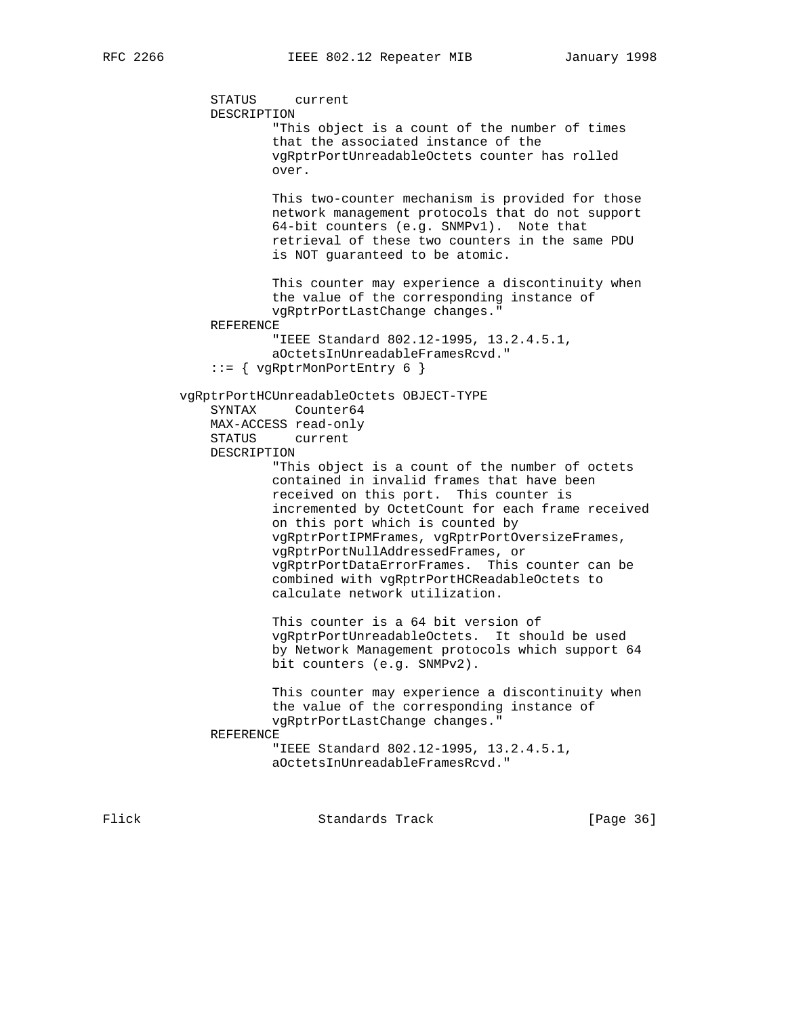```
 STATUS current
     DESCRIPTION
             "This object is a count of the number of times
             that the associated instance of the
             vgRptrPortUnreadableOctets counter has rolled
             over.
             This two-counter mechanism is provided for those
             network management protocols that do not support
             64-bit counters (e.g. SNMPv1). Note that
             retrieval of these two counters in the same PDU
             is NOT guaranteed to be atomic.
             This counter may experience a discontinuity when
             the value of the corresponding instance of
             vgRptrPortLastChange changes."
     REFERENCE
             "IEEE Standard 802.12-1995, 13.2.4.5.1,
             aOctetsInUnreadableFramesRcvd."
     ::= { vgRptrMonPortEntry 6 }
 vgRptrPortHCUnreadableOctets OBJECT-TYPE
     SYNTAX Counter64
     MAX-ACCESS read-only
     STATUS current
     DESCRIPTION
             "This object is a count of the number of octets
             contained in invalid frames that have been
             received on this port. This counter is
             incremented by OctetCount for each frame received
             on this port which is counted by
             vgRptrPortIPMFrames, vgRptrPortOversizeFrames,
             vgRptrPortNullAddressedFrames, or
             vgRptrPortDataErrorFrames. This counter can be
             combined with vgRptrPortHCReadableOctets to
             calculate network utilization.
             This counter is a 64 bit version of
             vgRptrPortUnreadableOctets. It should be used
             by Network Management protocols which support 64
             bit counters (e.g. SNMPv2).
             This counter may experience a discontinuity when
             the value of the corresponding instance of
             vgRptrPortLastChange changes."
     REFERENCE
             "IEEE Standard 802.12-1995, 13.2.4.5.1,
             aOctetsInUnreadableFramesRcvd."
```
Flick **Standards Track** [Page 36]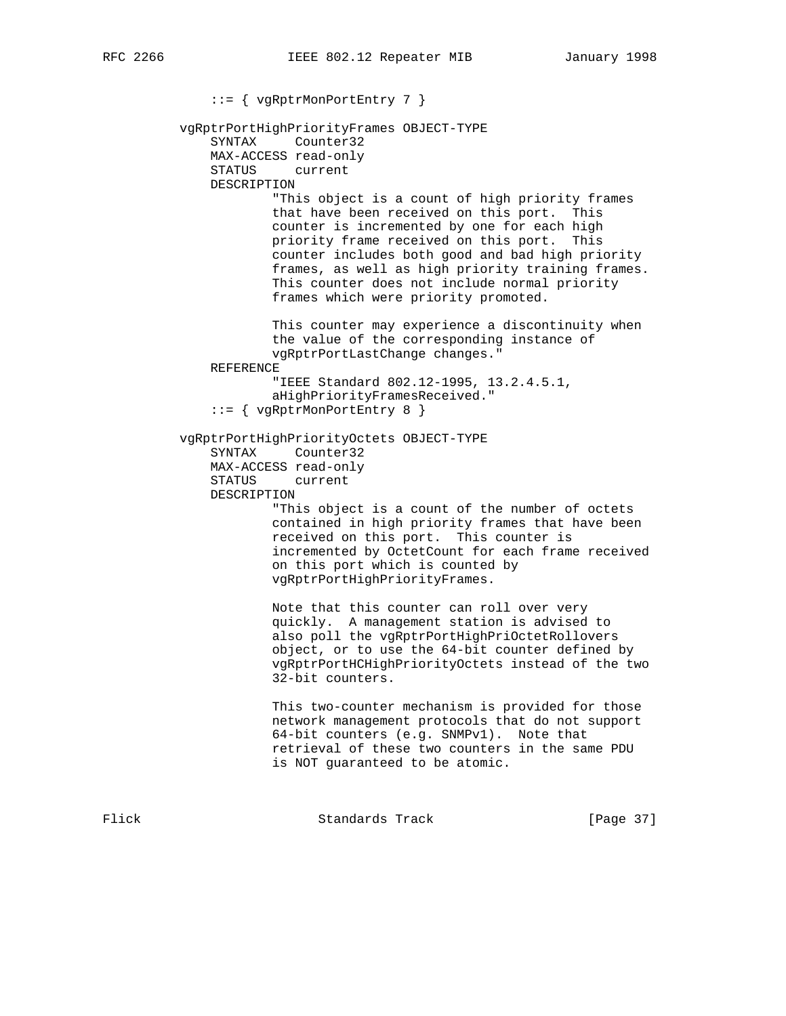::= { vgRptrMonPortEntry 7 } vgRptrPortHighPriorityFrames OBJECT-TYPE SYNTAX Counter32 MAX-ACCESS read-only STATUS current DESCRIPTION "This object is a count of high priority frames that have been received on this port. This counter is incremented by one for each high priority frame received on this port. This counter includes both good and bad high priority frames, as well as high priority training frames. This counter does not include normal priority frames which were priority promoted. This counter may experience a discontinuity when the value of the corresponding instance of vgRptrPortLastChange changes." REFERENCE "IEEE Standard 802.12-1995, 13.2.4.5.1, aHighPriorityFramesReceived." ::= { vgRptrMonPortEntry 8 } vgRptrPortHighPriorityOctets OBJECT-TYPE SYNTAX Counter32 MAX-ACCESS read-only STATUS current DESCRIPTION "This object is a count of the number of octets contained in high priority frames that have been received on this port. This counter is incremented by OctetCount for each frame received on this port which is counted by vgRptrPortHighPriorityFrames. Note that this counter can roll over very quickly. A management station is advised to also poll the vgRptrPortHighPriOctetRollovers object, or to use the 64-bit counter defined by vgRptrPortHCHighPriorityOctets instead of the two 32-bit counters. This two-counter mechanism is provided for those network management protocols that do not support 64-bit counters (e.g. SNMPv1). Note that retrieval of these two counters in the same PDU is NOT guaranteed to be atomic.

Flick **Standards Track** [Page 37]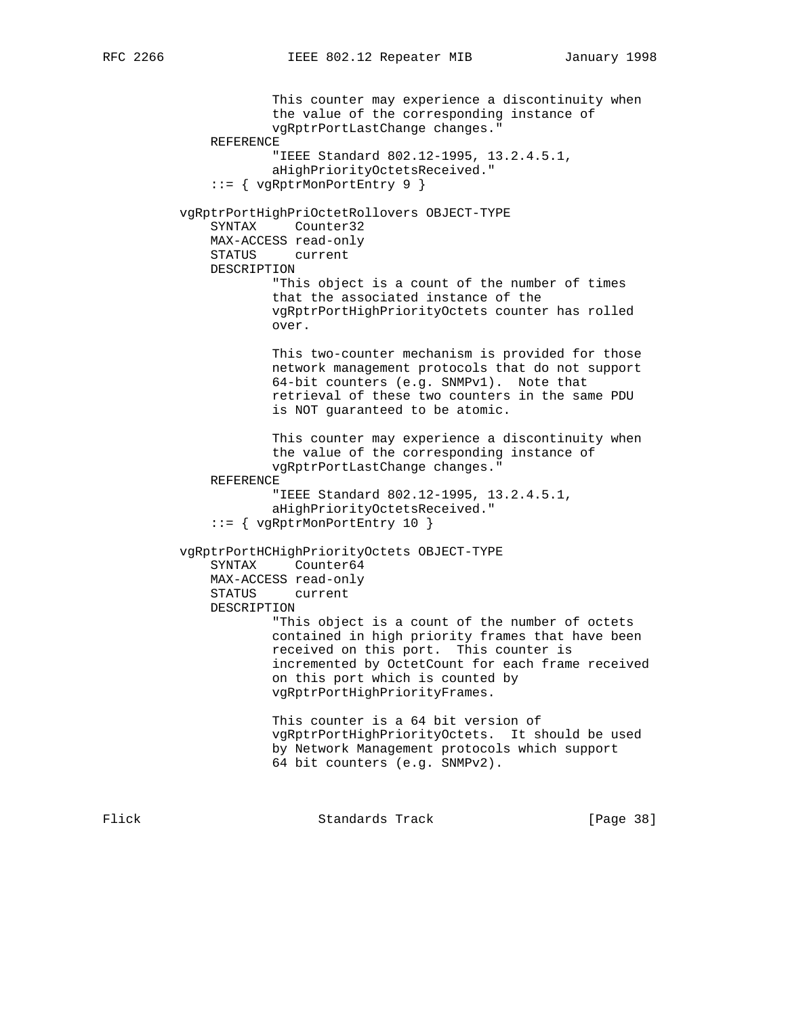This counter may experience a discontinuity when the value of the corresponding instance of vgRptrPortLastChange changes." REFERENCE "IEEE Standard 802.12-1995, 13.2.4.5.1, aHighPriorityOctetsReceived." ::= { vgRptrMonPortEntry 9 } vgRptrPortHighPriOctetRollovers OBJECT-TYPE SYNTAX Counter32 MAX-ACCESS read-only STATUS current DESCRIPTION "This object is a count of the number of times that the associated instance of the vgRptrPortHighPriorityOctets counter has rolled over. This two-counter mechanism is provided for those network management protocols that do not support 64-bit counters (e.g. SNMPv1). Note that retrieval of these two counters in the same PDU is NOT guaranteed to be atomic. This counter may experience a discontinuity when the value of the corresponding instance of vgRptrPortLastChange changes." REFERENCE "IEEE Standard 802.12-1995, 13.2.4.5.1, aHighPriorityOctetsReceived." ::= { vgRptrMonPortEntry 10 } vgRptrPortHCHighPriorityOctets OBJECT-TYPE SYNTAX Counter64 MAX-ACCESS read-only STATUS current DESCRIPTION "This object is a count of the number of octets contained in high priority frames that have been received on this port. This counter is incremented by OctetCount for each frame received on this port which is counted by vgRptrPortHighPriorityFrames. This counter is a 64 bit version of vgRptrPortHighPriorityOctets. It should be used by Network Management protocols which support 64 bit counters (e.g. SNMPv2).

Flick Standards Track [Page 38]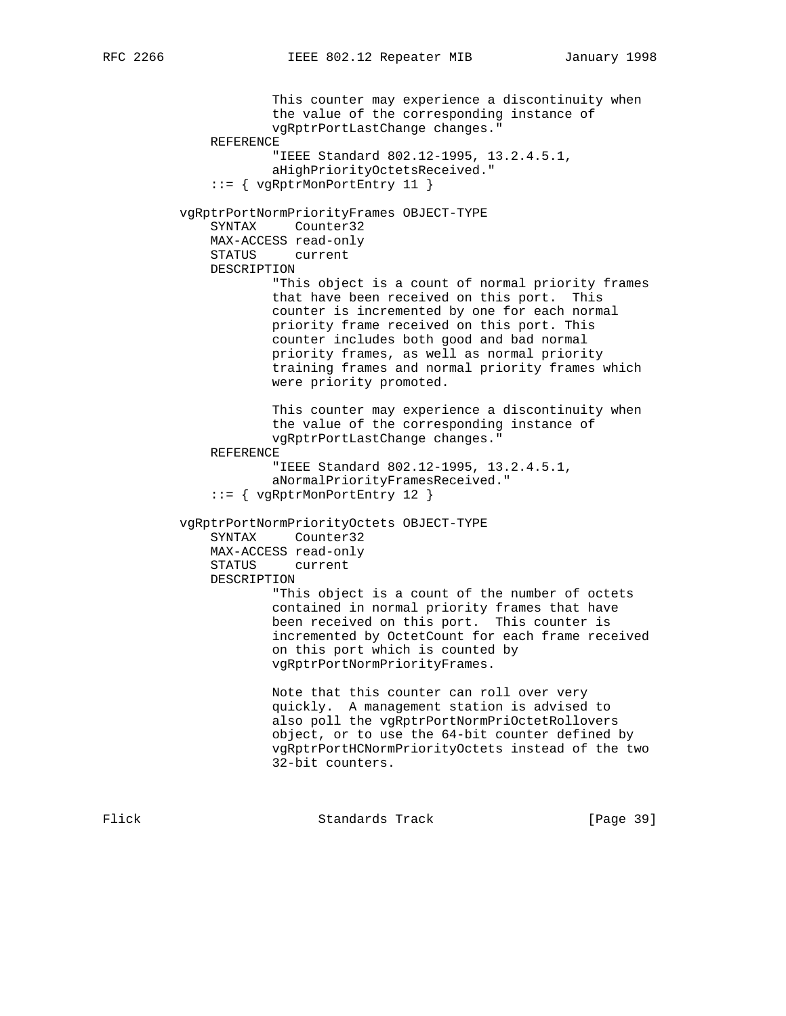This counter may experience a discontinuity when the value of the corresponding instance of vgRptrPortLastChange changes." REFERENCE "IEEE Standard 802.12-1995, 13.2.4.5.1, aHighPriorityOctetsReceived." ::= { vgRptrMonPortEntry 11 } vgRptrPortNormPriorityFrames OBJECT-TYPE SYNTAX Counter32 MAX-ACCESS read-only STATUS current DESCRIPTION "This object is a count of normal priority frames that have been received on this port. This counter is incremented by one for each normal priority frame received on this port. This counter includes both good and bad normal priority frames, as well as normal priority training frames and normal priority frames which were priority promoted. This counter may experience a discontinuity when the value of the corresponding instance of vgRptrPortLastChange changes." REFERENCE "IEEE Standard 802.12-1995, 13.2.4.5.1, aNormalPriorityFramesReceived." ::= { vgRptrMonPortEntry 12 } vgRptrPortNormPriorityOctets OBJECT-TYPE SYNTAX Counter32 MAX-ACCESS read-only STATUS current DESCRIPTION "This object is a count of the number of octets contained in normal priority frames that have been received on this port. This counter is incremented by OctetCount for each frame received on this port which is counted by vgRptrPortNormPriorityFrames. Note that this counter can roll over very quickly. A management station is advised to also poll the vgRptrPortNormPriOctetRollovers object, or to use the 64-bit counter defined by vgRptrPortHCNormPriorityOctets instead of the two 32-bit counters.

Flick Standards Track [Page 39]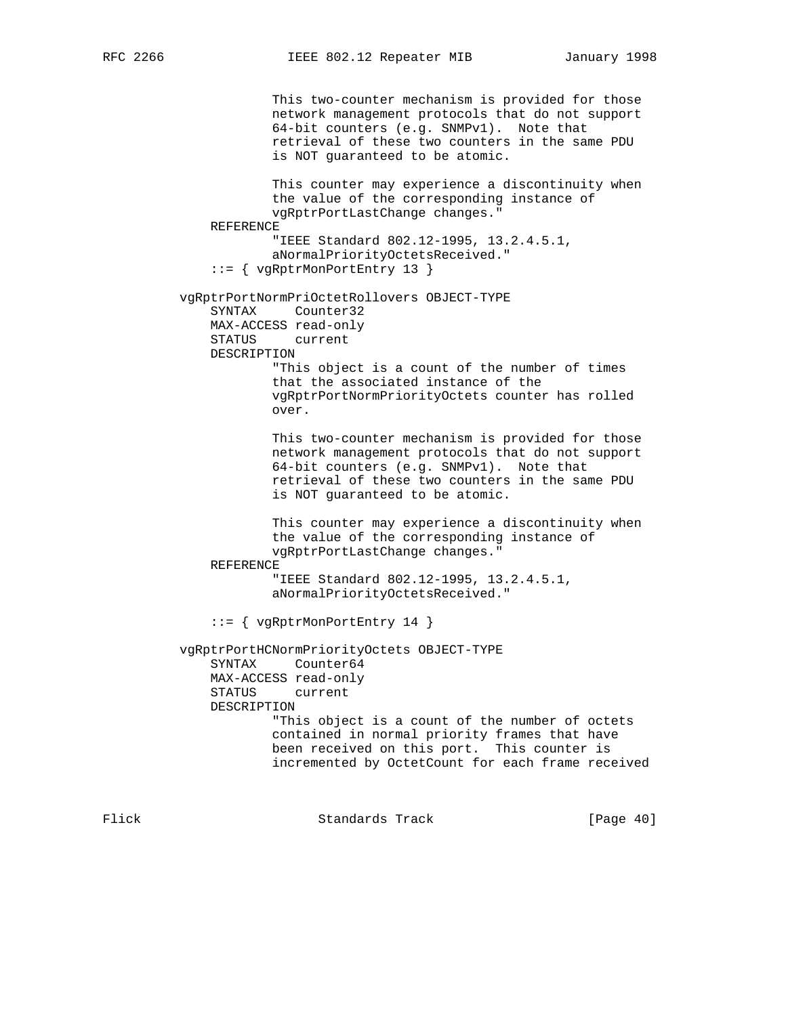This two-counter mechanism is provided for those network management protocols that do not support 64-bit counters (e.g. SNMPv1). Note that retrieval of these two counters in the same PDU is NOT guaranteed to be atomic. This counter may experience a discontinuity when the value of the corresponding instance of vgRptrPortLastChange changes." REFERENCE "IEEE Standard 802.12-1995, 13.2.4.5.1, aNormalPriorityOctetsReceived." ::= { vgRptrMonPortEntry 13 } vgRptrPortNormPriOctetRollovers OBJECT-TYPE SYNTAX Counter32 MAX-ACCESS read-only STATUS current DESCRIPTION "This object is a count of the number of times that the associated instance of the vgRptrPortNormPriorityOctets counter has rolled over. This two-counter mechanism is provided for those network management protocols that do not support 64-bit counters (e.g. SNMPv1). Note that retrieval of these two counters in the same PDU is NOT guaranteed to be atomic. This counter may experience a discontinuity when the value of the corresponding instance of vgRptrPortLastChange changes." REFERENCE "IEEE Standard 802.12-1995, 13.2.4.5.1, aNormalPriorityOctetsReceived." ::= { vgRptrMonPortEntry 14 } vgRptrPortHCNormPriorityOctets OBJECT-TYPE SYNTAX Counter64 MAX-ACCESS read-only<br>STATUS current current DESCRIPTION "This object is a count of the number of octets contained in normal priority frames that have been received on this port. This counter is incremented by OctetCount for each frame received

Flick **Standards Track** [Page 40]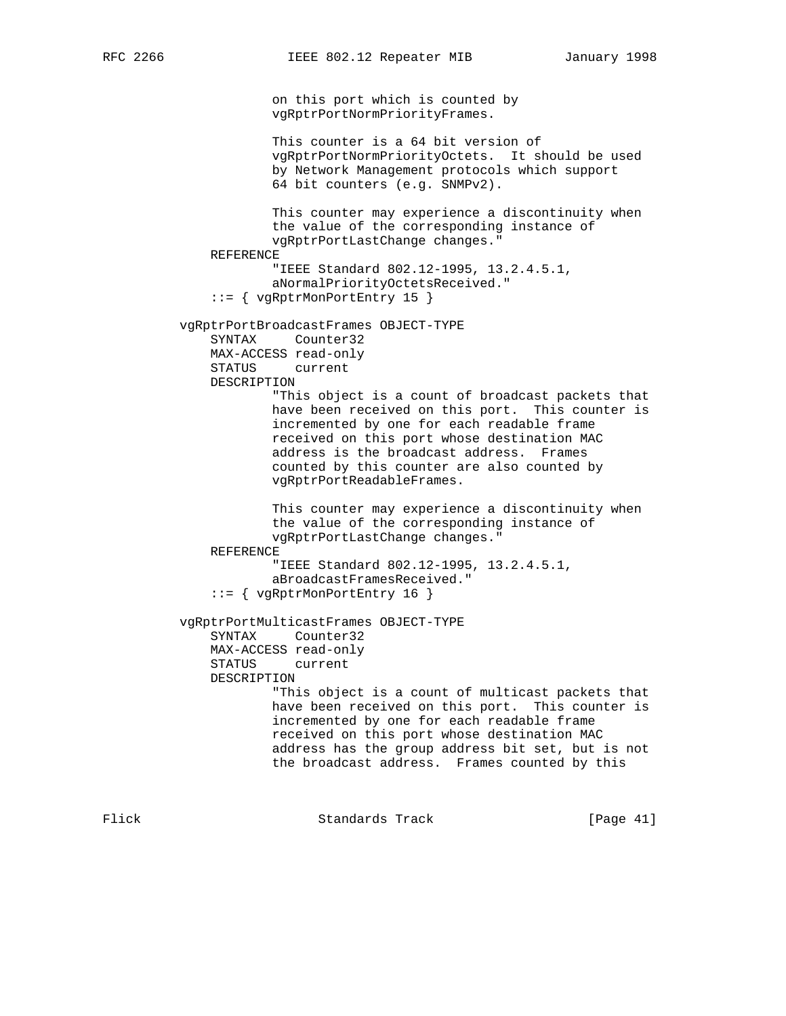on this port which is counted by vgRptrPortNormPriorityFrames.

 This counter is a 64 bit version of vgRptrPortNormPriorityOctets. It should be used by Network Management protocols which support 64 bit counters (e.g. SNMPv2).

 This counter may experience a discontinuity when the value of the corresponding instance of vgRptrPortLastChange changes." REFERENCE

 "IEEE Standard 802.12-1995, 13.2.4.5.1, aNormalPriorityOctetsReceived." ::= { vgRptrMonPortEntry 15 }

 vgRptrPortBroadcastFrames OBJECT-TYPE SYNTAX Counter32

MAX-ACCESS read-only

 STATUS current DESCRIPTION

> "This object is a count of broadcast packets that have been received on this port. This counter is incremented by one for each readable frame received on this port whose destination MAC address is the broadcast address. Frames counted by this counter are also counted by vgRptrPortReadableFrames.

 This counter may experience a discontinuity when the value of the corresponding instance of vgRptrPortLastChange changes."

REFERENCE

 "IEEE Standard 802.12-1995, 13.2.4.5.1, aBroadcastFramesReceived." ::= { vgRptrMonPortEntry 16 }

 vgRptrPortMulticastFrames OBJECT-TYPE SYNTAX Counter32 MAX-ACCESS read-only STATUS current DESCRIPTION "This object is a count of multicast packets that have been received on this port. This counter is incremented by one for each readable frame received on this port whose destination MAC address has the group address bit set, but is not

the broadcast address. Frames counted by this

Flick **Standards Track** [Page 41]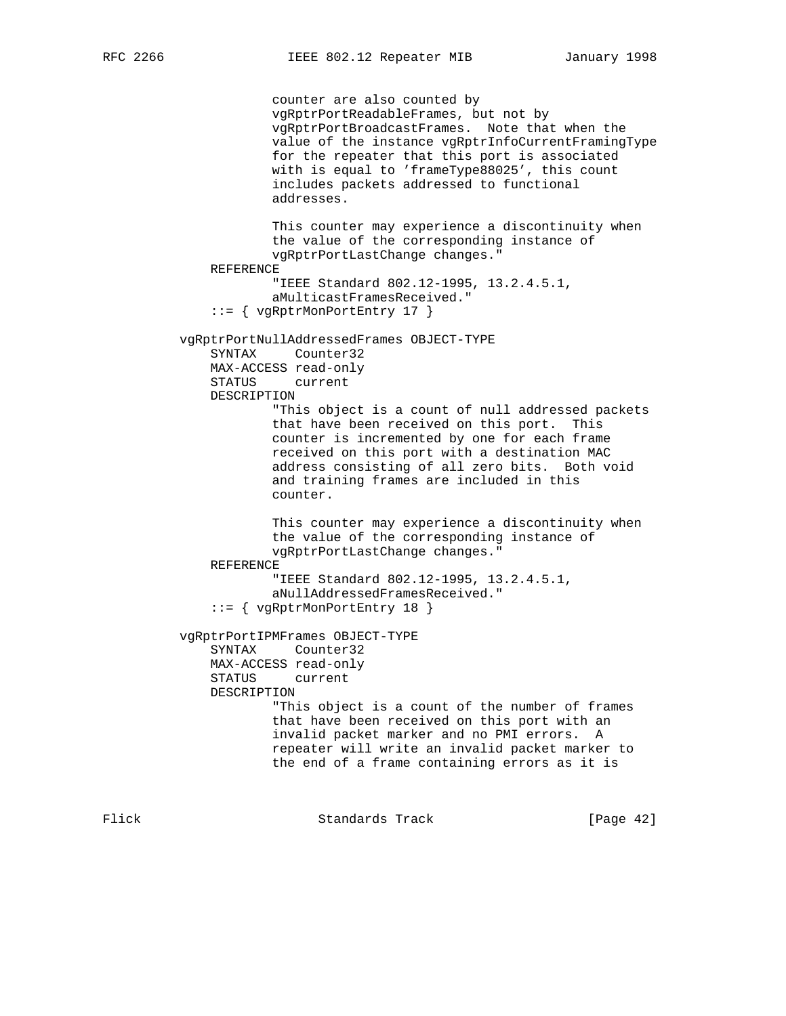counter are also counted by vgRptrPortReadableFrames, but not by vgRptrPortBroadcastFrames. Note that when the value of the instance vgRptrInfoCurrentFramingType for the repeater that this port is associated with is equal to 'frameType88025', this count includes packets addressed to functional addresses. This counter may experience a discontinuity when the value of the corresponding instance of vgRptrPortLastChange changes." REFERENCE "IEEE Standard 802.12-1995, 13.2.4.5.1, aMulticastFramesReceived." ::= { vgRptrMonPortEntry 17 } vgRptrPortNullAddressedFrames OBJECT-TYPE SYNTAX Counter32 MAX-ACCESS read-only STATUS current DESCRIPTION "This object is a count of null addressed packets that have been received on this port. This counter is incremented by one for each frame received on this port with a destination MAC address consisting of all zero bits. Both void and training frames are included in this counter. This counter may experience a discontinuity when the value of the corresponding instance of vgRptrPortLastChange changes." REFERENCE "IEEE Standard 802.12-1995, 13.2.4.5.1, aNullAddressedFramesReceived." ::= { vgRptrMonPortEntry 18 } vgRptrPortIPMFrames OBJECT-TYPE SYNTAX Counter32 MAX-ACCESS read-only STATUS current DESCRIPTION "This object is a count of the number of frames that have been received on this port with an invalid packet marker and no PMI errors. A repeater will write an invalid packet marker to the end of a frame containing errors as it is

Flick **Standards Track** [Page 42]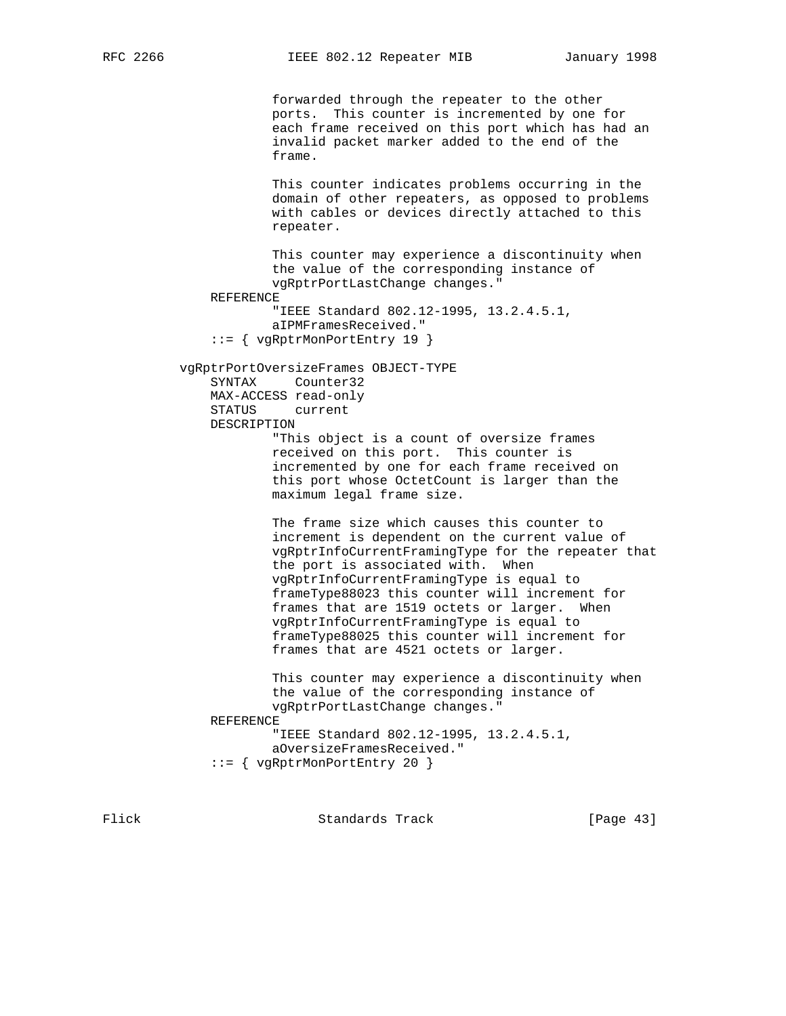forwarded through the repeater to the other ports. This counter is incremented by one for each frame received on this port which has had an invalid packet marker added to the end of the frame. This counter indicates problems occurring in the domain of other repeaters, as opposed to problems with cables or devices directly attached to this repeater. This counter may experience a discontinuity when the value of the corresponding instance of vgRptrPortLastChange changes." REFERENCE "IEEE Standard 802.12-1995, 13.2.4.5.1, aIPMFramesReceived." ::= { vgRptrMonPortEntry 19 } vgRptrPortOversizeFrames OBJECT-TYPE SYNTAX Counter32 MAX-ACCESS read-only STATUS current DESCRIPTION "This object is a count of oversize frames received on this port. This counter is incremented by one for each frame received on this port whose OctetCount is larger than the maximum legal frame size. The frame size which causes this counter to increment is dependent on the current value of vgRptrInfoCurrentFramingType for the repeater that the port is associated with. When vgRptrInfoCurrentFramingType is equal to frameType88023 this counter will increment for frames that are 1519 octets or larger. When vgRptrInfoCurrentFramingType is equal to frameType88025 this counter will increment for frames that are 4521 octets or larger. This counter may experience a discontinuity when the value of the corresponding instance of vgRptrPortLastChange changes." REFERENCE "IEEE Standard 802.12-1995, 13.2.4.5.1, aOversizeFramesReceived." ::= { vgRptrMonPortEntry 20 }

Flick Standards Track [Page 43]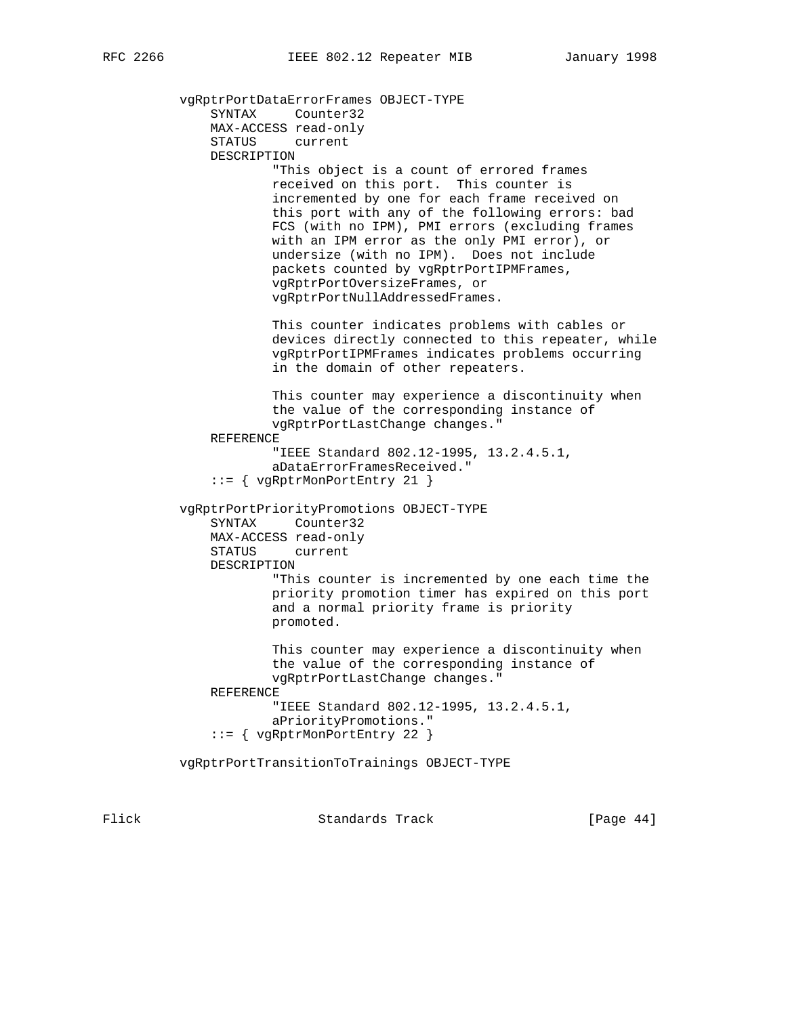vgRptrPortDataErrorFrames OBJECT-TYPE SYNTAX Counter32 MAX-ACCESS read-only STATUS current DESCRIPTION "This object is a count of errored frames received on this port. This counter is incremented by one for each frame received on this port with any of the following errors: bad FCS (with no IPM), PMI errors (excluding frames with an IPM error as the only PMI error), or undersize (with no IPM). Does not include packets counted by vgRptrPortIPMFrames, vgRptrPortOversizeFrames, or vgRptrPortNullAddressedFrames. This counter indicates problems with cables or devices directly connected to this repeater, while vgRptrPortIPMFrames indicates problems occurring in the domain of other repeaters. This counter may experience a discontinuity when the value of the corresponding instance of vgRptrPortLastChange changes." REFERENCE "IEEE Standard 802.12-1995, 13.2.4.5.1, aDataErrorFramesReceived." ::= { vgRptrMonPortEntry 21 } vgRptrPortPriorityPromotions OBJECT-TYPE SYNTAX Counter32 MAX-ACCESS read-only STATUS current DESCRIPTION "This counter is incremented by one each time the priority promotion timer has expired on this port and a normal priority frame is priority promoted. This counter may experience a discontinuity when the value of the corresponding instance of vgRptrPortLastChange changes." REFERENCE "IEEE Standard 802.12-1995, 13.2.4.5.1, aPriorityPromotions." ::= { vgRptrMonPortEntry 22 } vgRptrPortTransitionToTrainings OBJECT-TYPE

Flick **Standards Track** [Page 44]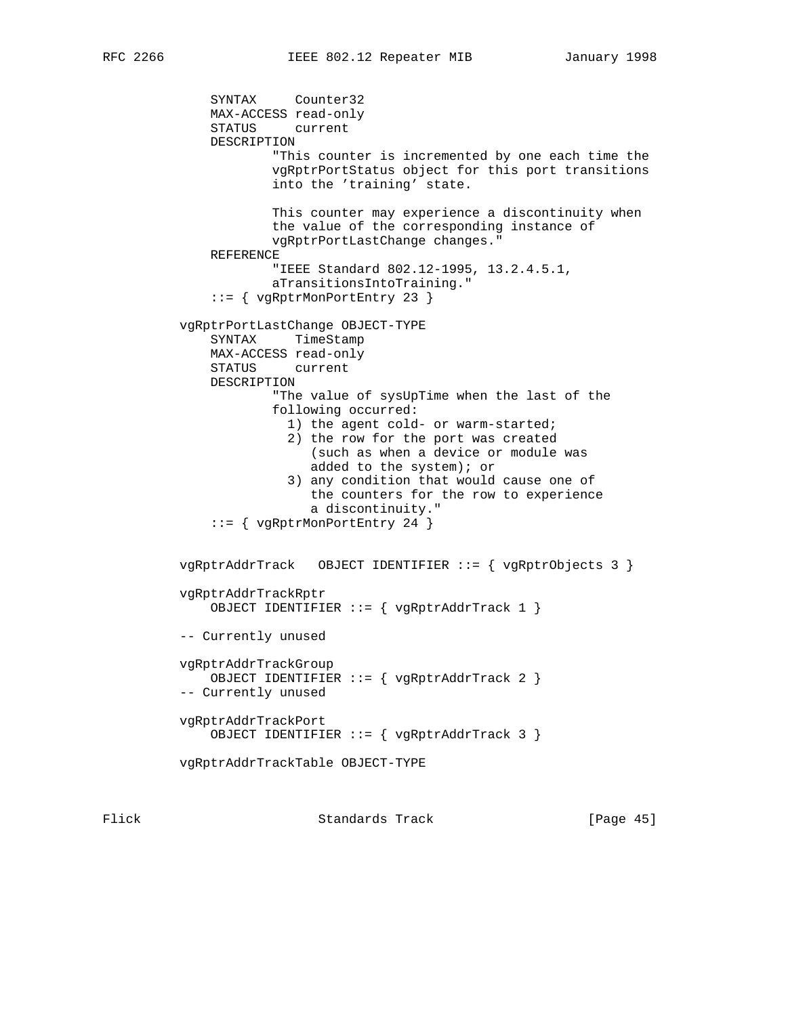SYNTAX Counter32 MAX-ACCESS read-only STATUS current DESCRIPTION "This counter is incremented by one each time the vgRptrPortStatus object for this port transitions into the 'training' state. This counter may experience a discontinuity when the value of the corresponding instance of vgRptrPortLastChange changes." REFERENCE "IEEE Standard 802.12-1995, 13.2.4.5.1, aTransitionsIntoTraining." ::= { vgRptrMonPortEntry 23 } vgRptrPortLastChange OBJECT-TYPE SYNTAX TimeStamp MAX-ACCESS read-only STATUS current DESCRIPTION "The value of sysUpTime when the last of the following occurred: 1) the agent cold- or warm-started; 2) the row for the port was created (such as when a device or module was added to the system); or 3) any condition that would cause one of the counters for the row to experience a discontinuity." ::= { vgRptrMonPortEntry 24 } vgRptrAddrTrack OBJECT IDENTIFIER ::= { vgRptrObjects 3 } vgRptrAddrTrackRptr OBJECT IDENTIFIER ::= { vgRptrAddrTrack 1 } -- Currently unused vgRptrAddrTrackGroup OBJECT IDENTIFIER ::= { vgRptrAddrTrack 2 } -- Currently unused vgRptrAddrTrackPort OBJECT IDENTIFIER ::= { vgRptrAddrTrack 3 } vgRptrAddrTrackTable OBJECT-TYPE

Flick Standards Track [Page 45]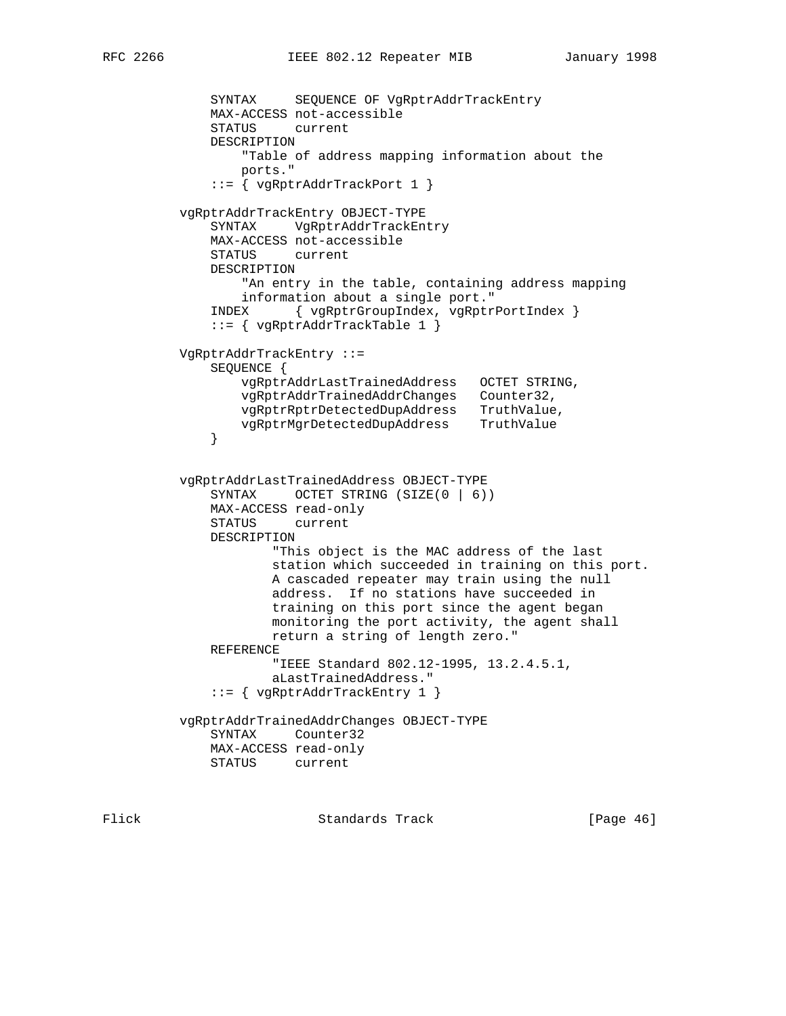```
 SYNTAX SEQUENCE OF VgRptrAddrTrackEntry
              MAX-ACCESS not-accessible
              STATUS current
              DESCRIPTION
                  "Table of address mapping information about the
                  ports."
              ::= { vgRptrAddrTrackPort 1 }
          vgRptrAddrTrackEntry OBJECT-TYPE
              SYNTAX VgRptrAddrTrackEntry
              MAX-ACCESS not-accessible
              STATUS current
              DESCRIPTION
                  "An entry in the table, containing address mapping
                  information about a single port."
              INDEX { vgRptrGroupIndex, vgRptrPortIndex }
              ::= { vgRptrAddrTrackTable 1 }
          VgRptrAddrTrackEntry ::=
              SEQUENCE {
                 vgRptrAddrLastTrainedAddress OCTET STRING,
                  vgRptrAddrTrainedAddrChanges Counter32,
                 vgRptrRptrDetectedDupAddress TruthValue,
              vgRptrMgrDetectedDupAddress TruthValue
 }
          vgRptrAddrLastTrainedAddress OBJECT-TYPE
             SYNTAX OCTET STRING (SIZE(0 | 6))
              MAX-ACCESS read-only
              STATUS current
              DESCRIPTION
                      "This object is the MAC address of the last
                      station which succeeded in training on this port.
                      A cascaded repeater may train using the null
                      address. If no stations have succeeded in
                      training on this port since the agent began
                      monitoring the port activity, the agent shall
                      return a string of length zero."
              REFERENCE
                      "IEEE Standard 802.12-1995, 13.2.4.5.1,
                      aLastTrainedAddress."
              ::= { vgRptrAddrTrackEntry 1 }
          vgRptrAddrTrainedAddrChanges OBJECT-TYPE
              SYNTAX Counter32
              MAX-ACCESS read-only
              STATUS current
```
Flick Standards Track [Page 46]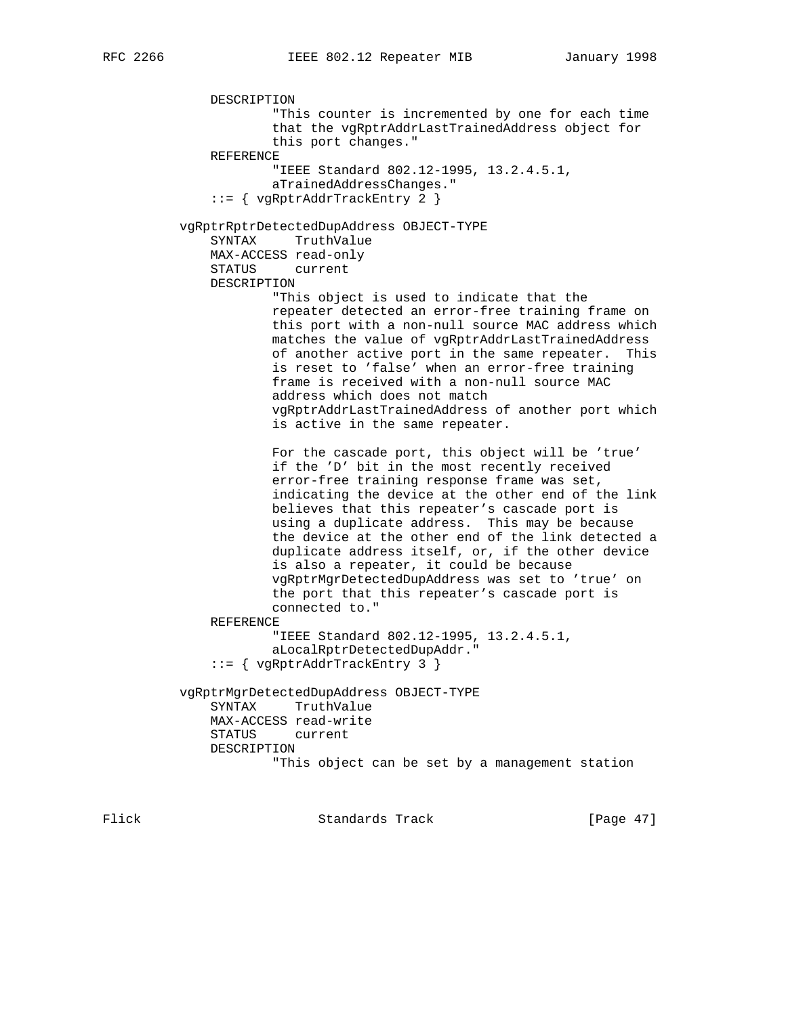DESCRIPTION "This counter is incremented by one for each time that the vgRptrAddrLastTrainedAddress object for this port changes." REFERENCE "IEEE Standard 802.12-1995, 13.2.4.5.1, aTrainedAddressChanges." ::= { vgRptrAddrTrackEntry 2 } vgRptrRptrDetectedDupAddress OBJECT-TYPE SYNTAX TruthValue MAX-ACCESS read-only STATUS current DESCRIPTION "This object is used to indicate that the repeater detected an error-free training frame on this port with a non-null source MAC address which matches the value of vgRptrAddrLastTrainedAddress of another active port in the same repeater. This is reset to 'false' when an error-free training frame is received with a non-null source MAC address which does not match vgRptrAddrLastTrainedAddress of another port which is active in the same repeater. For the cascade port, this object will be 'true' if the 'D' bit in the most recently received error-free training response frame was set, indicating the device at the other end of the link believes that this repeater's cascade port is using a duplicate address. This may be because the device at the other end of the link detected a duplicate address itself, or, if the other device is also a repeater, it could be because vgRptrMgrDetectedDupAddress was set to 'true' on the port that this repeater's cascade port is connected to." REFERENCE "IEEE Standard 802.12-1995, 13.2.4.5.1, aLocalRptrDetectedDupAddr." ::= { vgRptrAddrTrackEntry 3 } vgRptrMgrDetectedDupAddress OBJECT-TYPE SYNTAX TruthValue MAX-ACCESS read-write STATUS current DESCRIPTION "This object can be set by a management station

Flick **Standards Track** [Page 47]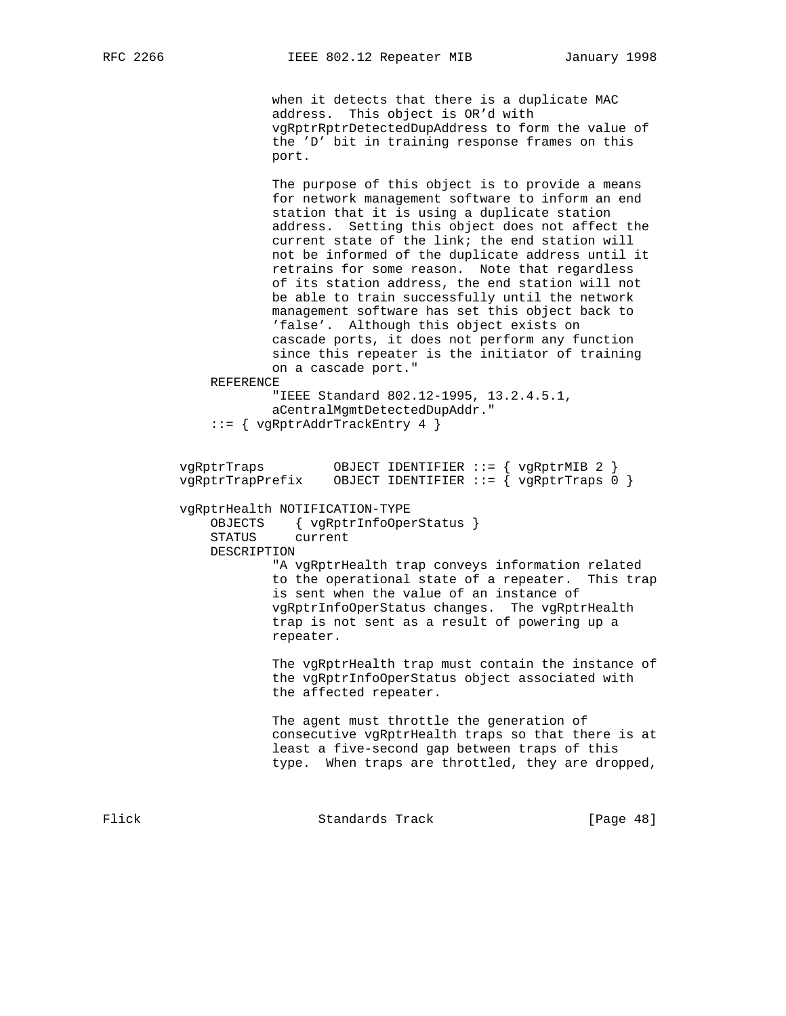when it detects that there is a duplicate MAC address. This object is OR'd with vgRptrRptrDetectedDupAddress to form the value of the 'D' bit in training response frames on this port.

 The purpose of this object is to provide a means for network management software to inform an end station that it is using a duplicate station address. Setting this object does not affect the current state of the link; the end station will not be informed of the duplicate address until it retrains for some reason. Note that regardless of its station address, the end station will not be able to train successfully until the network management software has set this object back to 'false'. Although this object exists on cascade ports, it does not perform any function since this repeater is the initiator of training on a cascade port."

REFERENCE

 "IEEE Standard 802.12-1995, 13.2.4.5.1, aCentralMgmtDetectedDupAddr."

::= { vgRptrAddrTrackEntry 4 }

 vgRptrTraps OBJECT IDENTIFIER ::= { vgRptrMIB 2 } vgRptrTrapPrefix OBJECT IDENTIFIER ::= { vgRptrTraps 0 } vgRptrHealth NOTIFICATION-TYPE OBJECTS { vgRptrInfoOperStatus } STATUS current DESCRIPTION "A vgRptrHealth trap conveys information related to the operational state of a repeater. This trap is sent when the value of an instance of vgRptrInfoOperStatus changes. The vgRptrHealth trap is not sent as a result of powering up a repeater. The vgRptrHealth trap must contain the instance of the vgRptrInfoOperStatus object associated with the affected repeater. The agent must throttle the generation of

 consecutive vgRptrHealth traps so that there is at least a five-second gap between traps of this type. When traps are throttled, they are dropped,

Flick Standards Track [Page 48]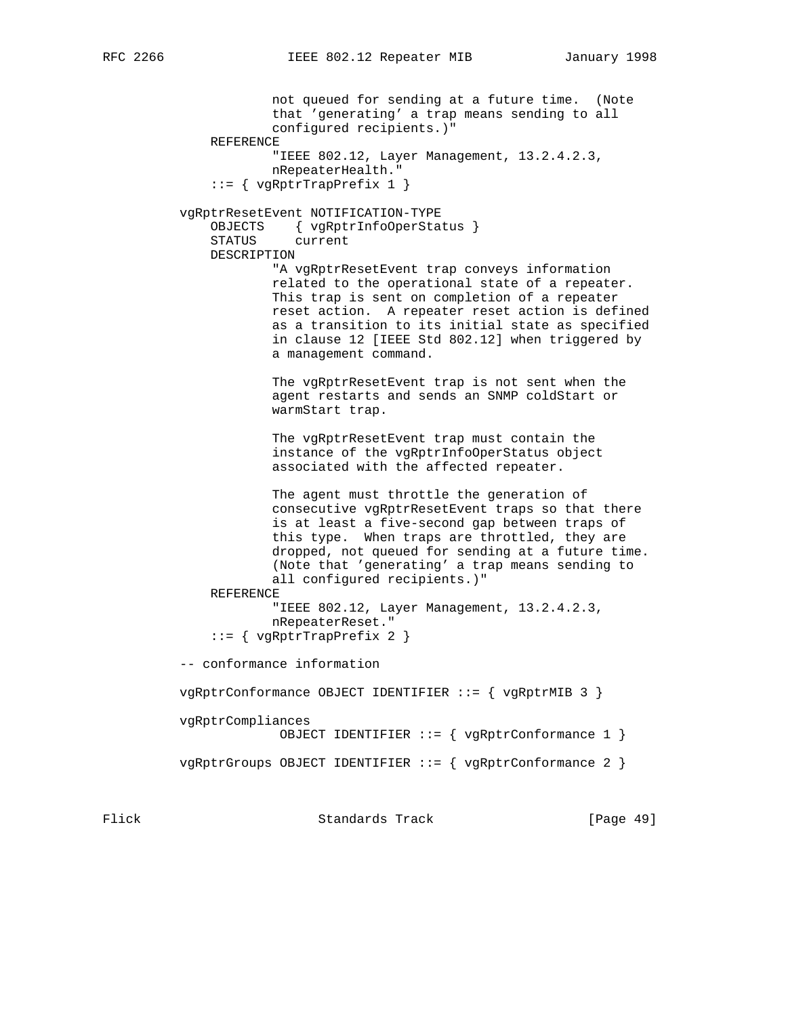not queued for sending at a future time. (Note that 'generating' a trap means sending to all configured recipients.)" REFERENCE "IEEE 802.12, Layer Management, 13.2.4.2.3, nRepeaterHealth." ::= { vgRptrTrapPrefix 1 } vgRptrResetEvent NOTIFICATION-TYPE OBJECTS { vgRptrInfoOperStatus } STATUS current DESCRIPTION "A vgRptrResetEvent trap conveys information related to the operational state of a repeater. This trap is sent on completion of a repeater reset action. A repeater reset action is defined as a transition to its initial state as specified in clause 12 [IEEE Std 802.12] when triggered by a management command. The vgRptrResetEvent trap is not sent when the agent restarts and sends an SNMP coldStart or warmStart trap. The vgRptrResetEvent trap must contain the instance of the vgRptrInfoOperStatus object associated with the affected repeater. The agent must throttle the generation of consecutive vgRptrResetEvent traps so that there is at least a five-second gap between traps of this type. When traps are throttled, they are dropped, not queued for sending at a future time. (Note that 'generating' a trap means sending to all configured recipients.)" REFERENCE "IEEE 802.12, Layer Management, 13.2.4.2.3, nRepeaterReset." ::= { vgRptrTrapPrefix 2 } -- conformance information vgRptrConformance OBJECT IDENTIFIER ::= { vgRptrMIB 3 } vgRptrCompliances OBJECT IDENTIFIER ::= { vgRptrConformance 1 } vgRptrGroups OBJECT IDENTIFIER ::= { vgRptrConformance 2 }

Flick **Standards Track** [Page 49]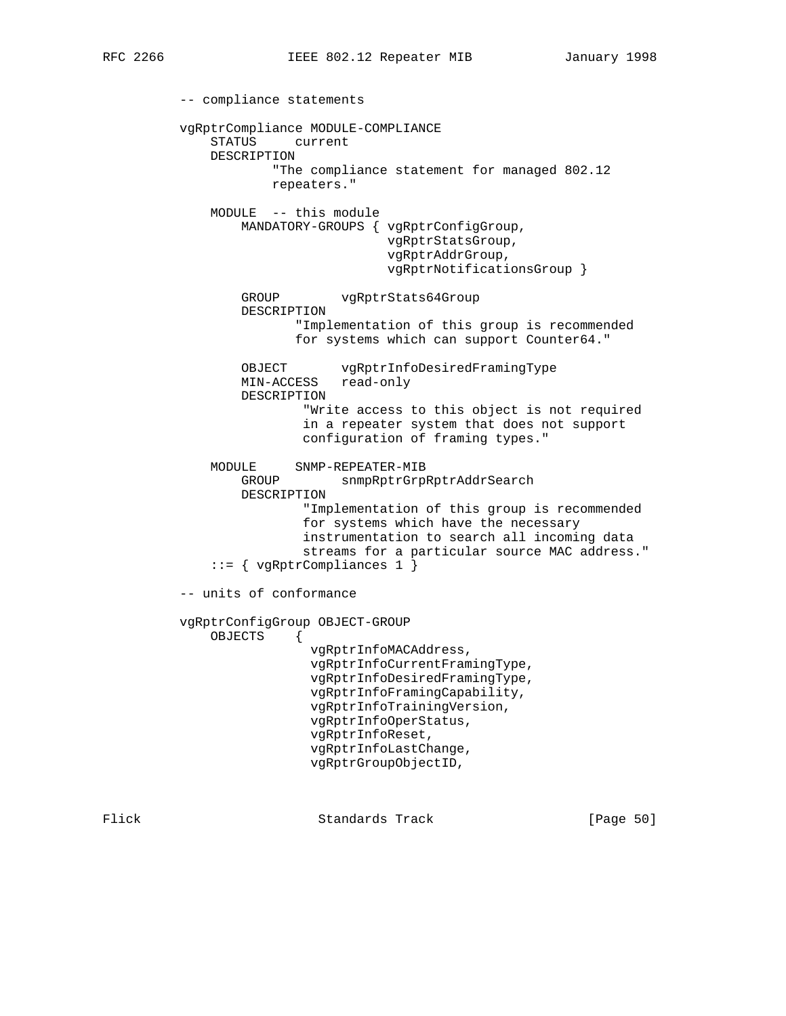-- compliance statements vgRptrCompliance MODULE-COMPLIANCE STATUS current DESCRIPTION "The compliance statement for managed 802.12 repeaters." MODULE -- this module MANDATORY-GROUPS { vgRptrConfigGroup, vgRptrStatsGroup, vgRptrAddrGroup, vgRptrNotificationsGroup } GROUP vgRptrStats64Group DESCRIPTION "Implementation of this group is recommended for systems which can support Counter64." OBJECT vgRptrInfoDesiredFramingType MIN-ACCESS read-only DESCRIPTION "Write access to this object is not required in a repeater system that does not support configuration of framing types." MODULE SNMP-REPEATER-MIB GROUP snmpRptrGrpRptrAddrSearch DESCRIPTION "Implementation of this group is recommended for systems which have the necessary instrumentation to search all incoming data streams for a particular source MAC address." ::= { vgRptrCompliances 1 } -- units of conformance vgRptrConfigGroup OBJECT-GROUP OBJECTS { vgRptrInfoMACAddress, vgRptrInfoCurrentFramingType, vgRptrInfoDesiredFramingType, vgRptrInfoFramingCapability, vgRptrInfoTrainingVersion, vgRptrInfoOperStatus, vgRptrInfoReset, vgRptrInfoLastChange, vgRptrGroupObjectID,

Flick Standards Track [Page 50]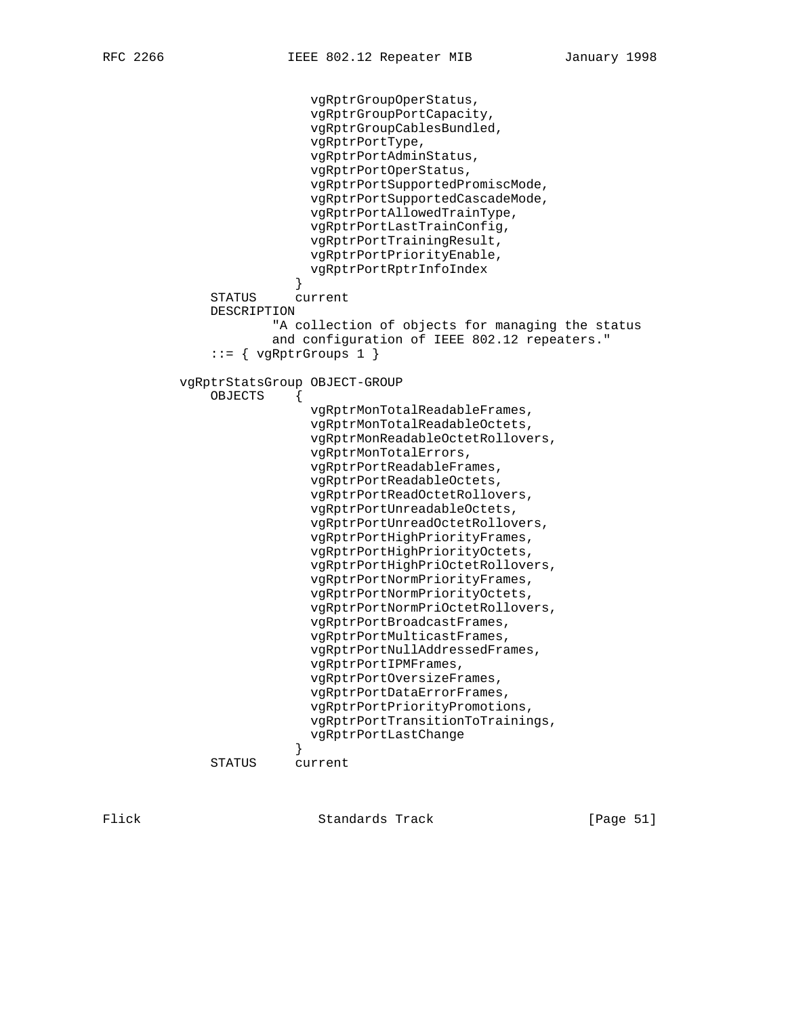```
 vgRptrGroupOperStatus,
                            vgRptrGroupPortCapacity,
                            vgRptrGroupCablesBundled,
                            vgRptrPortType,
                            vgRptrPortAdminStatus,
                            vgRptrPortOperStatus,
                            vgRptrPortSupportedPromiscMode,
                            vgRptrPortSupportedCascadeMode,
                            vgRptrPortAllowedTrainType,
                            vgRptrPortLastTrainConfig,
                            vgRptrPortTrainingResult,
                            vgRptrPortPriorityEnable,
                            vgRptrPortRptrInfoIndex
 }
              STATUS current
              DESCRIPTION
                       "A collection of objects for managing the status
                       and configuration of IEEE 802.12 repeaters."
              ::= { vgRptrGroups 1 }
          vgRptrStatsGroup OBJECT-GROUP
              OBJECTS {
                            vgRptrMonTotalReadableFrames,
                            vgRptrMonTotalReadableOctets,
                            vgRptrMonReadableOctetRollovers,
                            vgRptrMonTotalErrors,
                            vgRptrPortReadableFrames,
                            vgRptrPortReadableOctets,
                            vgRptrPortReadOctetRollovers,
                            vgRptrPortUnreadableOctets,
                            vgRptrPortUnreadOctetRollovers,
                            vgRptrPortHighPriorityFrames,
                            vgRptrPortHighPriorityOctets,
                            vgRptrPortHighPriOctetRollovers,
                            vgRptrPortNormPriorityFrames,
                            vgRptrPortNormPriorityOctets,
                            vgRptrPortNormPriOctetRollovers,
                            vgRptrPortBroadcastFrames,
                            vgRptrPortMulticastFrames,
                            vgRptrPortNullAddressedFrames,
                            vgRptrPortIPMFrames,
                            vgRptrPortOversizeFrames,
                            vgRptrPortDataErrorFrames,
                            vgRptrPortPriorityPromotions,
                            vgRptrPortTransitionToTrainings,
                          vgRptrPortLastChange
 }
              STATUS current
```
Flick **Standards Track** [Page 51]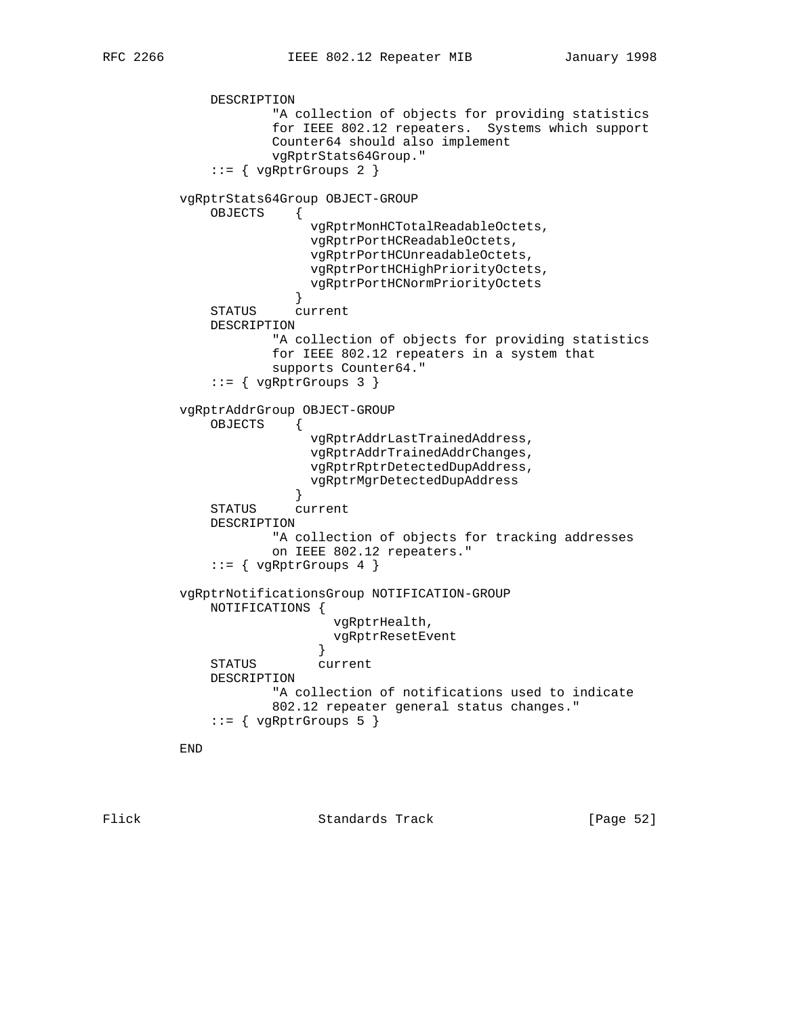DESCRIPTION "A collection of objects for providing statistics for IEEE 802.12 repeaters. Systems which support Counter64 should also implement vgRptrStats64Group." ::= { vgRptrGroups 2 } vgRptrStats64Group OBJECT-GROUP OBJECTS { vgRptrMonHCTotalReadableOctets, vgRptrPortHCReadableOctets, vgRptrPortHCUnreadableOctets, vgRptrPortHCHighPriorityOctets, vgRptrPortHCNormPriorityOctets } STATUS current DESCRIPTION "A collection of objects for providing statistics for IEEE 802.12 repeaters in a system that supports Counter64." ::= { vgRptrGroups 3 } vgRptrAddrGroup OBJECT-GROUP OBJECTS { vgRptrAddrLastTrainedAddress, vgRptrAddrTrainedAddrChanges, vgRptrRptrDetectedDupAddress, vgRptrMgrDetectedDupAddress } STATUS current DESCRIPTION "A collection of objects for tracking addresses on IEEE 802.12 repeaters."  $::=$  { vgRptrGroups 4 } vgRptrNotificationsGroup NOTIFICATION-GROUP NOTIFICATIONS { vgRptrHealth, vgRptrResetEvent } STATUS current DESCRIPTION "A collection of notifications used to indicate 802.12 repeater general status changes."  $::=$  { vgRptrGroups 5 } END

Flick Standards Track [Page 52]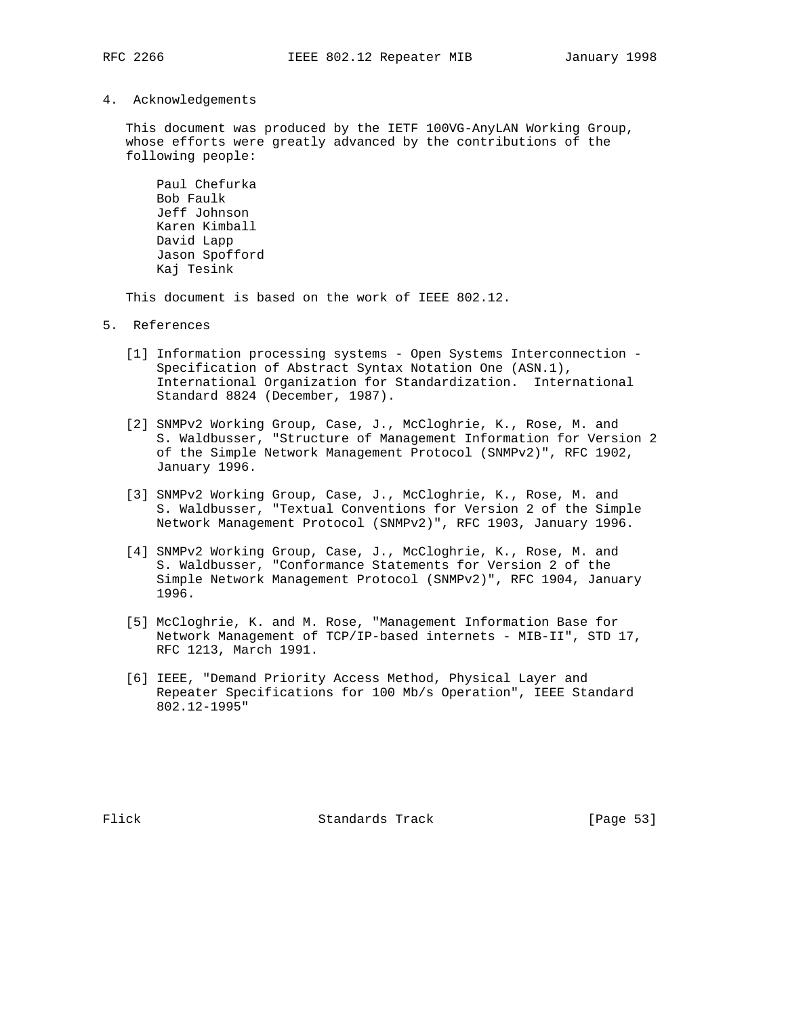4. Acknowledgements

 This document was produced by the IETF 100VG-AnyLAN Working Group, whose efforts were greatly advanced by the contributions of the following people:

 Paul Chefurka Bob Faulk Jeff Johnson Karen Kimball David Lapp Jason Spofford Kaj Tesink

This document is based on the work of IEEE 802.12.

- 5. References
	- [1] Information processing systems Open Systems Interconnection Specification of Abstract Syntax Notation One (ASN.1), International Organization for Standardization. International Standard 8824 (December, 1987).
	- [2] SNMPv2 Working Group, Case, J., McCloghrie, K., Rose, M. and S. Waldbusser, "Structure of Management Information for Version 2 of the Simple Network Management Protocol (SNMPv2)", RFC 1902, January 1996.
	- [3] SNMPv2 Working Group, Case, J., McCloghrie, K., Rose, M. and S. Waldbusser, "Textual Conventions for Version 2 of the Simple Network Management Protocol (SNMPv2)", RFC 1903, January 1996.
	- [4] SNMPv2 Working Group, Case, J., McCloghrie, K., Rose, M. and S. Waldbusser, "Conformance Statements for Version 2 of the Simple Network Management Protocol (SNMPv2)", RFC 1904, January 1996.
	- [5] McCloghrie, K. and M. Rose, "Management Information Base for Network Management of TCP/IP-based internets - MIB-II", STD 17, RFC 1213, March 1991.
	- [6] IEEE, "Demand Priority Access Method, Physical Layer and Repeater Specifications for 100 Mb/s Operation", IEEE Standard 802.12-1995"

Flick Standards Track [Page 53]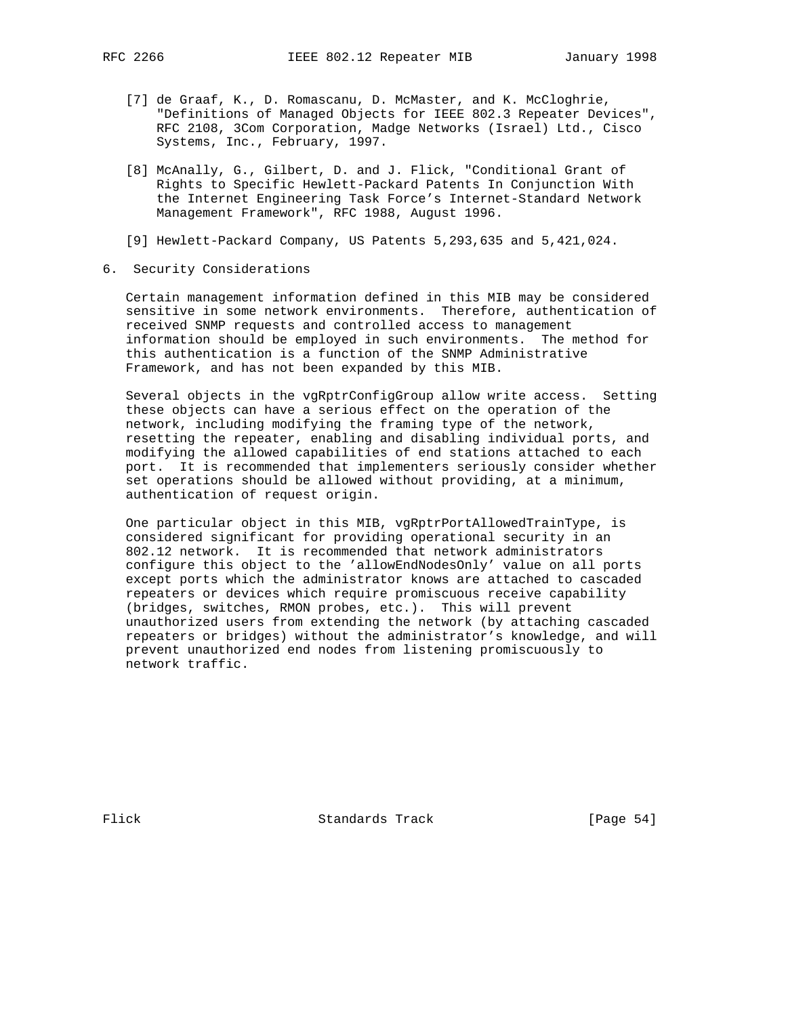- [7] de Graaf, K., D. Romascanu, D. McMaster, and K. McCloghrie, "Definitions of Managed Objects for IEEE 802.3 Repeater Devices", RFC 2108, 3Com Corporation, Madge Networks (Israel) Ltd., Cisco Systems, Inc., February, 1997.
- [8] McAnally, G., Gilbert, D. and J. Flick, "Conditional Grant of Rights to Specific Hewlett-Packard Patents In Conjunction With the Internet Engineering Task Force's Internet-Standard Network Management Framework", RFC 1988, August 1996.
- [9] Hewlett-Packard Company, US Patents 5,293,635 and 5,421,024.
- 6. Security Considerations

 Certain management information defined in this MIB may be considered sensitive in some network environments. Therefore, authentication of received SNMP requests and controlled access to management information should be employed in such environments. The method for this authentication is a function of the SNMP Administrative Framework, and has not been expanded by this MIB.

 Several objects in the vgRptrConfigGroup allow write access. Setting these objects can have a serious effect on the operation of the network, including modifying the framing type of the network, resetting the repeater, enabling and disabling individual ports, and modifying the allowed capabilities of end stations attached to each port. It is recommended that implementers seriously consider whether set operations should be allowed without providing, at a minimum, authentication of request origin.

 One particular object in this MIB, vgRptrPortAllowedTrainType, is considered significant for providing operational security in an 802.12 network. It is recommended that network administrators configure this object to the 'allowEndNodesOnly' value on all ports except ports which the administrator knows are attached to cascaded repeaters or devices which require promiscuous receive capability (bridges, switches, RMON probes, etc.). This will prevent unauthorized users from extending the network (by attaching cascaded repeaters or bridges) without the administrator's knowledge, and will prevent unauthorized end nodes from listening promiscuously to network traffic.

Flick Standards Track [Page 54]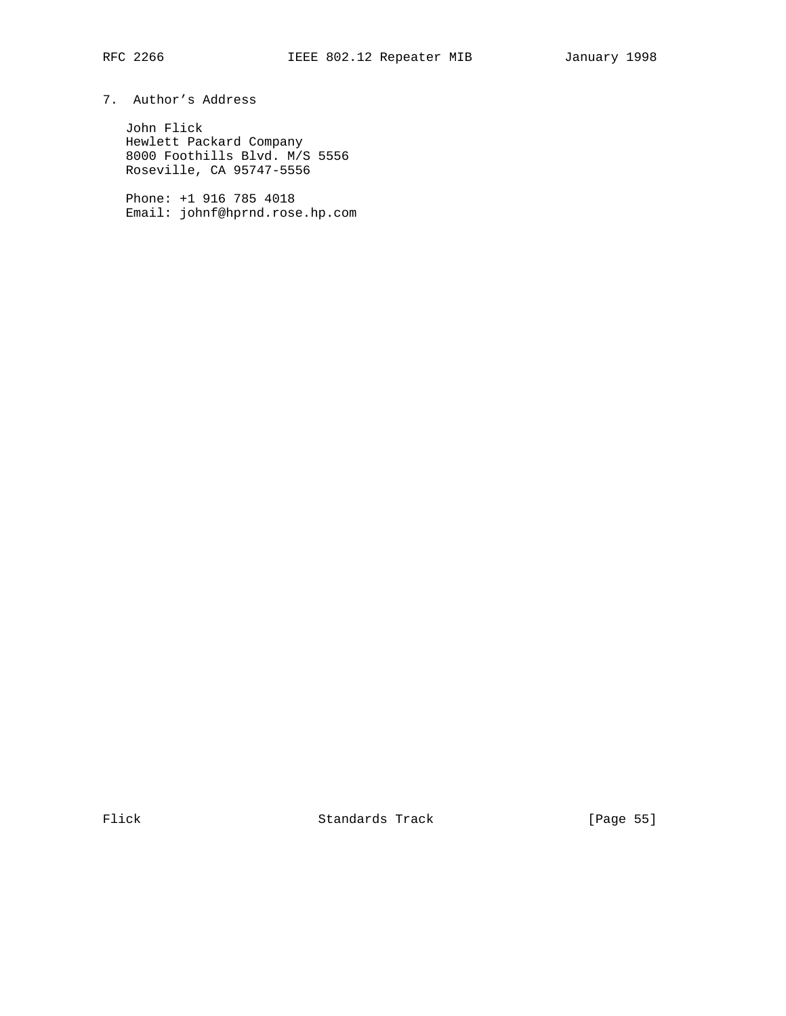# 7. Author's Address

 John Flick Hewlett Packard Company 8000 Foothills Blvd. M/S 5556 Roseville, CA 95747-5556

 Phone: +1 916 785 4018 Email: johnf@hprnd.rose.hp.com

Flick Standards Track [Page 55]